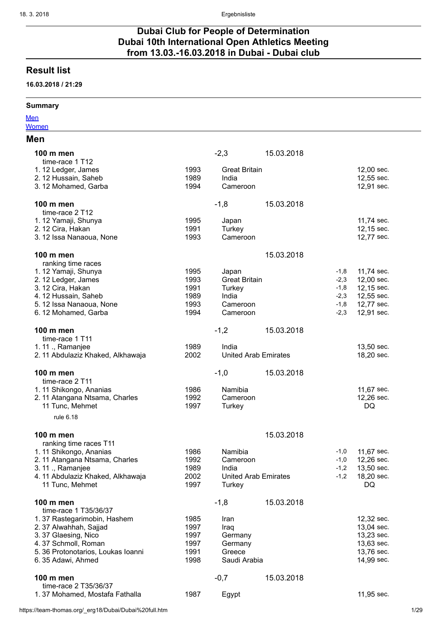# Dubai Club for People of Determination Dubai 10th International Open Athletics Meeting from 13.03.-16.03.2018 in Dubai - Dubai club

# Result list

## 16.03.2018 / 21:29

## Summary

**[Men](#page-0-0) [Women](#page-20-0)** 

### Men

<span id="page-0-0"></span>

| 100 m men<br>time-race 1 T12           |      | $-2,3$                      | 15.03.2018 |        |            |
|----------------------------------------|------|-----------------------------|------------|--------|------------|
| 1.12 Ledger, James                     | 1993 | <b>Great Britain</b>        |            |        | 12,00 sec. |
| 2. 12 Hussain, Saheb                   | 1989 | India                       |            |        | 12,55 sec. |
| 3.12 Mohamed, Garba                    | 1994 | Cameroon                    |            |        | 12,91 sec. |
| 100 m men                              |      | $-1,8$                      | 15.03.2018 |        |            |
| time-race 2 T12<br>1.12 Yamaji, Shunya | 1995 | Japan                       |            |        | 11,74 sec. |
| 2. 12 Cira, Hakan                      | 1991 | Turkey                      |            |        | 12,15 sec. |
| 3.12 Issa Nanaoua, None                | 1993 | Cameroon                    |            |        | 12,77 sec. |
|                                        |      |                             |            |        |            |
| 100 m men<br>ranking time races        |      |                             | 15.03.2018 |        |            |
| 1.12 Yamaji, Shunya                    | 1995 | Japan                       |            | $-1,8$ | 11,74 sec. |
| 2. 12 Ledger, James                    | 1993 | <b>Great Britain</b>        |            | $-2,3$ | 12,00 sec. |
| 3. 12 Cira, Hakan                      | 1991 | Turkey                      |            | $-1,8$ | 12,15 sec. |
| 4.12 Hussain, Saheb                    | 1989 | India                       |            | $-2,3$ | 12,55 sec. |
| 5.12 Issa Nanaoua, None                | 1993 | Cameroon                    |            | $-1,8$ | 12,77 sec. |
| 6.12 Mohamed, Garba                    | 1994 | Cameroon                    |            | $-2,3$ | 12,91 sec. |
| 100 m men                              |      | $-1,2$                      | 15.03.2018 |        |            |
| time-race 1 T11                        |      |                             |            |        |            |
| 1.11 ., Ramanjee                       | 1989 | India                       |            |        | 13,50 sec. |
| 2. 11 Abdulaziz Khaked, Alkhawaja      | 2002 | <b>United Arab Emirates</b> |            |        | 18,20 sec. |
|                                        |      |                             |            |        |            |
| 100 m men<br>time-race 2 T11           |      | $-1,0$                      | 15.03.2018 |        |            |
| 1.11 Shikongo, Ananias                 | 1986 | Namibia                     |            |        | 11,67 sec. |
| 2.11 Atangana Ntsama, Charles          | 1992 | Cameroon                    |            |        | 12,26 sec. |
| 11 Tunc, Mehmet                        | 1997 | Turkey                      |            |        | DQ         |
| rule 6.18                              |      |                             |            |        |            |
|                                        |      |                             |            |        |            |
| 100 m men                              |      |                             | 15.03.2018 |        |            |
| ranking time races T11                 |      |                             |            |        |            |
| 1.11 Shikongo, Ananias                 | 1986 | Namibia                     |            | $-1,0$ | 11,67 sec. |
| 2.11 Atangana Ntsama, Charles          | 1992 | Cameroon                    |            | $-1,0$ | 12,26 sec. |
| 3. 11 ., Ramanjee                      | 1989 | India                       |            | $-1,2$ | 13,50 sec. |
| 4.11 Abdulaziz Khaked, Alkhawaja       | 2002 | <b>United Arab Emirates</b> |            | $-1,2$ | 18,20 sec. |
| 11 Tunc, Mehmet                        | 1997 | Turkey                      |            |        | DQ         |
| 100 m men<br>time-race 1 T35/36/37     |      | $-1,8$                      | 15.03.2018 |        |            |
| 1.37 Rastegarimobin, Hashem            | 1985 | Iran                        |            |        | 12,32 sec. |
| 2.37 Alwahhah, Sajjad                  | 1997 |                             |            |        | 13,04 sec. |
| 3.37 Glaesing, Nico                    | 1997 | Iraq<br>Germany             |            |        | 13,23 sec. |
| 4.37 Schmoll, Roman                    | 1997 | Germany                     |            |        | 13,63 sec. |
| 5.36 Protonotarios, Loukas Ioanni      | 1991 | Greece                      |            |        | 13,76 sec. |
| 6.35 Adawi, Ahmed                      | 1998 | Saudi Arabia                |            |        | 14,99 sec. |
|                                        |      |                             |            |        |            |
| 100 m men<br>time-race 2 T35/36/37     |      | $-0,7$                      | 15.03.2018 |        |            |
| 1.37 Mohamed, Mostafa Fathalla         | 1987 | Egypt                       |            |        | 11,95 sec. |
|                                        |      |                             |            |        |            |

https://team-thomas.org/\_erg18/Dubai/Dubai%20full.htm 1/29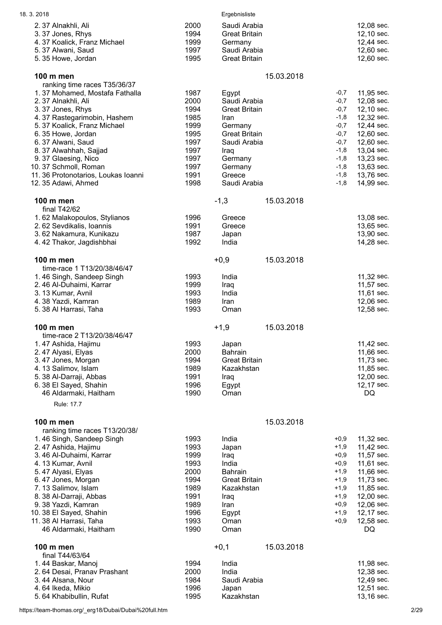| 18.3.2018                                    |              | Ergebnisliste                          |            |                  |                          |
|----------------------------------------------|--------------|----------------------------------------|------------|------------------|--------------------------|
| 2.37 Alnakhli, Ali                           | 2000         | Saudi Arabia                           |            |                  | 12,08 sec.               |
| 3.37 Jones, Rhys                             | 1994         | <b>Great Britain</b>                   |            |                  | 12,10 sec.               |
| 4.37 Koalick, Franz Michael                  | 1999         | Germany                                |            |                  | 12,44 sec.               |
| 5.37 Alwani, Saud                            | 1997         | Saudi Arabia                           |            |                  | 12,60 sec.               |
| 5.35 Howe, Jordan                            | 1995         | <b>Great Britain</b>                   |            |                  | 12,60 sec.               |
| 100 m men                                    |              |                                        | 15.03.2018 |                  |                          |
| ranking time races T35/36/37                 |              |                                        |            |                  |                          |
| 1.37 Mohamed, Mostafa Fathalla               | 1987         | Egypt                                  |            | $-0,7$           | 11,95 sec.               |
| 2.37 Alnakhli, Ali                           | 2000         | Saudi Arabia                           |            | $-0,7$           | 12,08 sec.               |
| 3.37 Jones, Rhys                             | 1994         | <b>Great Britain</b>                   |            | $-0,7$           | 12,10 sec.               |
| 4.37 Rastegarimobin, Hashem                  | 1985         | Iran                                   |            | $-1,8$           | 12,32 sec.               |
| 5.37 Koalick, Franz Michael                  | 1999         | Germany                                |            | $-0,7$           | 12,44 sec.               |
| 6.35 Howe, Jordan                            | 1995         | <b>Great Britain</b>                   |            | $-0,7$           | 12,60 sec.               |
| 6.37 Alwani, Saud                            | 1997         | Saudi Arabia                           |            | $-0,7$           | 12,60 sec.               |
| 8.37 Alwahhah, Sajjad<br>9.37 Glaesing, Nico | 1997<br>1997 | Iraq                                   |            | $-1,8$<br>$-1,8$ | 13,04 sec.<br>13,23 sec. |
| 10.37 Schmoll, Roman                         | 1997         | Germany<br>Germany                     |            | $-1,8$           | 13,63 sec.               |
| 11. 36 Protonotarios, Loukas Ioanni          | 1991         | Greece                                 |            | $-1,8$           | 13,76 sec.               |
| 12.35 Adawi, Ahmed                           | 1998         | Saudi Arabia                           |            | $-1,8$           | 14,99 sec.               |
|                                              |              |                                        |            |                  |                          |
| 100 m men<br>final $T42/62$                  |              | $-1,3$                                 | 15.03.2018 |                  |                          |
| 1.62 Malakopoulos, Stylianos                 | 1996         | Greece                                 |            |                  | 13,08 sec.               |
| 2.62 Sevdikalis, Ioannis                     | 1991         | Greece                                 |            |                  | 13,65 sec.               |
| 3.62 Nakamura, Kunikazu                      | 1987         | Japan                                  |            |                  | 13,90 sec.               |
| 4.42 Thakor, Jagdishbhai                     | 1992         | India                                  |            |                  | 14,28 sec.               |
|                                              |              |                                        |            |                  |                          |
| 100 m men                                    |              | $+0,9$                                 | 15.03.2018 |                  |                          |
| time-race 1 T13/20/38/46/47                  |              |                                        |            |                  |                          |
| 1.46 Singh, Sandeep Singh                    | 1993         | India                                  |            |                  | 11,32 sec.               |
| 2.46 Al-Duhaimi, Karrar                      | 1999<br>1993 | Iraq<br>India                          |            |                  | 11,57 sec.               |
| 3.13 Kumar, Avnil<br>4.38 Yazdi, Kamran      | 1989         | Iran                                   |            |                  | 11,61 sec.<br>12,06 sec. |
| 5.38 Al Harrasi, Taha                        | 1993         | Oman                                   |            |                  | 12,58 sec.               |
|                                              |              |                                        |            |                  |                          |
| 100 m men                                    |              | $+1,9$                                 | 15.03.2018 |                  |                          |
| time-race 2 T13/20/38/46/47                  |              |                                        |            |                  |                          |
| 1.47 Ashida, Hajimu                          | 1993         | Japan                                  |            |                  | 11,42 sec.<br>11,66 sec. |
| 2.47 Alyasi, Elyas<br>3.47 Jones, Morgan     | 2000<br>1994 | <b>Bahrain</b><br><b>Great Britain</b> |            |                  | 11,73 sec.               |
| 4.13 Salimov, Islam                          | 1989         | Kazakhstan                             |            |                  | 11,85 sec.               |
| 5. 38 Al-Darraji, Abbas                      | 1991         | Iraq                                   |            |                  | 12,00 sec.               |
| 6.38 El Sayed, Shahin                        | 1996         | Egypt                                  |            |                  | 12,17 sec.               |
| 46 Aldarmaki, Haitham                        | 1990         | Oman                                   |            |                  | DQ                       |
| Rule: 17.7                                   |              |                                        |            |                  |                          |
| 100 m men                                    |              |                                        | 15.03.2018 |                  |                          |
| ranking time races T13/20/38/                |              |                                        |            |                  |                          |
| 1.46 Singh, Sandeep Singh                    | 1993         | India                                  |            | $+0,9$           | 11,32 sec.               |
| 2.47 Ashida, Hajimu                          | 1993         | Japan                                  |            | $+1,9$           | 11,42 sec.               |
| 3.46 Al-Duhaimi, Karrar                      | 1999         | Iraq                                   |            | $+0,9$           | 11,57 sec.               |
| 4.13 Kumar, Avnil                            | 1993         | India                                  |            | $+0,9$           | 11,61 sec.               |
| 5.47 Alyasi, Elyas                           | 2000         | <b>Bahrain</b>                         |            | $+1,9$           | 11,66 sec.               |
| 6.47 Jones, Morgan                           | 1994         | <b>Great Britain</b>                   |            | $+1,9$           | 11,73 sec.               |
| 7.13 Salimov, Islam                          | 1989         | Kazakhstan                             |            | $+1,9$           | 11,85 sec.               |
| 8. 38 Al-Darraji, Abbas                      | 1991<br>1989 | Iraq                                   |            | $+1,9$<br>$+0,9$ | 12,00 sec.<br>12,06 sec. |
| 9.38 Yazdi, Kamran<br>10.38 El Sayed, Shahin | 1996         | Iran<br>Egypt                          |            | $+1,9$           | 12,17 sec.               |
| 11.38 Al Harrasi, Taha                       | 1993         | Oman                                   |            | $+0.9$           | 12,58 sec.               |
| 46 Aldarmaki, Haitham                        | 1990         | Oman                                   |            |                  | DQ                       |
|                                              |              |                                        |            |                  |                          |
| 100 m men<br>final T44/63/64                 |              | $+0,1$                                 | 15.03.2018 |                  |                          |
| 1.44 Baskar, Manoj                           | 1994         | India                                  |            |                  | 11,98 sec.               |
| 2.64 Desai, Pranav Prashant                  | 2000         | India                                  |            |                  | 12,38 sec.               |
| 3.44 Alsana, Nour                            | 1984         | Saudi Arabia                           |            |                  | 12,49 sec.               |
| 4.64 Ikeda, Mikio                            | 1996         | Japan                                  |            |                  | 12,51 sec.               |
| 5.64 Khabibullin, Rufat                      | 1995         | Kazakhstan                             |            |                  | 13,16 sec.               |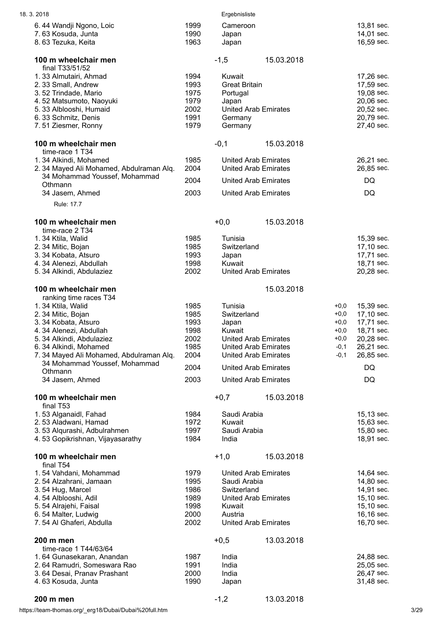| 18.3.2018                                                                                                                                                                                                                                                     |                                                              | Ergebnisliste                                                                                                                                                         |            |                                                                    |                                                                                                      |
|---------------------------------------------------------------------------------------------------------------------------------------------------------------------------------------------------------------------------------------------------------------|--------------------------------------------------------------|-----------------------------------------------------------------------------------------------------------------------------------------------------------------------|------------|--------------------------------------------------------------------|------------------------------------------------------------------------------------------------------|
| 6.44 Wandji Ngono, Loic<br>7.63 Kosuda, Junta<br>8.63 Tezuka, Keita                                                                                                                                                                                           | 1999<br>1990<br>1963                                         | Cameroon<br>Japan<br>Japan                                                                                                                                            |            |                                                                    | 13,81 sec.<br>14,01 sec.<br>16,59 sec.                                                               |
| 100 m wheelchair men<br>final T33/51/52                                                                                                                                                                                                                       |                                                              | $-1,5$                                                                                                                                                                | 15.03.2018 |                                                                    |                                                                                                      |
| 1.33 Almutairi, Ahmad<br>2.33 Small, Andrew<br>3.52 Trindade, Mario<br>4.52 Matsumoto, Naoyuki<br>5.33 Alblooshi, Humaid<br>6.33 Schmitz, Denis<br>7.51 Ziesmer, Ronny                                                                                        | 1994<br>1993<br>1975<br>1979<br>2002<br>1991<br>1979         | Kuwait<br><b>Great Britain</b><br>Portugal<br>Japan<br><b>United Arab Emirates</b><br>Germany<br>Germany                                                              |            |                                                                    | 17,26 sec.<br>17,59 sec.<br>19,08 sec.<br>20,06 sec.<br>20,52 sec.<br>20,79 sec.<br>27,40 sec.       |
| 100 m wheelchair men<br>time-race 1 T34                                                                                                                                                                                                                       |                                                              | $-0,1$                                                                                                                                                                | 15.03.2018 |                                                                    |                                                                                                      |
| 1.34 Alkindi, Mohamed<br>2.34 Mayed Ali Mohamed, Abdulraman Alq.                                                                                                                                                                                              | 1985<br>2004                                                 | <b>United Arab Emirates</b><br><b>United Arab Emirates</b>                                                                                                            |            |                                                                    | 26,21 sec.<br>26,85 sec.                                                                             |
| 34 Mohammad Youssef, Mohammad<br>Othmann                                                                                                                                                                                                                      | 2004                                                         | <b>United Arab Emirates</b>                                                                                                                                           |            |                                                                    | DQ                                                                                                   |
| 34 Jasem, Ahmed<br>Rule: 17.7                                                                                                                                                                                                                                 | 2003                                                         | <b>United Arab Emirates</b>                                                                                                                                           |            |                                                                    | DQ                                                                                                   |
| 100 m wheelchair men                                                                                                                                                                                                                                          |                                                              | $+0,0$                                                                                                                                                                | 15.03.2018 |                                                                    |                                                                                                      |
| time-race 2 T34<br>1.34 Ktila, Walid<br>2.34 Mitic, Bojan<br>3.34 Kobata, Atsuro<br>4.34 Alenezi, Abdullah<br>5. 34 Alkindi, Abdulaziez                                                                                                                       | 1985<br>1985<br>1993<br>1998<br>2002                         | Tunisia<br>Switzerland<br>Japan<br>Kuwait<br><b>United Arab Emirates</b>                                                                                              |            |                                                                    | 15,39 sec.<br>17,10 sec.<br>17,71 sec.<br>18,71 sec.<br>20,28 sec.                                   |
| 100 m wheelchair men                                                                                                                                                                                                                                          |                                                              |                                                                                                                                                                       | 15.03.2018 |                                                                    |                                                                                                      |
| ranking time races T34<br>1.34 Ktila, Walid<br>2.34 Mitic, Bojan<br>3.34 Kobata, Atsuro<br>4.34 Alenezi, Abdullah<br>5.34 Alkindi, Abdulaziez<br>6.34 Alkindi, Mohamed<br>7.34 Mayed Ali Mohamed, Abdulraman Alq.<br>34 Mohammad Youssef, Mohammad<br>Othmann | 1985<br>1985<br>1993<br>1998<br>2002<br>1985<br>2004<br>2004 | Tunisia<br>Switzerland<br>Japan<br>Kuwait<br><b>United Arab Emirates</b><br><b>United Arab Emirates</b><br><b>United Arab Emirates</b><br><b>United Arab Emirates</b> |            | $+0,0$<br>$+0,0$<br>$+0,0$<br>$+0,0$<br>$+0,0$<br>$-0,1$<br>$-0,1$ | 15,39 sec.<br>17,10 sec.<br>17,71 sec.<br>18,71 sec.<br>20,28 sec.<br>26,21 sec.<br>26,85 sec.<br>DQ |
| 34 Jasem, Ahmed                                                                                                                                                                                                                                               | 2003                                                         | <b>United Arab Emirates</b>                                                                                                                                           |            |                                                                    | DQ                                                                                                   |
| 100 m wheelchair men<br>final T53                                                                                                                                                                                                                             |                                                              | $+0,7$                                                                                                                                                                | 15.03.2018 |                                                                    |                                                                                                      |
| 1.53 Alganaidl, Fahad<br>2.53 Aladwani, Hamad<br>3.53 Alqurashi, Adbulrahmen<br>4.53 Gopikrishnan, Vijayasarathy                                                                                                                                              | 1984<br>1972<br>1997<br>1984                                 | Saudi Arabia<br>Kuwait<br>Saudi Arabia<br>India                                                                                                                       |            |                                                                    | 15,13 sec.<br>15,63 sec.<br>15,80 sec.<br>18,91 sec.                                                 |
| 100 m wheelchair men<br>final T54                                                                                                                                                                                                                             |                                                              | $+1,0$                                                                                                                                                                | 15.03.2018 |                                                                    |                                                                                                      |
| 1.54 Vahdani, Mohammad<br>2.54 Alzahrani, Jamaan<br>3.54 Hug, Marcel<br>4.54 Alblooshi, Adil<br>5.54 Alrajehi, Faisal<br>6.54 Malter, Ludwig<br>7.54 Al Ghaferi, Abdulla                                                                                      | 1979<br>1995<br>1986<br>1989<br>1998<br>2000<br>2002         | <b>United Arab Emirates</b><br>Saudi Arabia<br>Switzerland<br><b>United Arab Emirates</b><br>Kuwait<br>Austria<br><b>United Arab Emirates</b>                         |            |                                                                    | 14,64 sec.<br>14,80 sec.<br>14,91 sec.<br>15,10 sec.<br>15,10 sec.<br>16,16 sec.<br>16,70 sec.       |
| 200 m men                                                                                                                                                                                                                                                     |                                                              | $+0,5$                                                                                                                                                                | 13.03.2018 |                                                                    |                                                                                                      |
| time-race 1 T44/63/64<br>1.64 Gunasekaran, Anandan<br>2.64 Ramudri, Someswara Rao<br>3.64 Desai, Pranav Prashant<br>4.63 Kosuda, Junta                                                                                                                        | 1987<br>1991<br>2000<br>1990                                 | India<br>India<br>India<br>Japan                                                                                                                                      |            |                                                                    | 24,88 sec.<br>25,05 sec.<br>26,47 sec.<br>31,48 sec.                                                 |

# **200 m men** -1,2 13.03.2018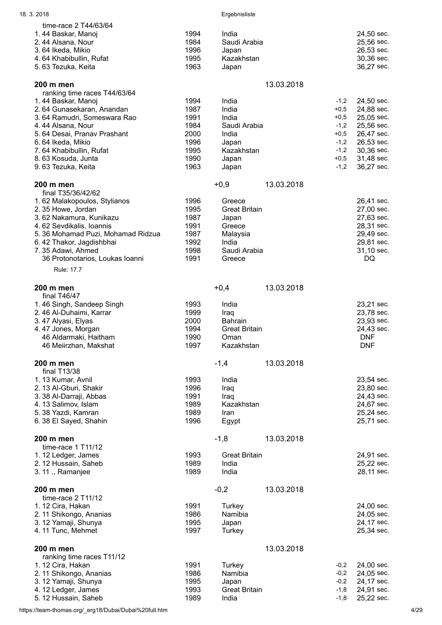| 18.3.2018                                      |              | Ergebnisliste        |            |        |                          |
|------------------------------------------------|--------------|----------------------|------------|--------|--------------------------|
| time-race 2 T44/63/64                          |              |                      |            |        |                          |
| 1.44 Baskar, Manoj                             | 1994         | India                |            |        | 24,50 sec.               |
| 2.44 Alsana, Nour                              | 1984         | Saudi Arabia         |            |        | 25,56 sec.               |
| 3.64 Ikeda, Mikio                              | 1996         | Japan                |            |        | 26,53 sec.               |
| 4.64 Khabibullin, Rufat                        | 1995         | Kazakhstan           |            |        | 30,36 sec.               |
| 5.63 Tezuka, Keita                             | 1963         | Japan                |            |        | 36,27 sec.               |
| 200 m men                                      |              |                      | 13.03.2018 |        |                          |
| ranking time races T44/63/64                   |              |                      |            |        |                          |
| 1.44 Baskar, Manoj                             | 1994         | India                |            | $-1,2$ | 24,50 sec.               |
| 2.64 Gunasekaran, Anandan                      | 1987         | India                |            | $+0,5$ | 24,88 sec.               |
| 3.64 Ramudri, Someswara Rao                    | 1991         | India                |            | $+0,5$ | 25,05 sec.               |
| 4.44 Alsana, Nour                              | 1984         | Saudi Arabia         |            | $-1,2$ | 25,56 sec.               |
| 5.64 Desai, Pranav Prashant                    | 2000         | India                |            | $+0,5$ | 26,47 sec.               |
| 6.64 Ikeda, Mikio                              | 1996         | Japan                |            | $-1,2$ | 26,53 sec.               |
| 7.64 Khabibullin, Rufat                        | 1995         | Kazakhstan           |            | $-1,2$ | 30,36 sec.               |
| 8.63 Kosuda, Junta                             | 1990         | Japan                |            | $+0,5$ | 31,48 sec.               |
| 9.63 Tezuka, Keita                             | 1963         | Japan                |            | $-1,2$ | 36,27 sec.               |
| 200 m men                                      |              | $+0,9$               | 13.03.2018 |        |                          |
| final T35/36/42/62                             |              |                      |            |        |                          |
| 1.62 Malakopoulos, Stylianos                   | 1996         | Greece               |            |        | 26,41 sec.               |
| 2.35 Howe, Jordan                              | 1995         | <b>Great Britain</b> |            |        | 27,00 sec.               |
| 3.62 Nakamura, Kunikazu                        | 1987         | Japan                |            |        | 27,63 sec.               |
| 4.62 Sevdikalis, Ioannis                       | 1991         | Greece               |            |        | 28,31 sec.               |
| 5.36 Mohamad Puzi, Mohamad Ridzua              | 1987         | Malaysia             |            |        | 29,49 sec.               |
| 6.42 Thakor, Jagdishbhai                       | 1992         | India                |            |        | 29,81 sec.               |
| 7.35 Adawi, Ahmed                              | 1998         | Saudi Arabia         |            |        | 31,10 sec.               |
| 36 Protonotarios, Loukas Ioanni<br>Rule: 17.7  | 1991         | Greece               |            |        | DQ.                      |
|                                                |              |                      |            |        |                          |
| 200 m men                                      |              | $+0,4$               | 13.03.2018 |        |                          |
| final T46/47                                   |              |                      |            |        |                          |
| 1.46 Singh, Sandeep Singh                      | 1993         | India                |            |        | 23,21 sec.               |
| 2.46 Al-Duhaimi, Karrar                        | 1999         | Iraq                 |            |        | 23,78 sec.               |
| 3.47 Alyasi, Elyas                             | 2000         | <b>Bahrain</b>       |            |        | 23,93 sec.               |
| 4.47 Jones, Morgan                             | 1994<br>1990 | <b>Great Britain</b> |            |        | 24,43 sec.<br><b>DNF</b> |
| 46 Aldarmaki, Haitham<br>46 Meiirzhan, Makshat | 1997         | Oman<br>Kazakhstan   |            |        | <b>DNF</b>               |
|                                                |              |                      |            |        |                          |
| 200 m men                                      |              | $-1,4$               | 13.03.2018 |        |                          |
| final T13/38                                   |              |                      |            |        |                          |
| 1.13 Kumar, Avnil                              | 1993         | India                |            |        | 23,54 sec.               |
| 2. 13 Al-Gburi, Shakir                         | 1996         | Iraq                 |            |        | 23,80 sec.               |
| 3. 38 Al-Darraji, Abbas                        | 1991         | Iraq                 |            |        | 24,43 sec.               |
| 4.13 Salimov, Islam<br>5. 38 Yazdi, Kamran     | 1989<br>1989 | Kazakhstan<br>Iran   |            |        | 24,67 sec.<br>25,24 sec. |
| 6.38 El Sayed, Shahin                          | 1996         | Egypt                |            |        | 25,71 sec.               |
|                                                |              |                      |            |        |                          |
| 200 m men                                      |              | $-1,8$               | 13.03.2018 |        |                          |
| time-race 1 T11/12<br>1. 12 Ledger, James      | 1993         | <b>Great Britain</b> |            |        | 24,91 sec.               |
| 2.12 Hussain, Saheb                            | 1989         | India                |            |        | 25,22 sec.               |
| 3. 11 ., Ramanjee                              | 1989         | India                |            |        | 28,11 sec.               |
| 200 m men                                      |              | $-0,2$               | 13.03.2018 |        |                          |
| time-race 2 T11/12                             |              |                      |            |        |                          |
| 1.12 Cira, Hakan                               | 1991         | Turkey               |            |        | 24,00 sec.               |
| 2. 11 Shikongo, Ananias                        | 1986         | Namibia              |            |        | 24,05 sec.               |
| 3. 12 Yamaji, Shunya                           | 1995         | Japan                |            |        | 24,17 sec.               |
| 4.11 Tunc, Mehmet                              | 1997         | Turkey               |            |        | 25,34 sec.               |
| 200 m men                                      |              |                      | 13.03.2018 |        |                          |
| ranking time races T11/12                      |              |                      |            |        |                          |
| 1.12 Cira, Hakan                               | 1991         | Turkey               |            | $-0,2$ | 24,00 sec.               |
| 2. 11 Shikongo, Ananias                        | 1986         | Namibia              |            | $-0,2$ | 24,05 sec.               |
| 3. 12 Yamaji, Shunya                           | 1995         | Japan                |            | $-0,2$ | 24,17 sec.               |
| 4. 12 Ledger, James                            | 1993         | <b>Great Britain</b> |            | $-1,8$ | 24,91 sec.               |
| 5. 12 Hussain, Saheb                           | 1989         | India                |            | $-1,8$ | 25,22 sec.               |

https://team-thomas.org/\_erg18/Dubai/Dubai%20full.htm 4/29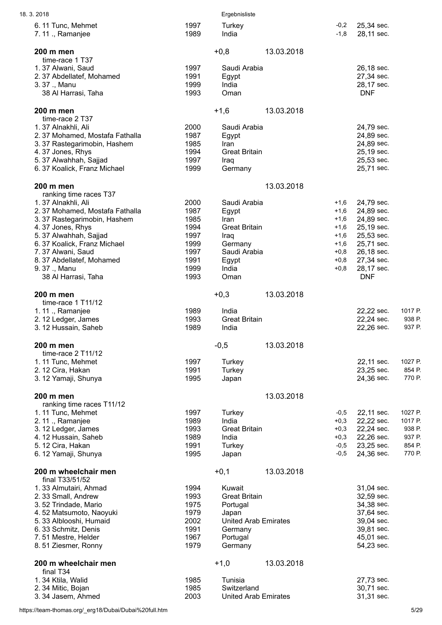| 18.3.2018                                  |              | Ergebnisliste               |            |        |                          |                  |
|--------------------------------------------|--------------|-----------------------------|------------|--------|--------------------------|------------------|
| 6.11 Tunc, Mehmet                          | 1997         | Turkey                      |            | $-0,2$ | 25,34 sec.               |                  |
| 7.11., Ramanjee                            | 1989         | India                       |            | $-1,8$ | 28,11 sec.               |                  |
| 200 m men                                  |              | $+0,8$                      | 13.03.2018 |        |                          |                  |
| time-race 1 T37                            |              |                             |            |        |                          |                  |
| 1.37 Alwani, Saud                          | 1997         | Saudi Arabia                |            |        | 26,18 sec.               |                  |
| 2.37 Abdellatef, Mohamed                   | 1991         | Egypt                       |            |        | 27,34 sec.               |                  |
| 3.37 ., Manu                               | 1999         | India                       |            |        | 28,17 sec.               |                  |
| 38 Al Harrasi, Taha                        | 1993         | Oman                        |            |        | <b>DNF</b>               |                  |
|                                            |              |                             |            |        |                          |                  |
| 200 m men                                  |              | $+1,6$                      | 13.03.2018 |        |                          |                  |
| time-race 2 T37                            |              |                             |            |        |                          |                  |
| 1.37 Alnakhli, Ali                         | 2000         | Saudi Arabia                |            |        | 24,79 sec.               |                  |
| 2.37 Mohamed, Mostafa Fathalla             | 1987         | Egypt                       |            |        | 24,89 sec.               |                  |
| 3.37 Rastegarimobin, Hashem                | 1985         | Iran                        |            |        | 24,89 sec.               |                  |
| 4.37 Jones, Rhys                           | 1994         | <b>Great Britain</b>        |            |        | 25,19 sec.               |                  |
| 5.37 Alwahhah, Sajjad                      | 1997         | Iraq                        |            |        | 25,53 sec.               |                  |
| 6.37 Koalick, Franz Michael                | 1999         | Germany                     |            |        | 25,71 sec.               |                  |
| 200 m men                                  |              |                             | 13.03.2018 |        |                          |                  |
| ranking time races T37                     |              |                             |            |        |                          |                  |
| 1.37 Alnakhli, Ali                         | 2000         | Saudi Arabia                |            | $+1,6$ | 24,79 sec.               |                  |
| 2.37 Mohamed, Mostafa Fathalla             | 1987         | Egypt                       |            | $+1,6$ | 24,89 sec.               |                  |
| 3.37 Rastegarimobin, Hashem                | 1985         | Iran                        |            | $+1,6$ | 24,89 sec.               |                  |
| 4.37 Jones, Rhys                           | 1994         | <b>Great Britain</b>        |            | $+1,6$ | 25,19 sec.               |                  |
| 5.37 Alwahhah, Sajjad                      | 1997         | Iraq                        |            | $+1,6$ | 25,53 sec.               |                  |
| 6.37 Koalick, Franz Michael                | 1999         | Germany                     |            | $+1,6$ | 25,71 sec.               |                  |
| 7.37 Alwani, Saud                          | 1997         | Saudi Arabia                |            | $+0,8$ | 26,18 sec.               |                  |
| 8.37 Abdellatef, Mohamed                   | 1991         | Egypt                       |            | $+0,8$ | 27,34 sec.               |                  |
| 9.37., Manu                                | 1999         | India                       |            | $+0,8$ | 28,17 sec.               |                  |
| 38 Al Harrasi, Taha                        | 1993         | Oman                        |            |        | <b>DNF</b>               |                  |
|                                            |              |                             |            |        |                          |                  |
| 200 m men                                  |              | $+0,3$                      | 13.03.2018 |        |                          |                  |
| time-race $1$ T11/12                       |              |                             |            |        |                          |                  |
| 1.11., Ramanjee                            | 1989         | India                       |            |        | 22,22 sec.               | 1017 P.          |
| 2.12 Ledger, James<br>3.12 Hussain, Saheb  | 1993<br>1989 | <b>Great Britain</b>        |            |        | 22,24 sec.<br>22,26 sec. | 938 P.<br>937 P. |
|                                            |              | India                       |            |        |                          |                  |
| 200 m men                                  |              | $-0,5$                      | 13.03.2018 |        |                          |                  |
| time-race 2 T11/12                         |              |                             |            |        |                          |                  |
| 1.11 Tunc, Mehmet                          | 1997         | Turkey                      |            |        | 22,11 sec.               | 1027 P.          |
| 2. 12 Cira, Hakan                          | 1991         | Turkey                      |            |        | 23,25 sec.               | 854 P.           |
| 3. 12 Yamaji, Shunya                       | 1995         | Japan                       |            |        | 24,36 sec.               | 770 P.           |
|                                            |              |                             |            |        |                          |                  |
| 200 m men<br>ranking time races T11/12     |              |                             | 13.03.2018 |        |                          |                  |
| 1.11 Tunc, Mehmet                          | 1997         | Turkey                      |            | $-0,5$ | 22,11 sec.               | 1027 P.          |
| 2.11 ., Ramanjee                           | 1989         | India                       |            | $+0,3$ | 22,22 sec.               | 1017 P.          |
| 3. 12 Ledger, James                        | 1993         | <b>Great Britain</b>        |            | $+0,3$ | 22,24 sec.               | 938 P.           |
| 4.12 Hussain, Saheb                        | 1989         | India                       |            | $+0,3$ | 22,26 sec.               | 937 P.           |
| 5.12 Cira, Hakan                           | 1991         | Turkey                      |            | $-0,5$ | 23,25 sec.               | 854 P.           |
| 6. 12 Yamaji, Shunya                       | 1995         | Japan                       |            | $-0,5$ | 24,36 sec.               | 770 P.           |
|                                            |              |                             |            |        |                          |                  |
| 200 m wheelchair men                       |              | $+0,1$                      | 13.03.2018 |        |                          |                  |
| final T33/51/52                            |              |                             |            |        |                          |                  |
| 1.33 Almutairi, Ahmad                      | 1994         | Kuwait                      |            |        | 31,04 sec.               |                  |
| 2.33 Small, Andrew                         | 1993         | <b>Great Britain</b>        |            |        | 32,59 sec.               |                  |
| 3.52 Trindade, Mario                       | 1975         | Portugal                    |            |        | 34,38 sec.               |                  |
| 4.52 Matsumoto, Naoyuki                    | 1979         | Japan                       |            |        | 37,64 sec.               |                  |
| 5.33 Alblooshi, Humaid                     | 2002         | <b>United Arab Emirates</b> |            |        | 39,04 sec.               |                  |
| 6.33 Schmitz, Denis                        | 1991         | Germany                     |            |        | 39,81 sec.               |                  |
| 7.51 Mestre, Helder<br>8.51 Ziesmer, Ronny | 1967<br>1979 | Portugal<br>Germany         |            |        | 45,01 sec.<br>54,23 sec. |                  |
|                                            |              |                             |            |        |                          |                  |
| 200 m wheelchair men                       |              | $+1,0$                      | 13.03.2018 |        |                          |                  |
| final T34                                  |              |                             |            |        |                          |                  |
| 1.34 Ktila, Walid                          | 1985         | Tunisia                     |            |        | 27,73 sec.               |                  |
| 2.34 Mitic, Bojan                          | 1985         | Switzerland                 |            |        | 30,71 sec.               |                  |
| 3.34 Jasem, Ahmed                          | 2003         | <b>United Arab Emirates</b> |            |        | 31,31 sec.               |                  |

https://team-thomas.org/\_erg18/Dubai/Dubai%20full.htm 5/29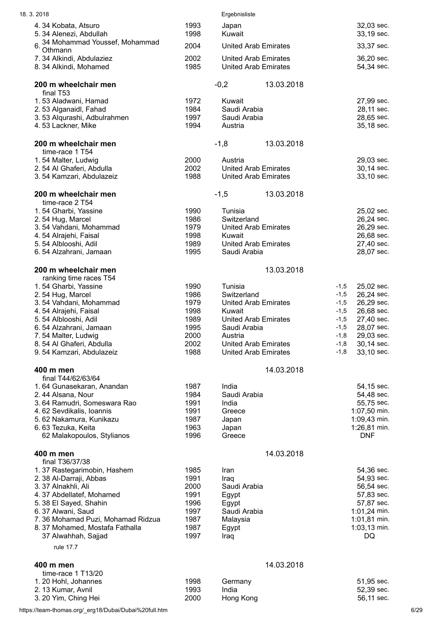| 18.3.2018                                                     |              | Ergebnisliste                                              |                                              |
|---------------------------------------------------------------|--------------|------------------------------------------------------------|----------------------------------------------|
| 4.34 Kobata, Atsuro                                           | 1993         | Japan                                                      | 32,03 sec.                                   |
| 5.34 Alenezi, Abdullah<br>34 Mohammad Youssef, Mohammad<br>6. | 1998         | Kuwait                                                     | 33,19 sec.                                   |
| Othmann                                                       | 2004         | <b>United Arab Emirates</b>                                | 33,37 sec.                                   |
| 7.34 Alkindi, Abdulaziez<br>8.34 Alkindi, Mohamed             | 2002<br>1985 | <b>United Arab Emirates</b><br><b>United Arab Emirates</b> | 36,20 sec.<br>54,34 sec.                     |
| 200 m wheelchair men                                          |              | $-0,2$<br>13.03.2018                                       |                                              |
| final T53<br>1.53 Aladwani, Hamad                             | 1972         | Kuwait                                                     | 27,99 sec.                                   |
| 2.53 Alganaidl, Fahad                                         | 1984         | Saudi Arabia                                               | 28,11 sec.                                   |
| 3.53 Alqurashi, Adbulrahmen<br>4.53 Lackner, Mike             | 1997<br>1994 | Saudi Arabia<br>Austria                                    | 28,65 sec.<br>35,18 sec.                     |
| 200 m wheelchair men<br>time-race 1 T54                       |              | $-1,8$<br>13.03.2018                                       |                                              |
| 1.54 Malter, Ludwig                                           | 2000         | Austria                                                    | 29,03 sec.                                   |
| 2.54 Al Ghaferi, Abdulla                                      | 2002         | <b>United Arab Emirates</b>                                | 30,14 sec.                                   |
| 3.54 Kamzari, Abdulazeiz                                      | 1988         | <b>United Arab Emirates</b>                                | 33,10 sec.                                   |
| 200 m wheelchair men<br>time-race 2 T54                       |              | 13.03.2018<br>$-1,5$                                       |                                              |
| 1.54 Gharbi, Yassine<br>2.54 Hug, Marcel                      | 1990<br>1986 | Tunisia<br>Switzerland                                     | 25,02 sec.<br>26,24 sec.                     |
| 3.54 Vahdani, Mohammad                                        | 1979         | <b>United Arab Emirates</b>                                | 26,29 sec.                                   |
| 4.54 Alrajehi, Faisal                                         | 1998         | Kuwait                                                     | 26,68 sec.                                   |
| 5.54 Alblooshi, Adil                                          | 1989<br>1995 | <b>United Arab Emirates</b><br>Saudi Arabia                | 27,40 sec.<br>28,07 sec.                     |
| 6.54 Alzahrani, Jamaan                                        |              |                                                            |                                              |
| 200 m wheelchair men<br>ranking time races T54                |              | 13.03.2018                                                 |                                              |
| 1.54 Gharbi, Yassine                                          | 1990         | Tunisia                                                    | 25,02 sec.<br>$-1,5$                         |
| 2.54 Hug, Marcel                                              | 1986         | Switzerland                                                | $-1,5$<br>26,24 sec.                         |
| 3.54 Vahdani, Mohammad<br>4.54 Alrajehi, Faisal               | 1979<br>1998 | <b>United Arab Emirates</b><br>Kuwait                      | 26,29 sec.<br>$-1,5$<br>26,68 sec.<br>$-1,5$ |
| 5.54 Alblooshi, Adil                                          | 1989         | <b>United Arab Emirates</b>                                | 27,40 sec.<br>$-1,5$                         |
| 6.54 Alzahrani, Jamaan                                        | 1995         | Saudi Arabia                                               | $-1,5$<br>28,07 sec.                         |
| 7.54 Malter, Ludwig<br>8.54 Al Ghaferi, Abdulla               | 2000<br>2002 | Austria<br><b>United Arab Emirates</b>                     | 29,03 sec.<br>$-1,8$<br>30,14 sec.<br>$-1,8$ |
| 9.54 Kamzari, Abdulazeiz                                      | 1988         | <b>United Arab Emirates</b>                                | 33,10 sec.<br>$-1,8$                         |
| 400 m men<br>final T44/62/63/64                               |              | 14.03.2018                                                 |                                              |
| 1.64 Gunasekaran, Anandan                                     | 1987         | India                                                      | 54,15 sec.                                   |
| 2.44 Alsana, Nour                                             | 1984         | Saudi Arabia                                               | 54,48 sec.                                   |
| 3.64 Ramudri, Someswara Rao<br>4.62 Sevdikalis, Ioannis       | 1991<br>1991 | India<br>Greece                                            | 55,75 sec.<br>1:07,50 min.                   |
| 5.62 Nakamura, Kunikazu                                       | 1987         | Japan                                                      | 1:09,43 min.                                 |
| 6.63 Tezuka, Keita                                            | 1963         | Japan                                                      | 1:26,81 min.                                 |
| 62 Malakopoulos, Stylianos                                    | 1996         | Greece                                                     | <b>DNF</b>                                   |
| 400 m men<br>final T36/37/38                                  |              | 14.03.2018                                                 |                                              |
| 1.37 Rastegarimobin, Hashem                                   | 1985         | Iran                                                       | 54,36 sec.                                   |
| 2. 38 Al-Darraji, Abbas<br>3.37 Alnakhli, Ali                 | 1991<br>2000 | Iraq<br>Saudi Arabia                                       | 54,93 sec.<br>56,54 sec.                     |
| 4.37 Abdellatef, Mohamed                                      | 1991         | Egypt                                                      | 57,83 sec.                                   |
| 5.38 El Sayed, Shahin                                         | 1996         | Egypt                                                      | 57,87 sec.                                   |
| 6.37 Alwani, Saud<br>7.36 Mohamad Puzi, Mohamad Ridzua        | 1997<br>1987 | Saudi Arabia<br>Malaysia                                   | 1:01,24 min.<br>1:01,81 min.                 |
| 8.37 Mohamed, Mostafa Fathalla                                | 1987         | Egypt                                                      | 1:03,13 min.                                 |
| 37 Alwahhah, Sajjad                                           | 1997         | Iraq                                                       | DQ                                           |
| rule 17.7                                                     |              |                                                            |                                              |
| 400 m men                                                     |              | 14.03.2018                                                 |                                              |
| time-race 1 T13/20<br>1.20 Hohl, Johannes                     | 1998         | Germany                                                    | 51,95 sec.                                   |
| 2.13 Kumar, Avnil                                             | 1993         | India                                                      | 52,39 sec.                                   |
| 3. 20 Yim, Ching Hei                                          | 2000         | Hong Kong                                                  | 56,11 sec.                                   |
|                                                               |              |                                                            |                                              |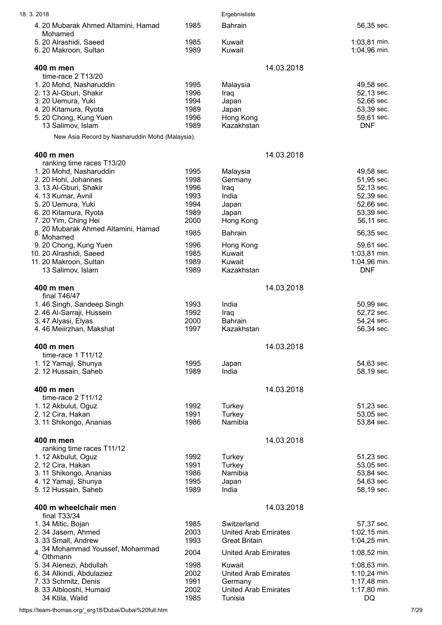| 18.3.2018                                       |              | Ergebnisliste                          |                              |
|-------------------------------------------------|--------------|----------------------------------------|------------------------------|
| 4. 20 Mubarak Ahmed Altamini, Hamad             | 1985         | <b>Bahrain</b>                         | 56,35 sec.                   |
| Mohamed                                         |              |                                        |                              |
| 5. 20 Alrashidi, Saeed<br>6. 20 Makroon, Sultan | 1985<br>1989 | Kuwait<br>Kuwait                       | 1:03,81 min.<br>1:04,96 min. |
|                                                 |              |                                        |                              |
| 400 m men                                       |              | 14.03.2018                             |                              |
| time-race 2 T13/20<br>1.20 Mohd, Nasharuddin    | 1995         |                                        | 49,58 sec.                   |
| 2. 13 Al-Gburi, Shakir                          | 1996         | Malaysia<br>Iraq                       | 52,13 sec.                   |
| 3. 20 Uemura, Yuki                              | 1994         | Japan                                  | 52,66 sec.                   |
| 4. 20 Kitamura, Ryota                           | 1989         | Japan                                  | 53,39 sec.                   |
| 5.20 Chong, Kung Yuen                           | 1996         | Hong Kong                              | 59,61 sec.                   |
| 13 Salimov, Islam                               | 1989         | Kazakhstan                             | <b>DNF</b>                   |
| New Asia Record by Nasharuddin Mohd (Malaysia). |              |                                        |                              |
| 400 m men                                       |              | 14.03.2018                             |                              |
| ranking time races T13/20                       |              |                                        |                              |
| 1.20 Mohd, Nasharuddin                          | 1995         | Malaysia                               | 49,58 sec.                   |
| 2.20 Hohl, Johannes                             | 1998         | Germany                                | 51,95 sec.                   |
| 3. 13 Al-Gburi, Shakir                          | 1996         | Iraq                                   | 52,13 sec.                   |
| 4.13 Kumar, Avnil                               | 1993         | India                                  | 52,39 sec.                   |
| 5. 20 Uemura, Yuki                              | 1994<br>1989 | Japan                                  | 52,66 sec.                   |
| 6. 20 Kitamura, Ryota<br>7.20 Yim, Ching Hei    | 2000         | Japan<br>Hong Kong                     | 53,39 sec.<br>56,11 sec.     |
| 20 Mubarak Ahmed Altamini, Hamad                |              |                                        |                              |
| Mohamed                                         | 1985         | <b>Bahrain</b>                         | 56,35 sec.                   |
| 9.20 Chong, Kung Yuen                           | 1996         | Hong Kong                              | 59,61 sec.                   |
| 10. 20 Alrashidi, Saeed                         | 1985         | Kuwait                                 | 1:03,81 min.                 |
| 11.20 Makroon, Sultan                           | 1989         | Kuwait                                 | 1:04,96 min.                 |
| 13 Salimov, Islam                               | 1989         | Kazakhstan                             | <b>DNF</b>                   |
| 400 m men                                       |              | 14.03.2018                             |                              |
| final T46/47                                    |              |                                        |                              |
| 1.46 Singh, Sandeep Singh                       | 1993         | India                                  | 50,99 sec.                   |
| 2.46 Al-Sarraji, Hussein                        | 1992         | Iraq                                   | 52,72 sec.                   |
| 3.47 Alyasi, Elyas                              | 2000         | Bahrain                                | 54,24 sec.                   |
| 4.46 Meiirzhan, Makshat                         | 1997         | Kazakhstan                             | 56,34 sec.                   |
| 400 m men                                       |              | 14.03.2018                             |                              |
| time-race $1$ T11/12                            |              |                                        |                              |
| 1.12 Yamaji, Shunya                             | 1995         | Japan                                  | 54,63 sec.                   |
| 2. 12 Hussain, Saheb                            | 1989         | India                                  | 58,19 sec.                   |
| 400 m men                                       |              | 14.03.2018                             |                              |
| time-race 2 T11/12                              |              |                                        |                              |
| 1. 12 Akbulut, Oguz                             | 1992         | Turkey                                 | 51,23 sec.                   |
| 2. 12 Cira, Hakan                               | 1991         | Turkey                                 | 53,05 sec.                   |
| 3. 11 Shikongo, Ananias                         | 1986         | Namibia                                | 53,84 sec.                   |
| 400 m men                                       |              | 14.03.2018                             |                              |
| ranking time races T11/12                       |              |                                        |                              |
| 1.12 Akbulut, Oguz                              | 1992         | Turkey                                 | 51,23 sec.                   |
| 2.12 Cira, Hakan                                | 1991         | Turkey<br>Namibia                      | 53,05 sec.                   |
| 3. 11 Shikongo, Ananias<br>4.12 Yamaji, Shunya  | 1986<br>1995 | Japan                                  | 53,84 sec.<br>54,63 sec.     |
| 5. 12 Hussain, Saheb                            | 1989         | India                                  | 58,19 sec.                   |
|                                                 |              |                                        |                              |
| 400 m wheelchair men<br>final T33/34            |              | 14.03.2018                             |                              |
| 1.34 Mitic, Bojan                               | 1985         | Switzerland                            | 57,37 sec.                   |
| 2.34 Jasem, Ahmed                               | 2003         | <b>United Arab Emirates</b>            | 1:02,15 min.                 |
| 3.33 Small, Andrew                              | 1993         | <b>Great Britain</b>                   | 1:04,25 min.                 |
| 34 Mohammad Youssef, Mohammad                   | 2004         | <b>United Arab Emirates</b>            | 1:08,52 min.                 |
| $4. \overline{Othmann}$                         |              |                                        |                              |
| 5. 34 Alenezi, Abdullah                         | 1998         | Kuwait                                 | 1:08,63 min.                 |
| 6.34 Alkindi, Abdulaziez                        | 2002         | <b>United Arab Emirates</b>            | 1:10,24 min.                 |
| 7.33 Schmitz, Denis<br>8.33 Alblooshi, Humaid   | 1991<br>2002 | Germany<br><b>United Arab Emirates</b> | 1:17,48 min.<br>1:17,80 min. |
| 34 Ktila, Walid                                 | 1985         | Tunisia                                | DQ                           |

https://team-thomas.org/\_erg18/Dubai/Dubai%20full.htm 7/29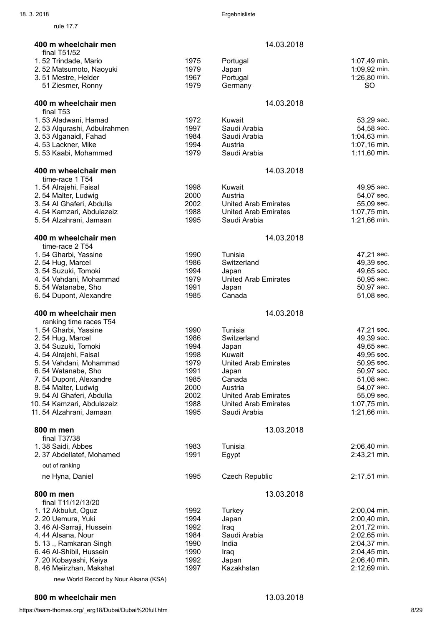rule 17.7

| 400 m wheelchair men                               |              | 14.03.2018                                  |                              |
|----------------------------------------------------|--------------|---------------------------------------------|------------------------------|
| final T51/52<br>1.52 Trindade, Mario               | 1975         | Portugal                                    | 1:07,49 min.                 |
| 2.52 Matsumoto, Naoyuki                            | 1979         | Japan                                       | 1:09,92 min.                 |
| 3.51 Mestre, Helder                                | 1967         | Portugal                                    | 1:26,80 min.                 |
| 51 Ziesmer, Ronny                                  | 1979         | Germany                                     | <b>SO</b>                    |
|                                                    |              |                                             |                              |
| 400 m wheelchair men<br>final T53                  |              | 14.03.2018                                  |                              |
| 1.53 Aladwani, Hamad                               | 1972         | Kuwait                                      | 53,29 sec.                   |
| 2.53 Alqurashi, Adbulrahmen                        | 1997         | Saudi Arabia                                | 54,58 sec.                   |
| 3.53 Alganaidl, Fahad                              | 1984         | Saudi Arabia                                | $1:04,63$ min.               |
| 4.53 Lackner, Mike<br>5.53 Kaabi, Mohammed         | 1994<br>1979 | Austria<br>Saudi Arabia                     | 1:07,16 min.<br>1:11,60 min. |
|                                                    |              |                                             |                              |
| 400 m wheelchair men                               |              | 14.03.2018                                  |                              |
| time-race 1 T54                                    |              |                                             |                              |
| 1.54 Alrajehi, Faisal                              | 1998         | Kuwait                                      | 49,95 sec.                   |
| 2.54 Malter, Ludwig                                | 2000         | Austria                                     | 54,07 sec.                   |
| 3.54 Al Ghaferi, Abdulla                           | 2002         | <b>United Arab Emirates</b>                 | 55,09 sec.                   |
| 4.54 Kamzari, Abdulazeiz<br>5.54 Alzahrani, Jamaan | 1988<br>1995 | <b>United Arab Emirates</b><br>Saudi Arabia | 1:07,75 min.<br>1:21,66 min. |
|                                                    |              |                                             |                              |
| 400 m wheelchair men<br>time-race 2 T54            |              | 14.03.2018                                  |                              |
| 1.54 Gharbi, Yassine                               | 1990         | Tunisia                                     | 47,21 sec.                   |
| 2.54 Hug, Marcel                                   | 1986         | Switzerland                                 | 49,39 sec.                   |
| 3.54 Suzuki, Tomoki                                | 1994         | Japan                                       | 49,65 sec.                   |
| 4.54 Vahdani, Mohammad                             | 1979         | <b>United Arab Emirates</b>                 | 50,95 sec.                   |
| 5.54 Watanabe, Sho                                 | 1991         | Japan                                       | 50,97 sec.                   |
| 6.54 Dupont, Alexandre                             | 1985         | Canada                                      | 51,08 sec.                   |
| 400 m wheelchair men                               |              | 14.03.2018                                  |                              |
| ranking time races T54                             |              |                                             |                              |
| 1.54 Gharbi, Yassine<br>2.54 Hug, Marcel           | 1990<br>1986 | Tunisia<br>Switzerland                      | 47,21 sec.<br>49,39 sec.     |
| 3.54 Suzuki, Tomoki                                | 1994         | Japan                                       | 49,65 sec.                   |
| 4.54 Alrajehi, Faisal                              | 1998         | Kuwait                                      | 49,95 sec.                   |
| 5.54 Vahdani, Mohammad                             | 1979         | <b>United Arab Emirates</b>                 | 50,95 sec.                   |
| 6.54 Watanabe, Sho                                 | 1991         | Japan                                       | 50,97 sec.                   |
| 7.54 Dupont, Alexandre                             | 1985         | Canada                                      | 51,08 sec.                   |
| 8.54 Malter, Ludwig                                | 2000         | Austria                                     | 54,07 sec.                   |
| 9.54 Al Ghaferi, Abdulla                           | 2002         | <b>United Arab Emirates</b>                 | 55,09 sec.                   |
| 10.54 Kamzari, Abdulazeiz                          | 1988         | <b>United Arab Emirates</b>                 | 1:07,75 min.                 |
| 11.54 Alzahrani, Jamaan                            | 1995         | Saudi Arabia                                | 1:21,66 min.                 |
| 800 m men                                          |              | 13.03.2018                                  |                              |
| final T37/38                                       |              |                                             |                              |
| 1.38 Saidi, Abbes                                  | 1983         | Tunisia                                     | 2:06,40 min.                 |
| 2.37 Abdellatef, Mohamed<br>out of ranking         | 1991         | Egypt                                       | 2:43,21 min.                 |
| ne Hyna, Daniel                                    | 1995         | <b>Czech Republic</b>                       | 2:17,51 min.                 |
|                                                    |              |                                             |                              |
| 800 m men<br>final T11/12/13/20                    |              | 13.03.2018                                  |                              |
| 1.12 Akbulut, Oguz                                 | 1992         | Turkey                                      | 2:00,04 min.                 |
| 2.20 Uemura, Yuki                                  | 1994         | Japan                                       | 2:00,40 min.                 |
| 3.46 Al-Sarraji, Hussein                           | 1992         | Iraq                                        | 2:01,72 min.                 |
| 4.44 Alsana, Nour                                  | 1984         | Saudi Arabia                                | 2:02,65 min.                 |
| 5.13., Ramkaran Singh                              | 1990         | India                                       | 2:04,37 min.                 |
| 6.46 Al-Shibil, Hussein                            | 1990         | Iraq                                        | 2:04,45 min.                 |
| 7.20 Kobayashi, Keiya                              | 1992         | Japan                                       | 2:06,40 min.                 |
| 8.46 Meiirzhan, Makshat                            | 1997         | Kazakhstan                                  | 2:12,69 min.                 |
| new World Record by Nour Alsana (KSA)              |              |                                             |                              |

## 800 m wheelchair men 13.03.2018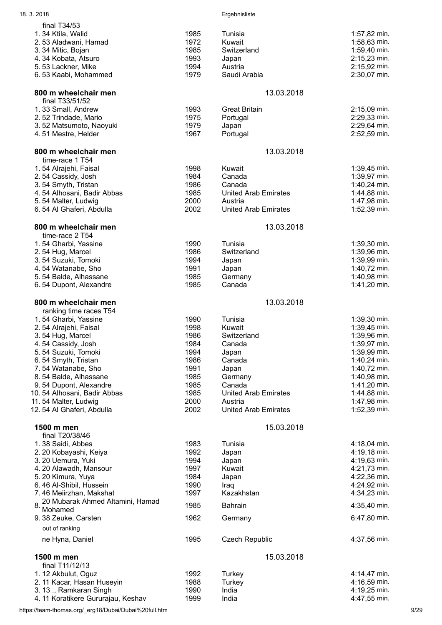| 18.3.2018                                      |              | Ergebnisliste                          |                |
|------------------------------------------------|--------------|----------------------------------------|----------------|
| final T34/53                                   |              |                                        |                |
| 1.34 Ktila, Walid                              | 1985         | Tunisia                                | 1:57,82 min.   |
| 2.53 Aladwani, Hamad                           | 1972         | Kuwait                                 | 1:58,63 min.   |
| 3.34 Mitic, Bojan                              | 1985         | Switzerland                            | 1:59,40 min.   |
| 4.34 Kobata, Atsuro                            | 1993         | Japan                                  | 2:15,23 min.   |
| 5.53 Lackner, Mike                             | 1994         | Austria                                | 2:15,92 min.   |
| 6.53 Kaabi, Mohammed                           | 1979         | Saudi Arabia                           | 2:30,07 min.   |
| 800 m wheelchair men<br>final T33/51/52        |              | 13.03.2018                             |                |
| 1.33 Small, Andrew                             | 1993         | <b>Great Britain</b>                   | 2:15,09 min.   |
| 2.52 Trindade, Mario                           | 1975         | Portugal                               | 2:29,33 min.   |
| 3.52 Matsumoto, Naoyuki                        | 1979         | Japan                                  | 2:29,64 min.   |
| 4.51 Mestre, Helder                            | 1967         | Portugal                               | 2:52,59 min.   |
| 800 m wheelchair men<br>time-race 1 T54        |              | 13.03.2018                             |                |
| 1.54 Alrajehi, Faisal                          | 1998         | Kuwait                                 | 1:39,45 min.   |
| 2.54 Cassidy, Josh                             | 1984         | Canada                                 | 1:39,97 min.   |
| 3.54 Smyth, Tristan                            | 1986         | Canada                                 | 1:40,24 min.   |
| 4.54 Alhosani, Badir Abbas                     | 1985         | <b>United Arab Emirates</b>            | 1:44,88 min.   |
| 5.54 Malter, Ludwig                            | 2000         | Austria                                | 1:47,98 min.   |
| 6.54 Al Ghaferi, Abdulla                       | 2002         | <b>United Arab Emirates</b>            | 1:52,39 min.   |
| 800 m wheelchair men<br>time-race 2 T54        |              | 13.03.2018                             |                |
| 1.54 Gharbi, Yassine                           | 1990         | Tunisia                                | 1:39,30 min.   |
| 2.54 Hug, Marcel                               | 1986         | Switzerland                            | 1:39,96 min.   |
| 3.54 Suzuki, Tomoki                            | 1994         | Japan                                  | 1:39,99 min.   |
| 4.54 Watanabe, Sho                             | 1991         | Japan                                  | 1:40,72 min.   |
| 5.54 Balde, Alhassane                          | 1985         | Germany                                | 1:40,98 min.   |
| 6.54 Dupont, Alexandre                         | 1985         | Canada                                 | 1:41,20 min.   |
| 800 m wheelchair men<br>ranking time races T54 |              | 13.03.2018                             |                |
| 1.54 Gharbi, Yassine                           | 1990         | Tunisia                                | 1:39,30 min.   |
| 2.54 Alrajehi, Faisal                          | 1998         | Kuwait                                 | 1:39,45 min.   |
| 3.54 Hug, Marcel                               | 1986         | Switzerland                            | 1:39,96 min.   |
| 4.54 Cassidy, Josh                             | 1984         | Canada                                 | $1:39,97$ min. |
| 5.54 Suzuki, Tomoki                            | 1994         | Japan                                  | 1:39,99 min.   |
| 6.54 Smyth, Tristan                            | 1986         | Canada                                 | 1:40,24 min.   |
| 7.54 Watanabe, Sho                             | 1991         | Japan                                  | 1:40,72 min.   |
| 8.54 Balde, Alhassane                          | 1985         | Germany                                | 1:40,98 min.   |
| 9.54 Dupont, Alexandre                         | 1985         | Canada                                 | 1:41,20 min.   |
| 10.54 Alhosani, Badir Abbas                    | 1985         | <b>United Arab Emirates</b>            | 1:44,88 min.   |
| 11.54 Malter, Ludwig                           | 2000<br>2002 | Austria<br><b>United Arab Emirates</b> | 1:47,98 min.   |
| 12.54 Al Ghaferi, Abdulla                      |              |                                        | 1:52,39 min.   |
| 1500 m men<br>final T20/38/46                  |              | 15.03.2018                             |                |
| 1.38 Saidi, Abbes                              | 1983         | Tunisia                                | 4:18,04 min.   |
| 2. 20 Kobayashi, Keiya                         | 1992         | Japan                                  | 4:19,18 min.   |
| 3. 20 Uemura, Yuki                             | 1994         | Japan                                  | 4:19,63 min.   |
| 4. 20 Alawadh, Mansour                         | 1997         | Kuwait                                 | 4:21,73 min.   |
| 5.20 Kimura, Yuya                              | 1984         | Japan                                  | 4:22,36 min.   |
| 6.46 Al-Shibil, Hussein                        | 1990         | Iraq                                   | 4:24,92 min.   |
| 7.46 Meiirzhan, Makshat                        | 1997         | Kazakhstan                             | 4:34,23 min.   |
| 20 Mubarak Ahmed Altamini, Hamad<br>8          | 1985         | <b>Bahrain</b>                         | 4:35,40 min.   |
| Mohamed                                        | 1962         |                                        |                |
| 9. 38 Zeuke, Carsten<br>out of ranking         |              | Germany                                | 6:47,80 min.   |
| ne Hyna, Daniel                                | 1995         | <b>Czech Republic</b>                  | 4:37,56 min.   |
|                                                |              |                                        |                |
| 1500 m men<br>final T11/12/13                  |              | 15.03.2018                             |                |
| 1. 12 Akbulut, Oguz                            | 1992         | Turkey                                 | 4:14,47 min.   |
| 2. 11 Kacar, Hasan Huseyin                     | 1988         | Turkey                                 | 4:16,59 min.   |
| 3.13., Ramkaran Singh                          | 1990         | India                                  | 4:19,25 min.   |
| 4.11 Koratikere Gururajau, Keshav              | 1999         | India                                  | 4:47,55 min.   |

https://team-thomas.org/\_erg18/Dubai/Dubai%20full.htm 9/29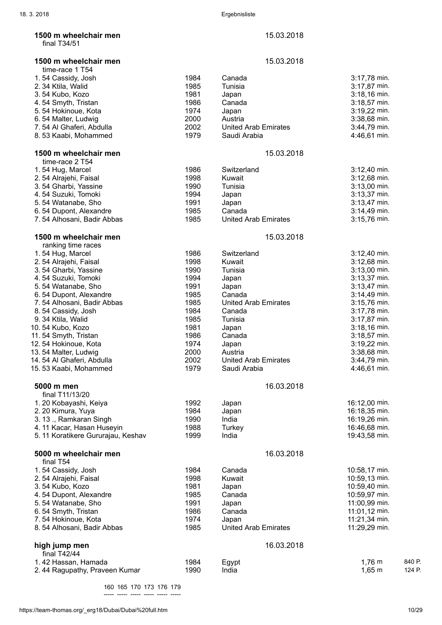|  | 1500 m wheelchair mer |  |
|--|-----------------------|--|
|  | final $T34/51$        |  |

1500 m wheelchair men 15.03.2018 time-race 1 T54 1. 54 Cassidy, Josh 1984 Canada 3:17,78 min. 2. 34 Ktila, Walid 3. 54 Kubo, Kozo 1981 Japan 3:18,16 min. 4. 54 Smyth, Tristan 1986 Canada 3:18,57 min. 5. 54 Hokinoue, Kota 1974 Japan 3:19,22 min. 6. 54 Malter, Ludwig 2000 Austria 3:38,68 min. 7. 54 Al Ghaferi, Abdulla 2002 United Arab Emirates 3:44,79 min. 8. 53 Kaabi, Mohammed 1979 Saudi Arabia 4:46,61 min. **1500 m wheelchair men** 15.03.2018 time-race 2 T54 1. 54 Hug, Marcel 1986 Switzerland 3:12,40 min. 2. 54 Alrajehi, Faisal 1998 Kuwait 3:12,68 min. 3. 54 Gharbi, Yassine 4. 54 Suzuki, Tomoki 1994 Japan 3:13,37 min. 5. 54 Watanabe, Sho 1991 Japan 3:13,47 min. 6. 54 Dupont, Alexandre 1985 Canada 3:14,49 min. 7. 54 Alhosani, Badir Abbas 1985 **1500 m wheelchair men 15.03.2018** 15.03.2018 ranking time races 1. 54 Hug, Marcel **1986** Switzerland 3:12,40 min. 2. 54 Alrajehi, Faisal 1998 Kuwait 3:12,68 min. 3. 54 Gharbi, Yassine 1990 Tunisia 3:13,00 min. 4. 54 Suzuki, Tomoki 5. 54 Watanabe, Sho 1991 Japan 3:13,47 min. 6. 54 Dupont, Alexandre 1985 Canada 3:14,49 min. 7. 54 Alhosani, Badir Abbas 1985 United Arab Emirates 3:15,76 min. 8. 54 Cassidy, Josh 1984 Canada 3:17,78 min. 9. 34 Ktila, Walid 1985 Tunisia 3:17,87 min. 10. 54 Kubo, Kozo 1981 Japan 3:18,16 min. 11.54 Smyth, Tristan 1986 Canada 3:18,57 min. 12. 54 Hokinoue, Kota 1974 Japan 3:19,22 min. 13. 54 Malter, Ludwig 2000 Austria 3:38,68 min. 14. 54 Al Ghaferi, Abdulla 2002 United Arab Emirates 3:44,79 min. 15. 53 Kaabi, Mohammed 1979 Saudi Arabia 4:46,61 min. 5000 m men 16.03.2018 final T11/13/20 1. 20 Kobayashi, Keiya 1992 **Japan 1992** Japan 16:12,00 min. 2. 20 Kimura, Yuya 1984 Japan 16:18,35 min. 3. 13 ., Ramkaran Singh 1990 India 16:19,26 min. 4. 11 Kacar, Hasan Huseyin 1988 Turkey 16:46,68 min. 5. 11 Koratikere Gururajau, Keshav 1999 India 19:43,58 min. **5000 m wheelchair men** 16.03.2018 final T54 1. 54 Cassidy, Josh 1984 Canada 10:58,17 min. 2. 54 Alrajehi, Faisal 1998 Kuwait 10:59,13 min. 3. 54 Kubo, Kozo 1981 Japan 10:59,40 min. 4. 54 Dupont, Alexandre 1985 Canada 10:59,97 min. 5. 54 Watanabe, Sho 6. 54 Smyth, Tristan 1986 Canada 11:01,12 min. 7. 54 Hokinoue, Kota 1974 Japan 11:21,34 min. 8. 54 Alhosani, Badir Abbas 1985 United Arab Emirates 11:29,29 min. high jump men 16.03.2018 final T42/44 1. 42 Hassan, Hamada 1984 Egypt 1,76 m 840 P. 2.44 Ragupathy, Praveen Kumar 1990 India 1,65 m 124 P. 160 165 170 173 176 179

----- ----- ----- ----- ----- -----

**n**  $15.03.2018$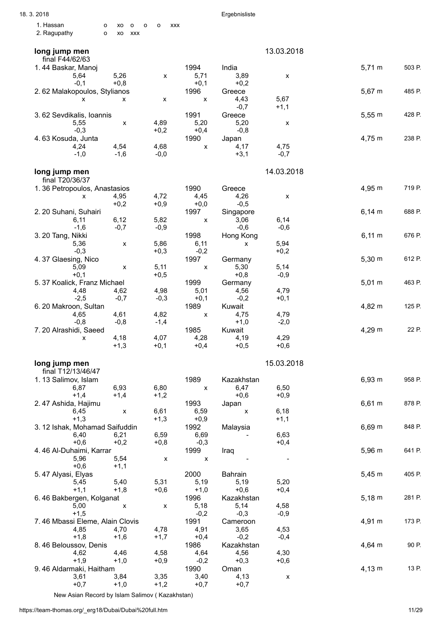| 18.3.2018                                        |                                            |                    | Ergebnisliste      |                |             |        |
|--------------------------------------------------|--------------------------------------------|--------------------|--------------------|----------------|-------------|--------|
| 1. Hassan<br>o<br>xo<br>$\mathsf{o}$             | $\mathsf{o}$<br>$\mathsf{o}$<br><b>XXX</b> |                    |                    |                |             |        |
| 2. Ragupathy<br>$\mathsf{o}$<br><b>XXX</b><br>xo |                                            |                    |                    |                |             |        |
| long jump men<br>final F44/62/63                 |                                            |                    |                    | 13.03.2018     |             |        |
| 1.44 Baskar, Manoj                               |                                            | 1994               | India              |                | $5,71 \; m$ | 503 P. |
| 5,26<br>5,64                                     | x                                          | 5,71               | 3,89               | X              |             |        |
| $+0,8$<br>$-0,1$                                 |                                            | $+0,1$             | $+0,2$             |                |             |        |
| 2.62 Malakopoulos, Stylianos                     |                                            | 1996               | Greece             |                | $5,67 \; m$ | 485 P. |
| x<br>X                                           | X                                          | X                  | 4,43               | 5,67           |             |        |
|                                                  |                                            |                    | $-0,7$             | $+1,1$         |             |        |
| 3.62 Sevdikalis, Ioannis                         |                                            | 1991               | Greece             |                | 5,55 m      | 428 P. |
| 5,55<br>X                                        | 4,89                                       | 5,20               | 5,20               | X              |             |        |
| $-0,3$                                           | $+0,2$                                     | $+0,4$             | $-0,8$             |                |             |        |
| 4.63 Kosuda, Junta<br>4,24<br>4,54               | 4,68                                       | 1990<br>X          | Japan<br>4,17      | 4,75           | 4,75 m      | 238 P. |
| $-1,0$<br>$-1,6$                                 | $-0,0$                                     |                    | $+3,1$             | $-0,7$         |             |        |
| long jump men                                    |                                            |                    |                    | 14.03.2018     |             |        |
| final T20/36/37                                  |                                            |                    |                    |                |             |        |
| 1.36 Petropoulos, Anastasios                     |                                            | 1990               | Greece             |                | 4,95 m      | 719 P. |
| 4,95<br>X                                        | 4,72                                       | 4,45               | 4,26               | X              |             |        |
| $+0,2$                                           | $+0,9$                                     | $+0,0$             | $-0,5$             |                |             |        |
| 2. 20 Suhani, Suhairi                            |                                            | 1997               | Singapore          |                | $6,14 \, m$ | 688 P. |
| 6,12<br>6, 11                                    | 5,82                                       | $\pmb{\mathsf{x}}$ | 3,06               | 6,14           |             |        |
| $-0,7$<br>$-1,6$                                 | $-0,9$                                     |                    | $-0,6$             | $-0,6$         |             |        |
| 3. 20 Tang, Nikki                                |                                            | 1998               | Hong Kong          |                | $6,11 \; m$ | 676 P. |
| 5,36<br>X<br>$-0,3$                              | 5,86<br>$+0,3$                             | 6,11<br>$-0,2$     | X                  | 5,94<br>$+0,2$ |             |        |
| 4.37 Glaesing, Nico                              |                                            | 1997               | Germany            |                | $5,30 \; m$ | 612 P. |
| 5,09<br>$\pmb{\mathsf{X}}$                       | 5,11                                       | $\pmb{\mathsf{x}}$ | 5,30               | 5,14           |             |        |
| $+0,1$                                           | $+0,5$                                     |                    | $+0,8$             | $-0,9$         |             |        |
| 5.37 Koalick, Franz Michael                      |                                            | 1999               | Germany            |                | $5,01 \; m$ | 463 P. |
| 4,48<br>4,62                                     | 4,98                                       | 5,01               | 4,56               | 4,79           |             |        |
| $-0,7$<br>$-2,5$                                 | $-0,3$                                     | $+0,1$             | $-0,2$             | $+0,1$         |             |        |
| 6. 20 Makroon, Sultan                            |                                            | 1989               | Kuwait             |                | 4,82 m      | 125 P. |
| 4,61<br>4,65                                     | 4,82                                       | X                  | 4,75               | 4,79           |             |        |
| $-0,8$<br>$-0,8$                                 | $-1,4$                                     |                    | $+1,0$             | $-2,0$         |             |        |
| 7.20 Alrashidi, Saeed                            |                                            | 1985               | Kuwait             |                | 4,29 m      | 22 P.  |
| 4,18<br>X                                        | 4,07                                       | 4,28               | 4,19               | 4,29           |             |        |
| $+1,3$                                           | $+0,1$                                     | $+0.4$             | $+0,5$             | $+0,6$         |             |        |
| long jump men<br>final T12/13/46/47              |                                            |                    |                    | 15.03.2018     |             |        |
| 1.13 Salimov, Islam                              |                                            | 1989               | Kazakhstan         |                | 6,93 m      | 958 P. |
| 6,93<br>6,87                                     | 6,80                                       | $\mathsf{x}$       | 6,47               | 6,50           |             |        |
| $+1,4$<br>$+1,4$                                 | $+1,2$                                     |                    | $+0,6$             | $+0,9$         |             |        |
| 2.47 Ashida, Hajimu                              |                                            | 1993               | Japan              |                | $6,61 \; m$ | 878 P. |
| 6,45<br>X                                        | 6,61                                       | 6,59               | $\pmb{\mathsf{X}}$ | 6, 18          |             |        |
| $+1,3$                                           | $+1,3$                                     | $+0,9$             |                    | $+1,1$         |             |        |
| 3. 12 Ishak, Mohamad Saifuddin                   |                                            | 1992               | Malaysia           |                | $6,69 \; m$ | 848 P. |
| 6,40<br>6,21                                     | 6,59                                       | 6,69               |                    | 6,63           |             |        |
| $+0,2$<br>$+0,6$                                 | $+0,8$                                     | $-0,3$             |                    | $+0,4$         |             |        |
| 4.46 Al-Duhaimi, Karrar                          |                                            | 1999               | Iraq               |                | $5,96 \; m$ | 641 P. |
| 5,96<br>5,54<br>$+0,6$<br>$+1,1$                 | X                                          | $\pmb{\mathsf{X}}$ |                    |                |             |        |
| 5.47 Alyasi, Elyas                               |                                            | 2000               | Bahrain            |                | $5,45 \; m$ | 405 P. |
| 5,40<br>5,45                                     | 5,31                                       | 5,19               | 5,19               | 5,20           |             |        |
| $+1,1$<br>$+1,8$                                 | $+0,6$                                     | $+1,0$             | $+0,6$             | $+0,4$         |             |        |
| 6.46 Bakbergen, Kolganat                         |                                            | 1996               | Kazakhstan         |                | $5,18 \; m$ | 281 P. |
| 5,00<br>$\pmb{\mathsf{X}}$                       | X                                          | 5,18               | 5,14               | 4,58           |             |        |
| $+1,5$                                           |                                            | $-0,2$             | $-0,3$             | $-0,9$         |             |        |
| 7.46 Mbassi Eleme, Alain Clovis                  |                                            | 1991               | Cameroon           |                | 4,91 m      | 173 P. |
| 4,85<br>4,70                                     | 4,78                                       | 4,91               | 3,65               | 4,53           |             |        |
| $+1,8$<br>$+1,6$                                 | $+1,7$                                     | $+0,4$             | $-0,2$             | $-0,4$         |             |        |
| 8.46 Beloussov, Denis                            |                                            | 1986               | Kazakhstan         |                | 4,64 m      | 90 P.  |
| 4,46<br>4,62                                     | 4,58                                       | 4,64               | 4,56               | 4,30           |             |        |
| $+1,9$<br>$+1,0$                                 | $+0,9$                                     | $-0,2$             | $+0,3$             | $+0,6$         |             |        |
| 9.46 Aldarmaki, Haitham                          |                                            | 1990               | Oman               |                | $4,13 \; m$ | 13 P.  |
| 3,61<br>3,84<br>$+0,7$<br>$+1,0$                 | 3,35<br>$+1,2$                             | 3,40<br>$+0,7$     | 4,13<br>$+0,7$     | X              |             |        |
|                                                  |                                            |                    |                    |                |             |        |

New Asian Record by Islam Salimov ( Kazakhstan)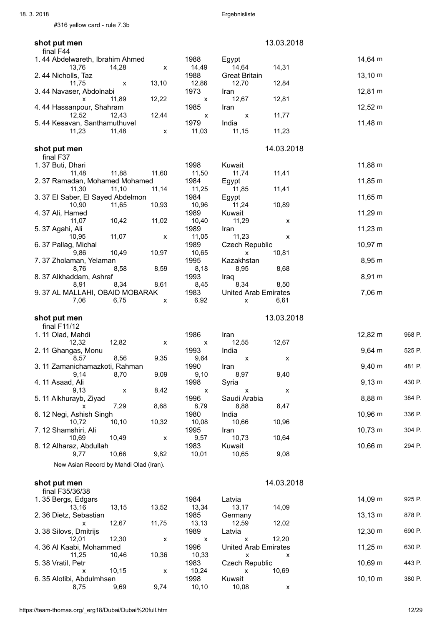#316 yellow card - rule 7.3b

| shot put men                                                |                    | 13.03.2018                                    |                   |        |
|-------------------------------------------------------------|--------------------|-----------------------------------------------|-------------------|--------|
| final F44<br>1.44 Abdelwareth, Ibrahim Ahmed                | 1988               | Egypt                                         | 14,64 m           |        |
| 14,28<br>13,76<br>X                                         | 14,49              | 14,64<br>14,31                                |                   |        |
| 2.44 Nicholls, Taz<br>13,10<br>11,75<br>х                   | 1988<br>12,86      | <b>Great Britain</b><br>12,84<br>12,70        | $13,10 \; m$      |        |
| 3.44 Navaser, Abdolnabi                                     | 1973               | Iran                                          | 12,81 m           |        |
| 12,22<br>11,89<br>x<br>4.44 Hassanpour, Shahram             | х<br>1985          | 12,81<br>12,67<br>Iran                        | $12,52 \, m$      |        |
| 12,44<br>12,52<br>12,43                                     | X                  | 11,77<br>X                                    |                   |        |
| 5.44 Kesavan, Santhamuthuvel<br>11,23<br>11,48<br>X         | 1979<br>11,03      | India<br>11,23<br>11,15                       | 11,48 m           |        |
|                                                             |                    |                                               |                   |        |
| shot put men<br>final F37                                   |                    | 14.03.2018                                    |                   |        |
| 1.37 Buti, Dhari                                            | 1998               | Kuwait                                        | 11,88 m           |        |
| 11,88<br>11,48<br>11,60<br>2.37 Ramadan, Mohamed Mohamed    | 11,50<br>1984      | 11,41<br>11,74<br>Egypt                       | 11,85 m           |        |
| 11,10<br>11,14<br>11,30                                     | 11,25              | 11,85<br>11,41                                |                   |        |
| 3.37 El Saber, El Sayed Abdelmon<br>11,65<br>10,93<br>10,90 | 1984<br>10,96      | Egypt<br>11,24<br>10,89                       | 11,65 m           |        |
| 4.37 Ali, Hamed                                             | 1989               | Kuwait                                        | $11,29 \text{ m}$ |        |
| 11,07<br>10,42<br>11,02<br>5.37 Agahi, Ali                  | 10,40<br>1989      | 11,29<br>x<br>Iran                            | $11,23 \; m$      |        |
| 11,07<br>10,95<br>X                                         | 11,05              | 11,23<br>X                                    |                   |        |
| 6.37 Pallag, Michal<br>9,86<br>10,49<br>10,97               | 1989<br>10,65      | <b>Czech Republic</b><br>10,81<br>X           | $10,97 \; m$      |        |
| 7.37 Zholaman, Yelaman                                      | 1995               | Kazakhstan                                    | 8,95 m            |        |
| 8,76<br>8,58<br>8,59<br>8.37 Alkhaddam, Ashraf              | 8,18<br>1993       | 8,95<br>8,68<br>Iraq                          | 8,91 m            |        |
| 8,91<br>8,34<br>8,61                                        | 8,45               | 8,34<br>8,50                                  |                   |        |
| 9.37 AL MALLAHI, OBAID MOBARAK<br>7,06<br>6,75<br>X         | 1983<br>6,92       | <b>United Arab Emirates</b><br>6,61<br>X      | $7,06 \, m$       |        |
|                                                             |                    |                                               |                   |        |
|                                                             |                    |                                               |                   |        |
| shot put men<br>final $F11/12$                              |                    | 13.03.2018                                    |                   |        |
| 1.11 Olad, Mahdi                                            | 1986               | Iran                                          | 12,82 m           | 968 P. |
| 12,32<br>12,82<br>X                                         | X                  | 12,67<br>12,55                                |                   | 525 P. |
| 2.11 Ghangas, Monu<br>8,56<br>9,35<br>8,57                  | 1993<br>9,64       | India<br>X<br>Х                               | $9,64 \, m$       |        |
| 3.11 Zamanichamazkoti, Rahman<br>9,14                       | 1990               | Iran<br>9,40                                  | $9,40 \; m$       | 481 P. |
| 9,09<br>8,70<br>4.11 Asaad, Ali                             | 9,10<br>1998       | 8,97<br>Syria                                 | $9,13 \; m$       | 430 P. |
| 8,42<br>9,13<br>X                                           | $\pmb{\mathsf{x}}$ | $\pmb{\mathsf{x}}$<br>X                       |                   |        |
| 5. 11 Alkhurayb, Ziyad<br>8,68<br>7,29<br>x                 | 1996<br>8,79       | Saudi Arabia<br>8,88<br>8,47                  | 8,88 m            | 384 P. |
| 6. 12 Negi, Ashish Singh<br>10, 10<br>10,32<br>10,72        | 1980<br>10,08      | India<br>10,66<br>10,96                       | 10,96 m           | 336 P. |
| 7.12 Shamshiri, Ali                                         | 1995               | Iran                                          | $10,73 \; m$      | 304 P. |
| 10,69<br>10,49<br>х                                         | 9,57<br>1983       | 10,73<br>10,64<br>Kuwait                      | 10,66 m           | 294 P. |
| 8. 12 Alharaz, Abdullah<br>10,66<br>9,82<br>9,77            | 10,01              | 10,65<br>9,08                                 |                   |        |
| New Asian Record by Mahdi Olad (Iran).                      |                    |                                               |                   |        |
| shot put men                                                |                    | 14.03.2018                                    |                   |        |
| final F35/36/38                                             | 1984               |                                               |                   | 925 P. |
| 1.35 Bergs, Edgars<br>13,52<br>13,16<br>13,15               | 13,34              | Latvia<br>13,17<br>14,09                      | 14,09 m           |        |
| 2.36 Dietz, Sebastian<br>12,67<br>11,75<br>X                | 1985<br>13,13      | Germany<br>12,59<br>12,02                     | $13,13 \; m$      | 878 P. |
| 3.38 Silovs, Dmitrijs                                       | 1989               | Latvia                                        | 12,30 m           | 690 P. |
| 12,30<br>12,01<br>X<br>4.36 Al Kaabi, Mohammed              | x<br>1996          | 12,20<br>х<br><b>United Arab Emirates</b>     | $11,25 \; m$      | 630 P. |
| 11,25<br>10,46<br>10,36                                     | 10,33              | X<br>X                                        |                   |        |
| 5.38 Vratil, Petr<br>10,15<br>x<br>x                        | 1983<br>10,24      | <b>Czech Republic</b><br>10,69<br>x<br>Kuwait | 10,69 m           | 443 P. |

8,75 9,69 9,74 10,10 10,08 x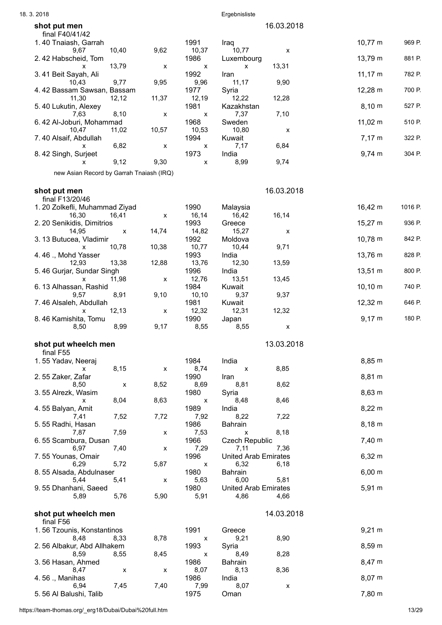| 18.3.2018                                       |       |                | Ergebnisliste               |            |              |         |
|-------------------------------------------------|-------|----------------|-----------------------------|------------|--------------|---------|
| shot put men                                    |       |                |                             | 16.03.2018 |              |         |
| final F40/41/42                                 |       |                |                             |            |              |         |
| 1.40 Tnaiash, Garrah<br>10,40<br>9,67           | 9,62  | 1991<br>10,37  | Iraq<br>10,77               | X          | $10,77 \; m$ | 969 P.  |
| 2.42 Habscheid, Tom                             |       | 1986           | Luxembourg                  |            | 13,79 m      | 881 P.  |
| 13,79<br>X                                      | x     | X              | X                           | 13,31      |              |         |
| 3.41 Beit Sayah, Ali<br>9,77<br>10,43           | 9,95  | 1992<br>9,96   | Iran<br>11,17               | 9,90       | $11,17 \; m$ | 782 P.  |
| 4.42 Bassam Sawsan, Bassam                      |       | 1977           | Syria                       |            | 12,28 m      | 700 P.  |
| 11,30<br>12,12                                  | 11,37 | 12,19          | 12,22                       | 12,28      |              |         |
| 5.40 Lukutin, Alexey<br>7,63<br>8,10            | x     | 1981<br>X      | Kazakhstan<br>7,37          | 7,10       | $8,10 \; m$  | 527 P.  |
| 6.42 Al-Joburi, Mohammad                        |       | 1968           | Sweden                      |            | $11,02 \; m$ | 510 P.  |
| 10,47<br>11,02                                  | 10,57 | 10,53          | 10,80                       | X          |              |         |
| 7.40 Alsaif, Abdullah<br>6,82<br>х              | x     | 1994<br>X      | Kuwait<br>7,17              | 6,84       | $7,17 \; m$  | 322 P.  |
| 8.42 Singh, Surjeet                             |       | 1973           | India                       |            | $9,74 \, m$  | 304 P.  |
| 9,12<br>x                                       | 9,30  | X              | 8,99                        | 9,74       |              |         |
| new Asian Record by Garrah Tnaiash (IRQ)        |       |                |                             |            |              |         |
|                                                 |       |                |                             |            |              |         |
| shot put men<br>final F13/20/46                 |       |                |                             | 16.03.2018 |              |         |
| 1. 20 Zolkefli, Muhammad Ziyad                  |       | 1990           | Malaysia                    |            | 16,42 m      | 1016 P. |
| 16,30<br>16,41                                  | X     | 16,14          | 16,42                       | 16,14      |              |         |
| 2. 20 Senikidis, Dimitrios<br>14,95<br>X        | 14,74 | 1993<br>14,82  | Greece<br>15,27             | X          | 15,27 m      | 936 P.  |
| 3.13 Butucea, Vladimir                          |       | 1992           | Moldova                     |            | 10,78 m      | 842 P.  |
| 10,78<br>X                                      | 10,38 | 10,77          | 10,44                       | 9,71       |              |         |
| 4.46 ., Mohd Yasser<br>13,38<br>12,93           | 12,88 | 1993<br>13,76  | India<br>12,30              | 13,59      | 13,76 m      | 828 P.  |
| 5.46 Gurjar, Sundar Singh                       |       | 1996           | India                       |            | 13,51 m      | 800 P.  |
| 11,98<br>X                                      | x     | 12,76          | 13,51                       | 13,45      |              |         |
| 6.13 Alhassan, Rashid<br>8,91<br>9,57           | 9,10  | 1984<br>10, 10 | Kuwait<br>9,37              | 9,37       | $10,10 \; m$ | 740 P.  |
| 7.46 Alsaleh, Abdullah                          |       | 1981           | Kuwait                      |            | 12,32 m      | 646 P.  |
| 12,13<br>x                                      | x     | 12,32          | 12,31                       | 12,32      |              |         |
| 8.46 Kamishita, Tomu<br>8,99<br>8,50            | 9,17  | 1990<br>8,55   | Japan<br>8,55               | Х          | $9,17 \; m$  | 180 P.  |
| shot put wheelch men                            |       |                |                             | 13.03.2018 |              |         |
| final F55                                       |       |                |                             |            |              |         |
| 1.55 Yadav, Neeraj                              |       | 1984           | India                       |            | 8,85 m       |         |
| 8,15<br>x<br>2.55 Zaker, Zafar                  | X     | 8,74<br>1990   | X<br>Iran                   | 8,85       | 8,81 m       |         |
| 8,50<br>$\pmb{\mathsf{X}}$                      | 8,52  | 8,69           | 8,81                        | 8,62       |              |         |
| 3.55 Alrezk, Wasim                              |       | 1980           | Syria                       |            | 8,63 m       |         |
| 8,04<br>x<br>4.55 Balyan, Amit                  | 8,63  | X<br>1989      | 8,48<br>India               | 8,46       | $8,22 \; m$  |         |
| 7,52<br>7,41                                    | 7,72  | 7,92           | 8,22                        | 7,22       |              |         |
| 5.55 Radhi, Hasan                               |       | 1986           | Bahrain                     |            | $8,18 \; m$  |         |
| 7,87<br>7,59<br>6.55 Scambura, Dusan            | X     | 7,53<br>1966   | x<br><b>Czech Republic</b>  | 8,18       | $7,40 \; m$  |         |
| 7,40<br>6,97                                    | X     | 7,29           | 7,11                        | 7,36       |              |         |
| 7.55 Younas, Omair                              |       | 1996           | <b>United Arab Emirates</b> |            | $6,32 \; m$  |         |
| 6,29<br>5,72<br>8.55 Alsada, Abdulnaser         | 5,87  | X<br>1980      | 6,32<br>Bahrain             | 6,18       | $6,00 \; m$  |         |
| 5,44<br>5,41                                    | x     | 5,63           | 6,00                        | 5,81       |              |         |
| 9.55 Dhanhani, Saeed                            |       | 1980           | <b>United Arab Emirates</b> |            | $5,91 \; m$  |         |
| 5,76<br>5,89                                    | 5,90  | 5,91           | 4,86                        | 4,66       |              |         |
| shot put wheelch men                            |       |                |                             | 14.03.2018 |              |         |
| final F56                                       |       |                |                             |            |              |         |
| 1.56 Tzounis, Konstantinos<br>8,48<br>8,33      | 8,78  | 1991<br>X      | Greece<br>9,21              | 8,90       | $9,21 \; m$  |         |
| 2.56 Albakur, Abd Allhakem                      |       | 1993           | Syria                       |            | $8,59 \; m$  |         |
| 8,59<br>8,55                                    | 8,45  | X              | 8,49                        | 8,28       |              |         |
| 3.56 Hasan, Ahmed<br>8,47<br>$\pmb{\mathsf{x}}$ | X     | 1986<br>8,07   | Bahrain<br>8,13             | 8,36       | 8,47 m       |         |
| 4.56 ., Manihas                                 |       | 1986           | India                       |            | $8,07 \; m$  |         |
| 7,45<br>6,94                                    | 7,40  | 7,99           | 8,07                        | Х          | 7,80 m       |         |
| 5.56 Al Balushi, Talib                          |       | 1975           | Oman                        |            |              |         |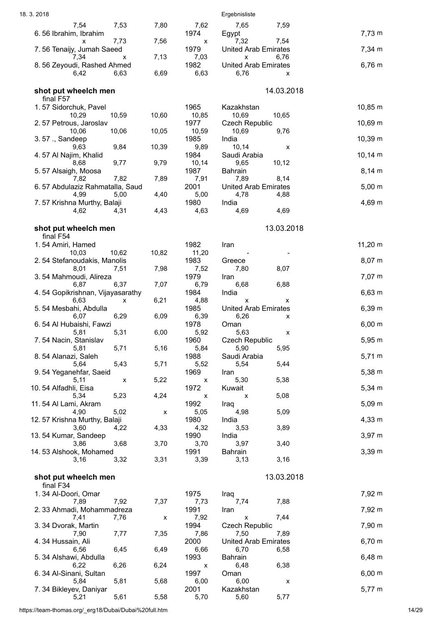| 18.3.2018                                       |           |               | Ergebnisliste                                       |              |
|-------------------------------------------------|-----------|---------------|-----------------------------------------------------|--------------|
| 7,54<br>7,53<br>6.56 Ibrahim, Ibrahim           | 7,80      | 7,62<br>1974  | 7,65<br>7,59<br>Egypt                               | $7,73 \; m$  |
| 7,73<br>x<br>7.56 Tenaijy, Jumah Saeed          | 7,56      | X<br>1979     | 7,32<br>7,54<br><b>United Arab Emirates</b>         | $7,34 \, m$  |
| 7,34                                            | 7,13<br>x | 7,03          | 6,76<br>X                                           |              |
| 8.56 Zeyoudi, Rashed Ahmed<br>6,42<br>6,63      | 6,69      | 1982<br>6,63  | <b>United Arab Emirates</b><br>6,76<br>X            | $6,76 \; m$  |
| shot put wheelch men                            |           |               | 14.03.2018                                          |              |
| final F57<br>1.57 Sidorchuk, Pavel              |           | 1965          | Kazakhstan                                          | $10,85 \; m$ |
| 10,59<br>10,29<br>2.57 Petrous, Jaroslav        | 10,60     | 10,85<br>1977 | 10,69<br>10,65<br><b>Czech Republic</b>             | $10,69 \; m$ |
| 10,06<br>10,06                                  | 10,05     | 10,59         | 9,76<br>10,69                                       |              |
| 3.57 ., Sandeep<br>9,84<br>9,63                 | 10,39     | 1985<br>9,89  | India<br>10,14<br>х                                 | $10,39 \; m$ |
| 4.57 Al Najim, Khalid<br>9,77<br>8,68           | 9,79      | 1984<br>10,14 | Saudi Arabia<br>9,65<br>10,12                       | $10,14 \; m$ |
| 5.57 Alsaigh, Moosa                             |           | 1987          | Bahrain                                             | $8,14 \, m$  |
| 7,82<br>7,82<br>6.57 Abdulaziz Rahmatalla, Saud | 7,89      | 7,91<br>2001  | 7,89<br>8,14<br><b>United Arab Emirates</b>         | $5,00 \; m$  |
| 4,99<br>5,00                                    | 4,40      | 5,00          | 4,78<br>4,88                                        |              |
| 7.57 Krishna Murthy, Balaji<br>4,62<br>4,31     | 4,43      | 1980<br>4,63  | India<br>4,69<br>4,69                               | $4,69 \; m$  |
| shot put wheelch men                            |           |               | 13.03.2018                                          |              |
| final F54<br>1.54 Amiri, Hamed                  |           | 1982          | Iran                                                | $11,20 \; m$ |
| 10,03<br>10,62<br>2.54 Stefanoudakis, Manolis   | 10,82     | 11,20<br>1983 |                                                     | $8,07 \; m$  |
| 8,01<br>7,51                                    | 7,98      | 7,52          | Greece<br>8,07<br>7,80                              |              |
| 3.54 Mahmoudi, Alireza<br>6,37<br>6,87          | 7,07      | 1979<br>6,79  | Iran<br>6,88<br>6,68                                | $7,07 \; m$  |
| 4.54 Gopikrishnan, Vijayasarathy                |           | 1984          | India                                               | $6,63 \; m$  |
| 6,63<br>5.54 Mesbahi, Abdulla                   | 6,21<br>X | 4,88<br>1985  | X<br>x<br><b>United Arab Emirates</b>               | 6,39 m       |
| 6,29<br>6,07<br>6.54 Al Hubaishi, Fawzi         | 6,09      | 6,39<br>1978  | 6,26<br>х<br>Oman                                   | $6,00 \; m$  |
| 5,81<br>5,31                                    | 6,00      | 5,92          | 5,63<br>X                                           |              |
| 7.54 Nacin, Stanislav<br>5,81<br>5,71           | 5,16      | 1960<br>5,84  | Czech Republic<br>5,90<br>5,95                      | $5,95 \; m$  |
| 8.54 Alanazi, Saleh<br>5,64<br>5,43             | 5,71      | 1988<br>5,52  | Saudi Arabia<br>5,54<br>5,44                        | $5,71 \; m$  |
| 9.54 Yeganehfar, Saeid                          |           | 1969          | Iran                                                | $5,38 \; m$  |
| 5,11<br>10.54 Alfadhli, Eisa                    | 5,22<br>X | X<br>1972     | 5,30<br>5,38<br>Kuwait                              | $5,34 \; m$  |
| 5,23<br>5,34<br>11.54 Al Lami, Akram            | 4,24      | x<br>1992     | 5,08<br>X                                           | $5,09 \; m$  |
| 4,90<br>5,02                                    | X         | 5,05          | Iraq<br>5,09<br>4,98                                |              |
| 12.57 Krishna Murthy, Balaji<br>3,60<br>4,22    | 4,33      | 1980<br>4,32  | India<br>3,53<br>3,89                               | $4,33 \; m$  |
| 13.54 Kumar, Sandeep                            |           | 1990          | India                                               | $3,97 \; m$  |
| 3,68<br>3,86<br>14.53 Alshook, Mohamed          | 3,70      | 3,70<br>1991  | 3,97<br>3,40<br>Bahrain                             | $3,39 \; m$  |
| 3,16<br>3,32                                    | 3,31      | 3,39          | 3,16<br>3,13                                        |              |
| shot put wheelch men<br>final F34               |           |               | 13.03.2018                                          |              |
| 1.34 Al-Doori, Omar                             |           | 1975          | Iraq                                                | 7,92 m       |
| 7,89<br>7,92<br>2.33 Ahmadi, Mohammadreza       | 7,37      | 7,73<br>1991  | 7,88<br>7,74<br>Iran                                | 7,92 m       |
| 7,41<br>7,76<br>3.34 Dvorak, Martin             | x         | 7,92<br>1994  | 7,44<br>$\pmb{\mathsf{x}}$<br><b>Czech Republic</b> | 7,90 m       |
| 7,90<br>7,77<br>4.34 Hussain, Ali               | 7,35      | 7,86<br>2000  | 7,89<br>7,50<br><b>United Arab Emirates</b>         | $6,70 \; m$  |
| 6,45<br>6,56                                    | 6,49      | 6,66          | 6,70<br>6,58                                        |              |
| 5.34 Alshawi, Abdulla<br>6,26<br>6,22           | 6,24      | 1993<br>x     | Bahrain<br>6,38<br>6,48                             | $6,48 \; m$  |
| 6.34 Al-Sinani, Sultan                          |           | 1997          | Oman                                                | $6,00 \; m$  |
| 5,81<br>5,84<br>7.34 Bikleyev, Daniyar          | 5,68      | 6,00<br>2001  | 6,00<br>X<br>Kazakhstan                             | $5,77 \; m$  |
| 5,61<br>5,21                                    | 5,58      | 5,70          | 5,77<br>5,60                                        |              |

https://team-thomas.org/\_erg18/Dubai/Dubai%20full.htm 14/29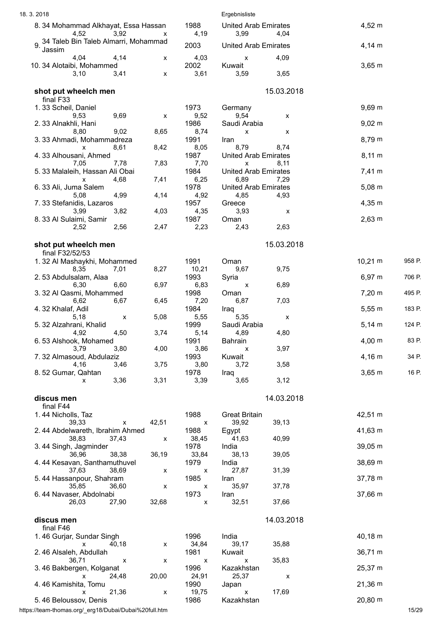| 18.3.2018                                            |       |                           | Ergebnisliste                       |            |              |        |
|------------------------------------------------------|-------|---------------------------|-------------------------------------|------------|--------------|--------|
| 8. 34 Mohammad Alkhayat, Essa Hassan<br>3,92<br>4,52 | x     | 1988<br>4,19              | <b>United Arab Emirates</b><br>3,99 | 4,04       | 4,52 m       |        |
| 34 Taleb Bin Taleb Almarri, Mohammad<br>Jassim       |       | 2003                      | <b>United Arab Emirates</b>         |            | $4,14 \, m$  |        |
| 4,04<br>4,14                                         | x     | 4,03                      | х                                   | 4,09       |              |        |
| 10.34 Alotaibi, Mohammed<br>3,41<br>3,10             | x     | 2002<br>3,61              | Kuwait<br>3,59                      | 3,65       | $3,65 \; m$  |        |
| shot put wheelch men                                 |       |                           |                                     | 15.03.2018 |              |        |
| final F33<br>1.33 Scheil, Daniel                     |       | 1973                      | Germany                             |            | 9,69 m       |        |
| 9,53<br>9,69                                         | x     | 9,52                      | 9,54                                | х          |              |        |
| 2.33 Alnakhli, Hani                                  |       | 1986                      | Saudi Arabia                        |            | $9,02 \, m$  |        |
| 9,02<br>8,80                                         | 8,65  | 8,74                      | x                                   | x          |              |        |
| 3.33 Ahmadi, Mohammadreza<br>8,61                    | 8,42  | 1991                      | Iran<br>8,79                        | 8,74       | 8,79 m       |        |
| x<br>4.33 Alhousani, Ahmed                           |       | 8,05<br>1987              | <b>United Arab Emirates</b>         |            | $8,11 \; m$  |        |
| 7,05<br>7,78                                         | 7,83  | 7,70                      | X                                   | 8,11       |              |        |
| 5. 33 Malaleih, Hassan Ali Obai                      |       | 1984                      | <b>United Arab Emirates</b>         |            | 7,41 m       |        |
| 4,68<br>X                                            | 7,41  | 6,25                      | 6,89                                | 7,29       |              |        |
| 6.33 Ali, Juma Salem<br>4,99                         | 4,14  | 1978<br>4,92              | <b>United Arab Emirates</b><br>4,85 | 4,93       | $5,08 \; m$  |        |
| 5,08<br>7.33 Stefanidis, Lazaros                     |       | 1957                      | Greece                              |            | $4,35 \; m$  |        |
| 3,82<br>3,99                                         | 4,03  | 4,35                      | 3,93                                | X          |              |        |
| 8. 33 Al Sulaimi, Samir                              |       | 1987                      | Oman                                |            | $2,63 \, m$  |        |
| 2,56<br>2,52                                         | 2,47  | 2,23                      | 2,43                                | 2,63       |              |        |
| shot put wheelch men                                 |       |                           |                                     | 15.03.2018 |              |        |
| final F32/52/53                                      |       |                           |                                     |            |              |        |
| 1.32 Al Mashaykhi, Mohammed<br>8,35<br>7,01          | 8,27  | 1991<br>10,21             | Oman<br>9,67                        | 9,75       | $10,21 \; m$ | 958 P. |
| 2.53 Abdulsalam, Alaa                                |       | 1993                      | Syria                               |            | 6,97 m       | 706 P. |
| 6,30<br>6,60                                         | 6,97  | 6,83                      | х                                   | 6,89       |              |        |
| 3.32 Al Qasmi, Mohammed                              |       | 1998                      | Oman                                |            | 7,20 m       | 495 P. |
| 6,62<br>6,67                                         | 6,45  | 7,20                      | 6,87                                | 7,03       |              |        |
| 4.32 Khalaf, Adil                                    |       | 1984                      | Iraq                                |            | 5,55 m       | 183 P. |
| 5,18<br>х<br>5. 32 Alzahrani, Khalid                 | 5,08  | 5,55<br>1999              | 5,35<br>Saudi Arabia                | x          | $5,14 \; m$  | 124 P. |
| 4,92<br>4,50                                         | 3,74  | 5,14                      | 4,89                                | 4,80       |              |        |
| 6.53 Alshook, Mohamed                                |       | 1991                      | Bahrain                             |            | 4,00 m       | 83 P.  |
| 3,79<br>3,80                                         | 4,00  | 3,86                      | X                                   | 3,97       |              |        |
| 7.32 Almasoud, Abdulaziz                             |       | 1993                      | Kuwait                              |            | $4,16 \; m$  | 34 P.  |
| 4,16<br>3,46                                         | 3,75  | 3,80                      | 3,72                                | 3,58       |              |        |
| 8.52 Gumar, Qahtan<br>3,36<br>x                      | 3,31  | 1978<br>3,39              | Iraq<br>3,65                        | 3,12       | $3,65 \; m$  | 16 P.  |
|                                                      |       |                           |                                     |            |              |        |
| discus men<br>final F44                              |       |                           |                                     | 14.03.2018 |              |        |
| 1.44 Nicholls, Taz                                   |       | 1988                      | <b>Great Britain</b>                |            | 42,51 m      |        |
| 39,33<br>X                                           | 42,51 | $\boldsymbol{\mathsf{x}}$ | 39,92                               | 39,13      |              |        |
| 2.44 Abdelwareth, Ibrahim Ahmed                      |       | 1988                      | Egypt                               |            | 41,63 m      |        |
| 38,83<br>37,43                                       | X     | 38,45                     | 41,63                               | 40,99      |              |        |
| 3.44 Singh, Jagminder<br>36,96<br>38,38              | 36,19 | 1978<br>33,84             | India<br>38,13                      | 39,05      | 39,05 m      |        |
| 4.44 Kesavan, Santhamuthuvel                         |       | 1979                      | India                               |            | 38,69 m      |        |
| 37,63<br>38,69                                       | x     | X                         | 27,87                               | 31,39      |              |        |
| 5.44 Hassanpour, Shahram                             |       | 1985                      | Iran                                |            | 37,78 m      |        |
| 35,85<br>36,60                                       | X     | X                         | 35,97                               | 37,78      |              |        |
| 6.44 Navaser, Abdolnabi                              |       | 1973                      | Iran<br>32,51                       | 37,66      | 37,66 m      |        |
| 26,03<br>27,90                                       | 32,68 | x                         |                                     |            |              |        |
| discus men<br>final F46                              |       |                           |                                     | 14.03.2018 |              |        |
| 1.46 Gurjar, Sundar Singh                            |       | 1996                      | India                               |            | 40,18 m      |        |
| 40,18<br>x                                           | X     | 34,84                     | 39,17                               | 35,88      |              |        |
| 2.46 Alsaleh, Abdullah                               |       | 1981                      | Kuwait                              |            | 36,71 m      |        |
| 36,71<br>X                                           | x     | x                         | X                                   | 35,83      |              |        |
| 3.46 Bakbergen, Kolganat                             |       | 1996                      | Kazakhstan                          |            | 25,37 m      |        |
| X<br>24,48<br>4.46 Kamishita, Tomu                   | 20,00 | 24,91<br>1990             | 25,37<br>Japan                      | X          | $21,36 \; m$ |        |
| 21,36<br>X                                           | X     | 19,75                     | $\pmb{\mathsf{X}}$                  | 17,69      |              |        |
| 5.46 Beloussov, Denis                                |       | 1986                      | Kazakhstan                          |            | 20,80 m      |        |

https://team-thomas.org/\_erg18/Dubai/Dubai%20full.htm 15/29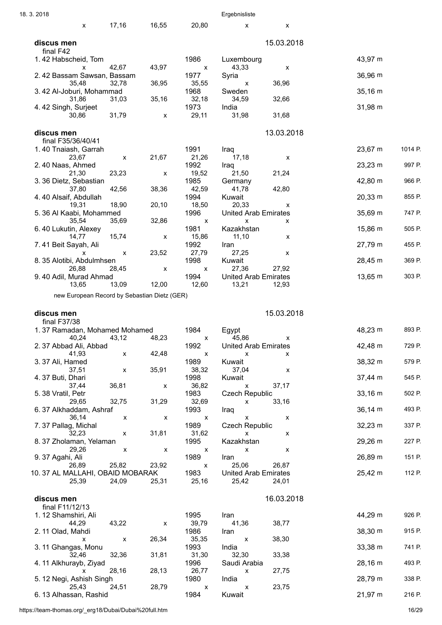| 18.3.2018                        |       |                           |                                              |                           | Ergebnisliste                                     |            |              |         |
|----------------------------------|-------|---------------------------|----------------------------------------------|---------------------------|---------------------------------------------------|------------|--------------|---------|
|                                  | X     | 17,16                     | 16,55                                        | 20,80                     | $\mathsf{x}$                                      | X          |              |         |
| discus men<br>final F42          |       |                           |                                              |                           |                                                   | 15.03.2018 |              |         |
| 1.42 Habscheid, Tom              |       |                           |                                              | 1986                      | Luxembourg                                        |            | 43,97 m      |         |
|                                  | X     | 42,67                     | 43,97                                        | $\pmb{\chi}$              | 43,33                                             | x          |              |         |
| 2.42 Bassam Sawsan, Bassam       | 35,48 | 32,78                     | 36,95                                        | 1977<br>35,55             | Syria<br>х                                        | 36,96      | 36,96 m      |         |
| 3.42 Al-Joburi, Mohammad         |       |                           |                                              | 1968                      | Sweden                                            |            | $35,16 \; m$ |         |
| 4.42 Singh, Surjeet              | 31,86 | 31,03                     | 35,16                                        | 32,18<br>1973             | 34,59<br>India                                    | 32,66      | 31,98 m      |         |
|                                  | 30,86 | 31,79                     | x                                            | 29,11                     | 31,98                                             | 31,68      |              |         |
| discus men<br>final F35/36/40/41 |       |                           |                                              |                           |                                                   | 13.03.2018 |              |         |
| 1.40 Tnaiash, Garrah             |       |                           |                                              | 1991                      | Iraq                                              |            | 23,67 m      | 1014 P. |
|                                  | 23,67 | x                         | 21,67                                        | 21,26                     | 17,18                                             | X          |              |         |
| 2.40 Naas, Ahmed                 | 21,30 | 23,23                     | х                                            | 1992<br>19,52             | Iraq<br>21,50                                     | 21,24      | 23,23 m      | 997 P.  |
| 3.36 Dietz, Sebastian            |       |                           |                                              | 1985                      | Germany                                           |            | 42,80 m      | 966 P.  |
| 4.40 Alsaif, Abdullah            | 37,80 | 42,56                     | 38,36                                        | 42,59<br>1994             | 41,78<br>Kuwait                                   | 42,80      | 20,33 m      | 855 P.  |
|                                  | 19,31 | 18,90                     | 20,10                                        | 18,50                     | 20,33                                             | X          |              |         |
| 5.36 Al Kaabi, Mohammed          | 35,54 | 35,69                     | 32,86                                        | 1996                      | <b>United Arab Emirates</b><br>$\pmb{\mathsf{X}}$ | х          | 35,69 m      | 747 P.  |
| 6.40 Lukutin, Alexey             |       |                           |                                              | X<br>1981                 | Kazakhstan                                        |            | 15,86 m      | 505 P.  |
|                                  | 14,77 | 15,74                     | X                                            | 15,86                     | 11,10                                             | х          |              |         |
| 7.41 Beit Sayah, Ali             | X     | X                         | 23,52                                        | 1992<br>27,79             | Iran<br>27,25                                     | x          | 27,79 m      | 455 P.  |
| 8.35 Alotibi, Abdulmhsen         |       |                           |                                              | 1998                      | Kuwait                                            |            | 28,45 m      | 369 P.  |
| 9.40 Adil, Murad Ahmad           | 26,88 | 28,45                     | $\pmb{\mathsf{X}}$                           | X<br>1994                 | 27,36<br><b>United Arab Emirates</b>              | 27,92      | 13,65 m      | 303 P.  |
|                                  | 13,65 | 13,09                     | 12,00                                        | 12,60                     | 13,21                                             | 12,93      |              |         |
|                                  |       |                           | new European Record by Sebastian Dietz (GER) |                           |                                                   |            |              |         |
|                                  |       |                           |                                              |                           |                                                   |            |              |         |
|                                  |       |                           |                                              |                           |                                                   |            |              |         |
| discus men<br>final F37/38       |       |                           |                                              |                           |                                                   | 15.03.2018 |              |         |
| 1.37 Ramadan, Mohamed Mohamed    |       |                           |                                              | 1984                      | Egypt                                             |            | 48,23 m      | 893 P.  |
| 2.37 Abbad Ali, Abbad            | 40,24 | 43,12                     | 48,23                                        | X<br>1992                 | 45,86<br><b>United Arab Emirates</b>              | X.         | 42,48 m      | 729 P.  |
|                                  | 41,93 | X                         | 42,48                                        | $\boldsymbol{\mathsf{x}}$ | X                                                 | x          |              |         |
| 3.37 Ali, Hamed                  | 37,51 | $\pmb{\mathsf{x}}$        | 35,91                                        | 1989<br>38,32             | Kuwait<br>37,04                                   | X          | 38,32 m      | 579 P.  |
| 4.37 Buti, Dhari                 |       |                           |                                              | 1998                      | Kuwait                                            |            | 37,44 m      | 545 P.  |
| 5.38 Vratil, Petr                | 37,44 | 36,81                     | X                                            | 36,82<br>1983             | X                                                 | 37,17      |              | 502 P.  |
|                                  | 29,65 | 32,75                     | 31,29                                        | 32,69                     | Czech Republic<br>x                               | 33,16      | $33,16 \; m$ |         |
| 6.37 Alkhaddam, Ashraf           |       |                           |                                              | 1993                      | Iraq                                              |            | 36,14 m      | 493 P.  |
| 7.37 Pallag, Michal              | 36,14 | X                         | X                                            | X<br>1989                 | x<br><b>Czech Republic</b>                        | x          | $32,23 \; m$ | 337 P.  |
|                                  | 32,23 | X                         | 31,81                                        | 31,62                     | $\mathsf{X}$                                      | х          |              |         |
| 8.37 Zholaman, Yelaman           | 29,26 | X                         | X                                            | 1995<br>X                 | Kazakhstan<br>$\mathsf{x}$                        | x          | 29,26 m      | 227 P.  |
| 9.37 Agahi, Ali                  |       |                           |                                              | 1989                      | Iran                                              |            | 26,89 m      | 151 P.  |
| 10.37 AL MALLAHI, OBAID MOBARAK  | 26,89 | 25,82                     | 23,92                                        | $\mathbf{x}$<br>1983      | 25,06<br><b>United Arab Emirates</b>              | 26,87      | 25,42 m      | 112 P.  |
|                                  | 25,39 | 24,09                     | 25,31                                        | 25,16                     | 25,42                                             | 24,01      |              |         |
| discus men                       |       |                           |                                              |                           |                                                   | 16.03.2018 |              |         |
| final F11/12/13                  |       |                           |                                              |                           |                                                   |            |              |         |
| 1. 12 Shamshiri, Ali             | 44,29 | 43,22                     | X                                            | 1995<br>39,79             | Iran<br>41,36                                     | 38,77      | 44,29 m      | 926 P.  |
| 2.11 Olad, Mahdi                 |       |                           |                                              | 1986                      | Iran                                              |            | 38,30 m      | 915 P.  |
|                                  | X     | $\boldsymbol{\mathsf{x}}$ | 26,34                                        | 35,35<br>1993             | $\pmb{\mathsf{X}}$<br>India                       | 38,30      | 33,38 m      | 741 P.  |
| 3.11 Ghangas, Monu               | 32,46 | 32,36                     | 31,81                                        | 31,30                     | 32,30                                             | 33,38      |              |         |
| 4.11 Alkhurayb, Ziyad            | X     |                           |                                              | 1996                      | Saudi Arabia<br>X                                 |            | 28,16 m      | 493 P.  |
| 5. 12 Negi, Ashish Singh         |       | 28,16                     | 28,13                                        | 26,77<br>1980             | India                                             | 27,75      | 28,79 m      | 338 P.  |
| 6.13 Alhassan, Rashid            | 25,43 | 24,51                     | 28,79                                        | X<br>1984                 | X<br>Kuwait                                       | 23,75      | 21,97 m      | 216 P.  |

https://team-thomas.org/\_erg18/Dubai/Dubai%20full.htm 16/29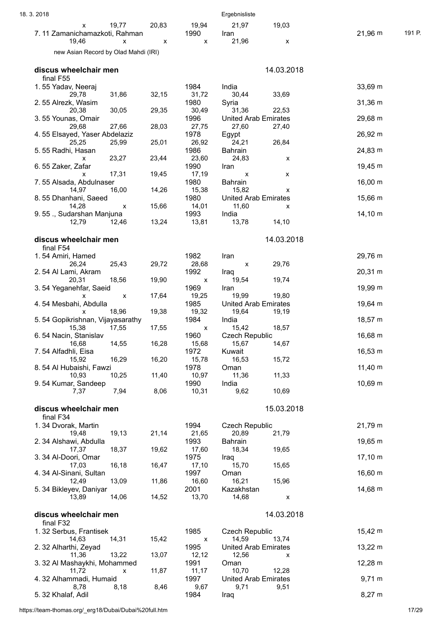| 18.3.2018                                          |       |                           | Ergebnisliste                                 |                   |
|----------------------------------------------------|-------|---------------------------|-----------------------------------------------|-------------------|
| 19,77<br>x<br>7.11 Zamanichamazkoti, Rahman        | 20,83 | 19,94<br>1990             | 21,97<br>19,03<br>Iran                        | 21,96 m<br>191 P. |
| 19,46<br>X<br>new Asian Record by Olad Mahdi (IRI) | x     | X                         | 21,96<br>X                                    |                   |
| discus wheelchair men                              |       |                           | 14.03.2018                                    |                   |
| final F55                                          |       |                           |                                               |                   |
| 1.55 Yadav, Neeraj                                 |       | 1984                      | India                                         | 33,69 m           |
| 29.78<br>31,86<br>2.55 Alrezk, Wasim               | 32,15 | 31,72<br>1980             | 30,44<br>33,69<br>Syria                       | $31,36 \; m$      |
| 20,38<br>30,05                                     | 29,35 | 30,49                     | 31,36<br>22,53                                |                   |
| 3.55 Younas, Omair                                 |       | 1996                      | <b>United Arab Emirates</b>                   | 29,68 m           |
| 27,66<br>29,68<br>4.55 Elsayed, Yaser Abdelaziz    | 28,03 | 27,75<br>1978             | 27,60<br>27,40<br>Egypt                       | 26,92 m           |
| 25,25<br>25,99                                     | 25,01 | 26,92                     | 24,21<br>26,84                                |                   |
| 5.55 Radhi, Hasan<br>23,27<br>x                    | 23,44 | 1986<br>23,60             | <b>Bahrain</b><br>24,83<br>х                  | 24,83 m           |
| 6.55 Zaker, Zafar                                  |       | 1990                      | Iran                                          | 19,45 m           |
| 17,31<br>x                                         | 19,45 | 17,19                     | X<br>x                                        |                   |
| 7.55 Alsada, Abdulnaser<br>14,97<br>16,00          | 14,26 | 1980<br>15,38             | <b>Bahrain</b><br>15,82<br>X                  | 16,00 m           |
| 8.55 Dhanhani, Saeed                               |       | 1980                      | <b>United Arab Emirates</b>                   | 15,66 m           |
| 14,28<br>x                                         | 15,66 | 14,01                     | 11,60<br>х                                    |                   |
| 9.55 ., Sudarshan Manjuna<br>12,79<br>12,46        | 13,24 | 1993<br>13,81             | India<br>13,78<br>14,10                       | 14,10 m           |
|                                                    |       |                           |                                               |                   |
| discus wheelchair men<br>final F54                 |       |                           | 14.03.2018                                    |                   |
| 1.54 Amiri, Hamed                                  |       | 1982                      | Iran                                          | 29,76 m           |
| 26,24<br>25,43                                     | 29,72 | 28,68                     | 29,76<br>X                                    |                   |
| 2.54 Al Lami, Akram<br>18,56<br>20,31              | 19,90 | 1992<br>X                 | Iraq<br>19,54<br>19,74                        | $20,31 \; m$      |
| 3.54 Yeganehfar, Saeid                             |       | 1969                      | Iran                                          | 19,99 m           |
| x<br>X                                             | 17,64 | 19,25                     | 19,99<br>19,80                                |                   |
| 4.54 Mesbahi, Abdulla<br>18,96<br>X                | 19,38 | 1985<br>19,32             | <b>United Arab Emirates</b><br>19,64<br>19,19 | 19,64 m           |
| 5.54 Gopikrishnan, Vijayasarathy                   |       | 1984                      | India                                         | 18,57 m           |
| 15,38<br>17,55                                     | 17,55 | $\boldsymbol{\mathsf{x}}$ | 15,42<br>18,57                                |                   |
| 6.54 Nacin, Stanislav<br>14,55<br>16,68            | 16,28 | 1960<br>15,68             | <b>Czech Republic</b><br>14,67<br>15,67       | 16,68 m           |
| 7.54 Alfadhli, Eisa                                |       | 1972                      | Kuwait                                        | 16,53 m           |
| 16,29<br>15,92<br>8.54 Al Hubaishi, Fawzi          | 16,20 | 15,78<br>1978             | 16,53<br>15,72<br>Oman                        | $11,40 \; m$      |
| 10,25<br>10,93                                     | 11,40 | 10,97                     | 11,36<br>11,33                                |                   |
| 9.54 Kumar, Sandeep                                |       | 1990                      | India                                         | 10,69 m           |
| 7,94<br>7,37                                       | 8,06  | 10,31                     | 9,62<br>10,69                                 |                   |
| discus wheelchair men                              |       |                           | 15.03.2018                                    |                   |
| final F34<br>1.34 Dvorak, Martin                   |       | 1994                      | <b>Czech Republic</b>                         |                   |
| 19,13<br>19,48                                     | 21,14 | 21,65                     | 20,89<br>21,79                                | 21,79 m           |
| 2.34 Alshawi, Abdulla                              |       | 1993                      | Bahrain                                       | 19,65 m           |
| 18,37<br>17,37<br>3.34 Al-Doori, Omar              | 19,62 | 17,60<br>1975             | 19,65<br>18,34<br>Iraq                        | $17,10 \; m$      |
| 16,18<br>17,03                                     | 16,47 | 17,10                     | 15,70<br>15,65                                |                   |
| 4.34 Al-Sinani, Sultan                             |       | 1997                      | Oman                                          | 16,60 m           |
| 13,09<br>12,49<br>5.34 Bikleyev, Daniyar           | 11,86 | 16,60<br>2001             | 16,21<br>15,96<br>Kazakhstan                  | 14,68 m           |
| 13,89<br>14,06                                     | 14,52 | 13,70                     | 14,68<br>X                                    |                   |
| discus wheelchair men                              |       |                           | 14.03.2018                                    |                   |
| final F32                                          |       |                           |                                               |                   |
| 1.32 Serbus, Frantisek                             |       | 1985                      | <b>Czech Republic</b>                         | 15,42 m           |
| 14,63<br>14,31<br>2.32 Alharthi, Zeyad             | 15,42 | X<br>1995                 | 14,59<br>13,74<br><b>United Arab Emirates</b> | $13,22 \; m$      |
| 13,22<br>11,36                                     | 13,07 | 12,12                     | 12,56<br>X                                    |                   |
| 3. 32 Al Mashaykhi, Mohammed                       |       | 1991                      | Oman                                          | 12,28 m           |
| 11,72<br>x<br>4.32 Alhammadi, Humaid               | 11,87 | 11,17<br>1997             | 10,70<br>12,28<br><b>United Arab Emirates</b> | $9,71 \text{ m}$  |
| 8,78<br>8,18                                       | 8,46  | 9,67                      | 9,71<br>9,51                                  |                   |
| 5.32 Khalaf, Adil                                  |       | 1984                      | Iraq                                          | $8,27 \; m$       |

https://team-thomas.org/\_erg18/Dubai/Dubai%20full.htm 17/29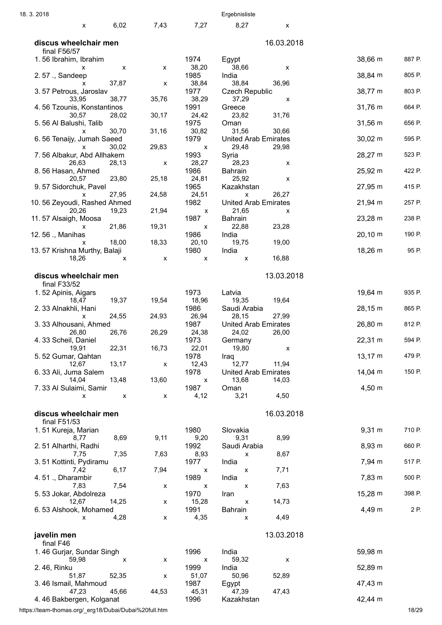| 18.3.2018                              |                |                    |                                   | Ergebnisliste                                 |                          |        |
|----------------------------------------|----------------|--------------------|-----------------------------------|-----------------------------------------------|--------------------------|--------|
| X                                      | 6,02           | 7,43               | 7,27                              | 8,27                                          | X                        |        |
| discus wheelchair men<br>final F56/57  |                |                    |                                   |                                               | 16.03.2018               |        |
| 1.56 Ibrahim, Ibrahim                  |                |                    | 1974                              | Egypt                                         | 38,66 m                  | 887 P. |
| х<br>2.57 ., Sandeep                   | X              | x                  | 38,20<br>1985                     | 38,66<br>India                                | X<br>38,84 m             | 805 P. |
| x<br>3.57 Petrous, Jaroslav            | 37,87          | X                  | 38,84<br>1977                     | 38,84<br>36,96<br><b>Czech Republic</b>       | 38,77 m                  | 803 P. |
| 33,95<br>4.56 Tzounis, Konstantinos    | 38,77          | 35,76              | 38,29<br>1991                     | 37,29<br>Greece                               | x<br>31,76 m             | 664 P. |
| 30,57<br>5.56 Al Balushi, Talib        | 28,02          | 30,17              | 24,42<br>1975                     | 23,82<br>31,76<br>Oman                        | 31,56 m                  | 656 P. |
| х<br>6.56 Tenaijy, Jumah Saeed         | 30,70          | 31,16              | 30,82<br>1979                     | 31,56<br>30,66<br><b>United Arab Emirates</b> | $30,02 \, \text{m}$      | 595 P. |
| x<br>7.56 Albakur, Abd Allhakem        | 30,02          | 29,83              | х<br>1993                         | 29,48<br>29,98<br>Syria                       | 28,27 m                  | 523 P. |
| 26,63<br>8.56 Hasan, Ahmed             | 28,13          | X                  | 28,27<br>1986                     | 28,23<br><b>Bahrain</b>                       | х<br>25,92 m             | 422 P. |
| 20,57<br>9.57 Sidorchuk, Pavel         | 23,80          | 25,18              | 24,81<br>1965                     | 25,92<br>Kazakhstan                           | x<br>27,95 m             | 415 P. |
| X<br>10.56 Zeyoudi, Rashed Ahmed       | 27,95          | 24,58              | 24,51<br>1982                     | 26,27<br>X<br><b>United Arab Emirates</b>     | 21,94 m                  | 257 P. |
| 20,26<br>11.57 Alsaigh, Moosa          | 19,23          | 21,94              | X<br>1987                         | 21,65<br><b>Bahrain</b>                       | X<br>$23,28 \, \text{m}$ | 238 P. |
| x<br>12.56 ., Manihas                  | 21,86          | 19,31              | х<br>1986                         | 22,88<br>23,28<br>India                       | $20,10 \; m$             | 190 P. |
| X<br>13.57 Krishna Murthy, Balaji      | 18,00          | 18,33              | 20,10<br>1980                     | 19,75<br>19,00<br>India                       | 18,26 m                  | 95 P.  |
| 18,26                                  | х              | X                  | x                                 | 16,88<br>$\pmb{\mathsf{x}}$                   |                          |        |
| discus wheelchair men<br>final F33/52  |                |                    |                                   |                                               | 13.03.2018               |        |
| 1.52 Apinis, Aigars<br>18,47           | 19,37          | 19,54              | 1973<br>18,96                     | Latvia<br>19,35<br>19,64                      | 19,64 m                  | 935 P. |
| 2.33 Alnakhli, Hani<br>X               | 24,55          | 24,93              | 1986<br>26,94                     | Saudi Arabia<br>28,15<br>27,99                | 28,15 m                  | 865 P. |
| 3.33 Alhousani, Ahmed<br>26,80         | 26,76          | 26,29              | 1987<br>24,38                     | <b>United Arab Emirates</b><br>24,02<br>26,00 | 26,80 m                  | 812 P. |
| 4.33 Scheil, Daniel<br>19,91           | 22,31          | 16,73              | 1973<br>22,01                     | Germany<br>19,80                              | 22,31 m<br>X             | 594 P. |
| 5.52 Gumar, Qahtan<br>12,67            | 13,17          | $\pmb{\mathsf{X}}$ | 1978<br>12,43                     | Iraq<br>12,77<br>11,94                        | $13,17 \; m$             | 479 P. |
| 6.33 Ali, Juma Salem<br>14,04          | 13,48          | 13,60              | 1978<br>$\boldsymbol{\mathsf{x}}$ | <b>United Arab Emirates</b><br>13,68<br>14,03 | $14,04 \; m$             | 150 P. |
| 7.33 Al Sulaimi, Samir<br>X            | $\pmb{\times}$ | X                  | 1987<br>4,12                      | Oman<br>4,50<br>3,21                          | $4,50 \; m$              |        |
|                                        |                |                    |                                   |                                               |                          |        |
| discus wheelchair men<br>final F51/53  |                |                    |                                   |                                               | 16.03.2018               |        |
| 1.51 Kureja, Marian<br>8,77            | 8,69           | 9,11               | 1980<br>9,20                      | Slovakia<br>9,31                              | $9,31 \; m$<br>8,99      | 710 P. |
| 2.51 Alharthi, Radhi<br>7,75           | 7,35           | 7,63               | 1992<br>8,93                      | Saudi Arabia<br>X                             | 8,93 m<br>8,67           | 660 P. |
| 3.51 Kottinti, Pydiramu<br>7,42        | 6,17           | 7,94               | 1977<br>X                         | India<br>7,71<br>x                            | 7,94 m                   | 517 P. |
| 4.51., Dharambir<br>7,83               | 7,54           | X                  | 1989<br>X                         | India<br>x                                    | 7,83 m<br>7,63           | 500 P. |
| 5.53 Jokar, Abdolreza<br>12,67         | 14,25          | X                  | 1970<br>15,28                     | Iran<br>14,73<br>$\pmb{\mathsf{X}}$           | 15,28 m                  | 398 P. |
| 6.53 Alshook, Mohamed<br>X             | 4,28           | X                  | 1991<br>4,35                      | Bahrain<br>4,49<br>x                          | 4,49 m                   | 2 P.   |
| javelin men                            |                |                    |                                   |                                               | 13.03.2018               |        |
| final F46<br>1.46 Gurjar, Sundar Singh |                |                    | 1996                              | India                                         | 59,98 m                  |        |
| 59,98<br>2.46, Rinku                   | $\mathsf{x}$   | x                  | X<br>1999                         | 59,32<br>India                                | X<br>52,89 m             |        |
| 51,87<br>3.46 Ismail, Mahmoud          | 52,35          | X                  | 51,07<br>1987                     | 52,89<br>50,96<br>Egypt                       | 47,43 m                  |        |
| 47,23<br>4.46 Bakbergen, Kolganat      | 45,66          | 44,53              | 45,31<br>1996                     | 47,39<br>47,43<br>Kazakhstan                  | 42,44 m                  |        |

https://team-thomas.org/\_erg18/Dubai/Dubai%20full.htm 18/29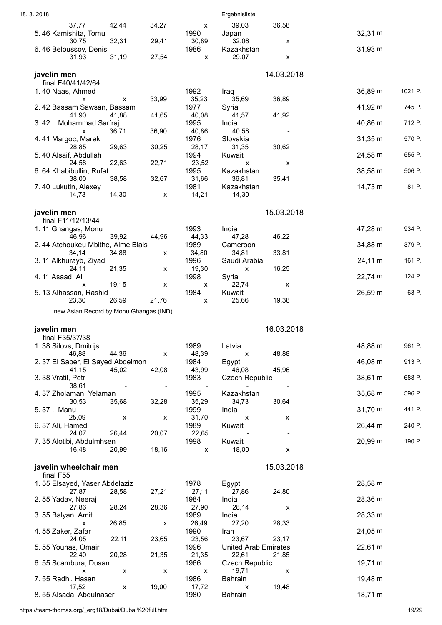| 18.3.2018                                  |                    |                |                            | Ergebnisliste                  |            |              |         |
|--------------------------------------------|--------------------|----------------|----------------------------|--------------------------------|------------|--------------|---------|
| 37,77<br>5.46 Kamishita, Tomu              | 42,44              | 34,27          | $\pmb{\mathsf{X}}$<br>1990 | 39,03<br>Japan                 | 36,58      | 32,31 m      |         |
| 30,75                                      | 32,31              | 29,41          | 30,89                      | 32,06                          | X          |              |         |
| 6.46 Beloussov, Denis<br>31,93             | 31,19              | 27,54          | 1986<br>X                  | Kazakhstan<br>29,07            | X          | 31,93 m      |         |
| javelin men                                |                    |                |                            |                                | 14.03.2018 |              |         |
| final F40/41/42/64                         |                    |                |                            |                                |            |              |         |
| 1.40 Naas, Ahmed<br>x                      | X                  | 33,99          | 1992<br>35,23              | Iraq<br>35,69                  | 36,89      | 36,89 m      | 1021 P. |
| 2.42 Bassam Sawsan, Bassam                 |                    |                | 1977                       | Syria                          |            | 41,92 m      | 745 P.  |
| 41,90<br>3.42 ., Mohammad Sarfraj          | 41,88              | 41,65          | 40,08<br>1995              | 41,57<br>India                 | 41,92      | 40,86 m      | 712 P.  |
| X<br>4.41 Margoc, Marek                    | 36,71              | 36,90          | 40,86<br>1976              | 40,58<br>Slovakia              |            | $31,35 \; m$ | 570 P.  |
| 28,85<br>5.40 Alsaif, Abdullah             | 29,63              | 30,25          | 28,17<br>1994              | 31,35<br>Kuwait                | 30,62      | 24,58 m      | 555 P.  |
| 24,58                                      | 22,63              | 22,71          | 23,52                      | X                              | X          |              |         |
| 6.64 Khabibullin, Rufat<br>38,00           | 38,58              | 32,67          | 1995<br>31,66              | Kazakhstan<br>36,81            | 35,41      | 38,58 m      | 506 P.  |
| 7.40 Lukutin, Alexey<br>14,73              | 14,30              | X              | 1981<br>14,21              | Kazakhstan<br>14,30            |            | 14,73 m      | 81 P.   |
|                                            |                    |                |                            |                                |            |              |         |
| javelin men<br>final F11/12/13/44          |                    |                |                            |                                | 15.03.2018 |              |         |
| 1.11 Ghangas, Monu                         |                    |                | 1993                       | India                          |            | 47,28 m      | 934 P.  |
| 46,96<br>2.44 Atchoukeu Mbithe, Aime Blais | 39,92              | 44,96          | 44,33<br>1989              | 47,28<br>Cameroon              | 46,22      | 34,88 m      | 379 P.  |
| 34,14                                      | 34,88              | x              | 34,80                      | 34,81                          | 33,81      |              |         |
| 3. 11 Alkhurayb, Ziyad<br>24,11            | 21,35              | X              | 1996<br>19,30              | Saudi Arabia<br>X              | 16,25      | 24,11 m      | 161 P.  |
| 4.11 Asaad, Ali<br>X                       | 19,15              | X              | 1998<br>X                  | Syria<br>22,74                 | X          | 22,74 m      | 124 P.  |
| 5. 13 Alhassan, Rashid<br>23,30            | 26,59              | 21,76          | 1984<br>X                  | Kuwait<br>25,66                | 19,38      | 26,59 m      | 63 P.   |
| new Asian Record by Monu Ghangas (IND)     |                    |                |                            |                                |            |              |         |
| javelin men                                |                    |                |                            |                                | 16.03.2018 |              |         |
| final F35/37/38                            |                    |                |                            |                                |            |              |         |
| 1.38 Silovs, Dmitrijs<br>46,88             | 44,36              | X              | 1989<br>48,39              | Latvia<br>X                    | 48,88      | 48,88 m      | 961 P.  |
| 2.37 El Saber, El Sayed Abdelmon           |                    |                | 1984                       | Egypt                          |            | 46,08 m      | 913 P.  |
| 41,15<br>3.38 Vratil, Petr                 | 45,02              | 42,08          | 43,99<br>1983              | 46,08<br><b>Czech Republic</b> | 45,96      | 38,61 m      | 688 P.  |
| 38,61<br>4.37 Zholaman, Yelaman            |                    | $\blacksquare$ | 1995                       | Kazakhstan                     |            | 35,68 m      | 596 P.  |
| 30,53                                      | 35,68              | 32,28          | 35,29                      | 34,73                          | 30,64      |              |         |
| 5.37 ., Manu<br>25,09                      | X                  | X              | 1999<br>31,70              | India<br>х                     | X          | 31,70 m      | 441 P.  |
| 6.37 Ali, Hamed<br>24,07                   | 26,44              | 20,07          | 1989<br>22,65              | Kuwait                         |            | 26,44 m      | 240 P.  |
| 7.35 Alotibi, Abdulmhsen                   |                    |                | 1998                       | Kuwait                         |            | 20,99 m      | 190 P.  |
| 16,48                                      | 20,99              | 18,16          | X                          | 18,00                          | x          |              |         |
| javelin wheelchair men                     |                    |                |                            |                                | 15.03.2018 |              |         |
| final F55<br>1.55 Elsayed, Yaser Abdelaziz |                    |                | 1978                       | Egypt                          |            | 28,58 m      |         |
| 27,87<br>2.55 Yadav, Neeraj                | 28,58              | 27,21          | 27,11<br>1984              | 27,86<br>India                 | 24,80      | 28,36 m      |         |
| 27,86                                      | 28,24              | 28,36          | 27,90                      | 28,14                          | х          |              |         |
| 3.55 Balyan, Amit<br>x                     | 26,85              | X              | 1989<br>26,49              | India<br>27,20                 | 28,33      | 28,33 m      |         |
| 4.55 Zaker, Zafar<br>24,05                 | 22,11              | 23,65          | 1990<br>23,56              | Iran<br>23,67                  | 23,17      | 24,05 m      |         |
| 5.55 Younas, Omair                         |                    |                | 1996                       | <b>United Arab Emirates</b>    |            | 22,61 m      |         |
| 22,40<br>6.55 Scambura, Dusan              | 20,28              | 21,35          | 21,35<br>1966              | 22,61<br><b>Czech Republic</b> | 21,85      | 19,71 m      |         |
| X<br>7.55 Radhi, Hasan                     | $\pmb{\mathsf{x}}$ | x              | х<br>1986                  | 19,71<br><b>Bahrain</b>        | X          | 19,48 m      |         |
| 17,52                                      | X                  | 19,00          | 17,72<br>1980              | X<br>Bahrain                   | 19,48      | 18,71 m      |         |
| 8.55 Alsada, Abdulnaser                    |                    |                |                            |                                |            |              |         |

https://team-thomas.org/\_erg18/Dubai/Dubai%20full.htm 19/29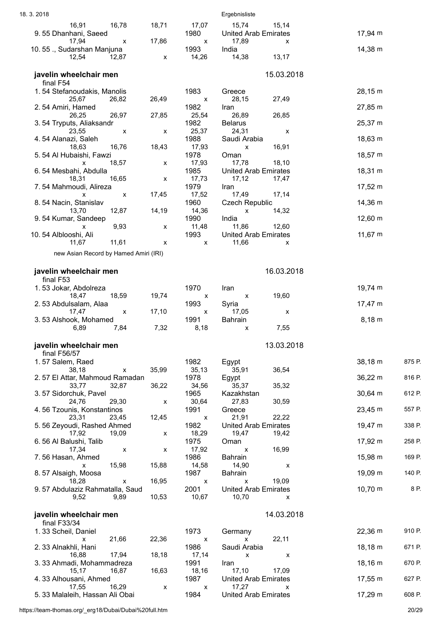| 18.3.2018                                            |       |                    | Ergebnisliste                             |                      |  |
|------------------------------------------------------|-------|--------------------|-------------------------------------------|----------------------|--|
| 16,91<br>16,78                                       | 18,71 | 17,07              | 15,74<br>15,14                            |                      |  |
| 9.55 Dhanhani, Saeed<br>17,94<br>X                   | 17,86 | 1980               | <b>United Arab Emirates</b><br>17,89      | 17,94 m              |  |
| 10.55 ., Sudarshan Manjuna                           |       | X<br>1993          | X<br>India                                | 14,38 m              |  |
| 12,54<br>12,87                                       | X     | 14,26              | 14,38<br>13,17                            |                      |  |
| javelin wheelchair men                               |       |                    | 15.03.2018                                |                      |  |
| final F54                                            |       |                    |                                           |                      |  |
| 1.54 Stefanoudakis, Manolis                          |       | 1983               | Greece                                    | 28,15 m              |  |
| 25,67<br>26,82<br>2.54 Amiri, Hamed                  | 26,49 | X<br>1982          | 28,15<br>27,49<br>Iran                    | 27,85 m              |  |
| 26,25<br>26,97                                       | 27,85 | 25,54              | 26,85<br>26,89                            |                      |  |
| 3.54 Tryputs, Aliaksandr                             |       | 1982               | <b>Belarus</b>                            | 25,37 m              |  |
| 23,55<br>$\pmb{\mathsf{X}}$<br>4.54 Alanazi, Saleh   | X     | 25,37<br>1988      | 24,31<br>X<br>Saudi Arabia                | 18,63 m              |  |
| 18,63<br>16,76                                       | 18,43 | 17,93              | 16,91<br>X                                |                      |  |
| 5.54 Al Hubaishi, Fawzi<br>18,57<br>X                | X     | 1978<br>17,93      | Oman<br>17,78<br>18,10                    | 18,57 m              |  |
| 6.54 Mesbahi, Abdulla                                |       | 1985               | <b>United Arab Emirates</b>               | 18,31 m              |  |
| 16,65<br>18,31                                       | X     | 17,73              | 17,12<br>17,47                            |                      |  |
| 7.54 Mahmoudi, Alireza<br>X<br>X                     | 17,45 | 1979<br>17,52      | Iran<br>17,14<br>17,49                    | $17,52 \text{ m}$    |  |
| 8.54 Nacin, Stanislav                                |       | 1960               | <b>Czech Republic</b>                     | 14,36 m              |  |
| 13,70<br>12,87                                       | 14,19 | 14,36<br>1990      | 14,32<br>X<br>India                       | 12,60 m              |  |
| 9.54 Kumar, Sandeep<br>9,93<br>X                     | X     | 11,48              | 11,86<br>12,60                            |                      |  |
| 10.54 Alblooshi, Ali                                 |       | 1993               | <b>United Arab Emirates</b>               | $11,67 \; m$         |  |
| 11,67<br>11,61                                       | x     | X                  | 11,66<br>x                                |                      |  |
| new Asian Record by Hamed Amiri (IRI)                |       |                    |                                           |                      |  |
| javelin wheelchair men                               |       |                    | 16.03.2018                                |                      |  |
| final F53                                            |       |                    |                                           |                      |  |
| 1.53 Jokar, Abdolreza<br>18,59<br>18,47              | 19,74 | 1970<br>X          | Iran<br>19,60<br>X                        | 19,74 m              |  |
| 2.53 Abdulsalam, Alaa                                |       | 1993               | Syria                                     | $17,47 \; m$         |  |
| 17,47<br>$\pmb{\mathsf{X}}$<br>3.53 Alshook, Mohamed | 17,10 | X<br>1991          | 17,05<br>х<br>Bahrain                     | $8,18 \; m$          |  |
| 6,89<br>7,84                                         | 7,32  | 8,18               | 7,55<br>х                                 |                      |  |
|                                                      |       |                    |                                           |                      |  |
| javelin wheelchair men<br>final F56/57               |       |                    | 13.03.2018                                |                      |  |
| 1.57 Salem, Raed                                     |       | 1982               | Egypt                                     | 38,18 m<br>875 P.    |  |
| 38,18<br>$\pmb{\mathsf{X}}$                          | 35,99 | 35, 13             | 36,54<br>35,91                            | 816 P.               |  |
| 2.57 El Attar, Mahmoud Ramadan<br>33,77<br>32,87     | 36,22 | 1978<br>34,56      | Egypt<br>35,37<br>35,32                   | 36,22 m              |  |
| 3.57 Sidorchuk, Pavel                                |       | 1965               | Kazakhstan                                | 30,64 m<br>612 P.    |  |
| 29,30<br>24,76<br>4.56 Tzounis, Konstantinos         | X     | 30,64<br>1991      | 27,83<br>30,59<br>Greece                  | 557 P.<br>23,45 m    |  |
| 23,31<br>23,45                                       | 12,45 | $\pmb{\mathsf{X}}$ | 21,91<br>22,22                            |                      |  |
| 5.56 Zeyoudi, Rashed Ahmed                           |       | 1982               | <b>United Arab Emirates</b>               | 19,47 m<br>338 P.    |  |
| 17,92<br>19,09<br>6.56 Al Balushi, Talib             | X     | 18,29<br>1975      | 19,47<br>19,42<br>Oman                    | 17,92 m<br>258 P.    |  |
| 17,34<br>X                                           | X     | 17,92              | 16,99<br>X                                |                      |  |
| 7.56 Hasan, Ahmed<br>15,98<br>X                      | 15,88 | 1986<br>14,58      | Bahrain<br>14,90<br>X                     | 15,98 m<br>169 P.    |  |
| 8.57 Alsaigh, Moosa                                  |       | 1987               | Bahrain                                   | 19,09 m<br>140 P.    |  |
| 18,28<br>X<br>9.57 Abdulaziz Rahmatalla, Saud        | 16,95 | X<br>2001          | 19,09<br>X<br><b>United Arab Emirates</b> | 8 P.<br>$10,70 \; m$ |  |
| 9,52<br>9,89                                         | 10,53 | 10,67              | 10,70<br>x                                |                      |  |
|                                                      |       |                    | 14.03.2018                                |                      |  |
| javelin wheelchair men<br>final F33/34               |       |                    |                                           |                      |  |
| 1.33 Scheil, Daniel                                  |       | 1973               | Germany                                   | 22,36 m<br>910 P.    |  |
| 21,66<br>x<br>2.33 Alnakhli, Hani                    | 22,36 | X<br>1986          | 22,11<br>X<br>Saudi Arabia                | 18,18 m<br>671 P.    |  |
| 17,94<br>16,88                                       | 18,18 | 17,14              | X<br>X                                    |                      |  |
| 3.33 Ahmadi, Mohammadreza<br>15,17<br>16,87          | 16,63 | 1991<br>18,16      | Iran<br>17,10<br>17,09                    | 18,16 m<br>670 P.    |  |
| 4.33 Alhousani, Ahmed                                |       | 1987               | <b>United Arab Emirates</b>               | 17,55 m<br>627 P.    |  |
| 16,29<br>17,55                                       | X     | x                  | 17,27<br>x                                | 608 P.               |  |
| 5.33 Malaleih, Hassan Ali Obai                       |       | 1984               | <b>United Arab Emirates</b>               | 17,29 m              |  |

https://team-thomas.org/\_erg18/Dubai/Dubai%20full.htm 20/29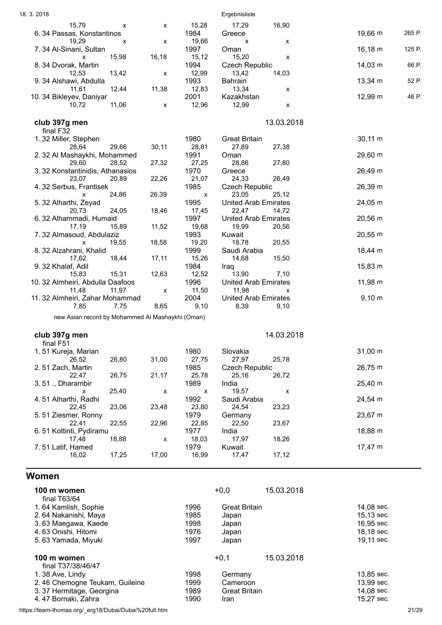<span id="page-20-0"></span>

| 19,66 m<br>6.34 Passas, Konstantinos<br>1984<br>Greece<br>19,29<br>19,66<br>X<br>X<br>х<br>х<br>1997<br>$16,18 \; m$<br>7.34 Al-Sinani, Sultan<br>Oman<br>15,98<br>16,18<br>15,12<br>15,20<br>X<br>X<br>$14,03 \; m$<br>1994<br><b>Czech Republic</b><br>8.34 Dvorak, Martin<br>13,42<br>12,99<br>13,42<br>14,03<br>12,53<br>X<br>1993<br>13,34 m<br>9.34 Alshawi, Abdulla<br>Bahrain<br>12,44<br>11,38<br>12,83<br>11,61<br>13,34<br>x<br>2001<br>12,99 m<br>Kazakhstan<br>10.34 Bikleyev, Daniyar<br>11,06<br>12,99<br>10,72<br>12,96<br>X<br>х<br>13.03.2018<br>club 397g men<br>final F32<br>1.32 Miller, Stephen<br>1980<br>$30,11 \; m$<br><b>Great Britain</b><br>29,66<br>30,11<br>28,81<br>27,89<br>28,64<br>27,38<br>1991<br>29,60 m<br>2. 32 Al Mashaykhi, Mohammed<br>Oman<br>28,86<br>27,80<br>29,60<br>27,32<br>27,25<br>28,52<br>26,49 m<br>1970<br>3.32 Konstantinidis, Athanasios<br>Greece<br>24,33<br>26,49<br>23,07<br>20,89<br>22,26<br>21,07<br>1985<br>26,39 m<br>4.32 Serbus, Frantisek<br><b>Czech Republic</b><br>26,39<br>23,05<br>24,86<br>25,12<br>$\pmb{\mathsf{X}}$<br>X<br>1995<br><b>United Arab Emirates</b><br>24,05 m<br>5. 32 Alharthi, Zeyad<br>24,05<br>18,46<br>20,73<br>17,45<br>22,47<br>14,72<br>1997<br>20,56 m<br>6.32 Alhammadi, Humaid<br><b>United Arab Emirates</b><br>11,52<br>17,19<br>15,89<br>19,68<br>19,99<br>20,56<br>1993<br>20,55 m<br>7.32 Almasoud, Abdulaziz<br>Kuwait<br>19,55<br>18,58<br>19,20<br>18,78<br>20,55<br>X<br>8. 32 Alzahrani, Khalid<br>1999<br>Saudi Arabia<br>$18,44 \, m$<br>17,11<br>15,26<br>18,44<br>14,68<br>15,50<br>17,62<br>9.32 Khalaf, Adil<br>1984<br>15,83 m<br>Iraq<br>15,83<br>15,31<br>12,63<br>12,52<br>13,90<br>7,10<br>11,98 m<br>10. 32 Almheiri, Abdulla Daafoos<br>1996<br><b>United Arab Emirates</b><br>11,48<br>11,97<br>11,50<br>11,98<br>X<br>х<br>2004<br>$9,10 \; m$<br>11. 32 Almheiri, Zahar Mohammad<br><b>United Arab Emirates</b><br>8,65<br>7,85<br>7,75<br>9,10<br>8,39<br>9,10<br>new Asian record by Mohammed Al Mashaykhi (Oman)<br>14.03.2018<br>club 397g men<br>final F51<br>1980<br>Slovakia<br>$31,00 \; m$<br>1.51 Kureja, Marian<br>27,97<br>26,52<br>26,80<br>31,00<br>25,78<br>27,75<br>1985<br>26,75 m<br>2.51 Zach, Martin<br><b>Czech Republic</b><br>26,75<br>21,17<br>26,72<br>22,47<br>25,78<br>25,16<br>25,40 m<br>1989<br>India<br>3.51., Dharambir<br>19,57<br>25,40<br>x<br>X<br>X<br>x<br>1992<br>4.51 Alharthi, Radhi<br>Saudi Arabia<br>24,54 m<br>22,45<br>23,06<br>23,48<br>23,80<br>24,54<br>23,23<br>5.51 Ziesmer, Ronny<br>1979<br>23,67 m<br>Germany<br>22,96<br>22,85<br>22,50<br>23,67<br>22,41<br>22,55<br>1977<br>6.51 Kottinti, Pydiramu<br>India<br>18,88 m<br>18,88<br>17,97<br>18,26<br>17,48<br>18,03<br>x<br>1979<br>Kuwait<br>$17,47 \text{ m}$<br>7.51 Latif, Hamed<br>17,25<br>17,00<br>17,12<br>16,02<br>16,99<br>17,47<br><b>Women</b><br>$+0,0$<br>15.03.2018<br>100 m women<br>final T63/64<br>1.64 Kamlish, Sophie<br>1996<br>14,08 sec.<br><b>Great Britain</b><br>1985<br>15,13 sec.<br>2.64 Nakanishi, Maya<br>Japan<br>1998<br>16,95 sec.<br>3.63 Maegawa, Kaede<br>Japan<br>1976<br>18,18 sec.<br>4.63 Onishi, Hitomi<br>Japan<br>1997<br>5.63 Yamada, Miyuki<br>19,11 sec.<br>Japan<br>$+0,1$<br>15.03.2018<br>100 m women<br>final T37/38/46/47<br>1998<br>13,85 sec.<br>1.38 Ave, Lindy<br>Germany<br>2.46 Chemogne Teukam, Guileine<br>1999<br>Cameroon<br>13,99 sec.<br>1989<br>14,08 sec.<br><b>Great Britain</b> | 15,79<br>X                                            | X | 15,28 | 17,29 | 16,90 |        |
|------------------------------------------------------------------------------------------------------------------------------------------------------------------------------------------------------------------------------------------------------------------------------------------------------------------------------------------------------------------------------------------------------------------------------------------------------------------------------------------------------------------------------------------------------------------------------------------------------------------------------------------------------------------------------------------------------------------------------------------------------------------------------------------------------------------------------------------------------------------------------------------------------------------------------------------------------------------------------------------------------------------------------------------------------------------------------------------------------------------------------------------------------------------------------------------------------------------------------------------------------------------------------------------------------------------------------------------------------------------------------------------------------------------------------------------------------------------------------------------------------------------------------------------------------------------------------------------------------------------------------------------------------------------------------------------------------------------------------------------------------------------------------------------------------------------------------------------------------------------------------------------------------------------------------------------------------------------------------------------------------------------------------------------------------------------------------------------------------------------------------------------------------------------------------------------------------------------------------------------------------------------------------------------------------------------------------------------------------------------------------------------------------------------------------------------------------------------------------------------------------------------------------------------------------------------------------------------------------------------------------------------------------------------------------------------------------------------------------------------------------------------------------------------------------------------------------------------------------------------------------------------------------------------------------------------------------------------------------------------------------------------------------------------------------------------------------------------------------------------------------------------------------------------------------------------------------------------------------------------------------------------------------------------------------------------------------------------------------------------------------------------------------------------------------------------------------------------------------------------------|-------------------------------------------------------|---|-------|-------|-------|--------|
|                                                                                                                                                                                                                                                                                                                                                                                                                                                                                                                                                                                                                                                                                                                                                                                                                                                                                                                                                                                                                                                                                                                                                                                                                                                                                                                                                                                                                                                                                                                                                                                                                                                                                                                                                                                                                                                                                                                                                                                                                                                                                                                                                                                                                                                                                                                                                                                                                                                                                                                                                                                                                                                                                                                                                                                                                                                                                                                                                                                                                                                                                                                                                                                                                                                                                                                                                                                                                                                                                                |                                                       |   |       |       |       | 265 P. |
|                                                                                                                                                                                                                                                                                                                                                                                                                                                                                                                                                                                                                                                                                                                                                                                                                                                                                                                                                                                                                                                                                                                                                                                                                                                                                                                                                                                                                                                                                                                                                                                                                                                                                                                                                                                                                                                                                                                                                                                                                                                                                                                                                                                                                                                                                                                                                                                                                                                                                                                                                                                                                                                                                                                                                                                                                                                                                                                                                                                                                                                                                                                                                                                                                                                                                                                                                                                                                                                                                                |                                                       |   |       |       |       |        |
|                                                                                                                                                                                                                                                                                                                                                                                                                                                                                                                                                                                                                                                                                                                                                                                                                                                                                                                                                                                                                                                                                                                                                                                                                                                                                                                                                                                                                                                                                                                                                                                                                                                                                                                                                                                                                                                                                                                                                                                                                                                                                                                                                                                                                                                                                                                                                                                                                                                                                                                                                                                                                                                                                                                                                                                                                                                                                                                                                                                                                                                                                                                                                                                                                                                                                                                                                                                                                                                                                                |                                                       |   |       |       |       | 125 P. |
|                                                                                                                                                                                                                                                                                                                                                                                                                                                                                                                                                                                                                                                                                                                                                                                                                                                                                                                                                                                                                                                                                                                                                                                                                                                                                                                                                                                                                                                                                                                                                                                                                                                                                                                                                                                                                                                                                                                                                                                                                                                                                                                                                                                                                                                                                                                                                                                                                                                                                                                                                                                                                                                                                                                                                                                                                                                                                                                                                                                                                                                                                                                                                                                                                                                                                                                                                                                                                                                                                                |                                                       |   |       |       |       | 66 P.  |
|                                                                                                                                                                                                                                                                                                                                                                                                                                                                                                                                                                                                                                                                                                                                                                                                                                                                                                                                                                                                                                                                                                                                                                                                                                                                                                                                                                                                                                                                                                                                                                                                                                                                                                                                                                                                                                                                                                                                                                                                                                                                                                                                                                                                                                                                                                                                                                                                                                                                                                                                                                                                                                                                                                                                                                                                                                                                                                                                                                                                                                                                                                                                                                                                                                                                                                                                                                                                                                                                                                |                                                       |   |       |       |       |        |
|                                                                                                                                                                                                                                                                                                                                                                                                                                                                                                                                                                                                                                                                                                                                                                                                                                                                                                                                                                                                                                                                                                                                                                                                                                                                                                                                                                                                                                                                                                                                                                                                                                                                                                                                                                                                                                                                                                                                                                                                                                                                                                                                                                                                                                                                                                                                                                                                                                                                                                                                                                                                                                                                                                                                                                                                                                                                                                                                                                                                                                                                                                                                                                                                                                                                                                                                                                                                                                                                                                |                                                       |   |       |       |       | 52 P.  |
|                                                                                                                                                                                                                                                                                                                                                                                                                                                                                                                                                                                                                                                                                                                                                                                                                                                                                                                                                                                                                                                                                                                                                                                                                                                                                                                                                                                                                                                                                                                                                                                                                                                                                                                                                                                                                                                                                                                                                                                                                                                                                                                                                                                                                                                                                                                                                                                                                                                                                                                                                                                                                                                                                                                                                                                                                                                                                                                                                                                                                                                                                                                                                                                                                                                                                                                                                                                                                                                                                                |                                                       |   |       |       |       |        |
|                                                                                                                                                                                                                                                                                                                                                                                                                                                                                                                                                                                                                                                                                                                                                                                                                                                                                                                                                                                                                                                                                                                                                                                                                                                                                                                                                                                                                                                                                                                                                                                                                                                                                                                                                                                                                                                                                                                                                                                                                                                                                                                                                                                                                                                                                                                                                                                                                                                                                                                                                                                                                                                                                                                                                                                                                                                                                                                                                                                                                                                                                                                                                                                                                                                                                                                                                                                                                                                                                                |                                                       |   |       |       |       | 46 P.  |
|                                                                                                                                                                                                                                                                                                                                                                                                                                                                                                                                                                                                                                                                                                                                                                                                                                                                                                                                                                                                                                                                                                                                                                                                                                                                                                                                                                                                                                                                                                                                                                                                                                                                                                                                                                                                                                                                                                                                                                                                                                                                                                                                                                                                                                                                                                                                                                                                                                                                                                                                                                                                                                                                                                                                                                                                                                                                                                                                                                                                                                                                                                                                                                                                                                                                                                                                                                                                                                                                                                |                                                       |   |       |       |       |        |
|                                                                                                                                                                                                                                                                                                                                                                                                                                                                                                                                                                                                                                                                                                                                                                                                                                                                                                                                                                                                                                                                                                                                                                                                                                                                                                                                                                                                                                                                                                                                                                                                                                                                                                                                                                                                                                                                                                                                                                                                                                                                                                                                                                                                                                                                                                                                                                                                                                                                                                                                                                                                                                                                                                                                                                                                                                                                                                                                                                                                                                                                                                                                                                                                                                                                                                                                                                                                                                                                                                |                                                       |   |       |       |       |        |
|                                                                                                                                                                                                                                                                                                                                                                                                                                                                                                                                                                                                                                                                                                                                                                                                                                                                                                                                                                                                                                                                                                                                                                                                                                                                                                                                                                                                                                                                                                                                                                                                                                                                                                                                                                                                                                                                                                                                                                                                                                                                                                                                                                                                                                                                                                                                                                                                                                                                                                                                                                                                                                                                                                                                                                                                                                                                                                                                                                                                                                                                                                                                                                                                                                                                                                                                                                                                                                                                                                |                                                       |   |       |       |       |        |
|                                                                                                                                                                                                                                                                                                                                                                                                                                                                                                                                                                                                                                                                                                                                                                                                                                                                                                                                                                                                                                                                                                                                                                                                                                                                                                                                                                                                                                                                                                                                                                                                                                                                                                                                                                                                                                                                                                                                                                                                                                                                                                                                                                                                                                                                                                                                                                                                                                                                                                                                                                                                                                                                                                                                                                                                                                                                                                                                                                                                                                                                                                                                                                                                                                                                                                                                                                                                                                                                                                |                                                       |   |       |       |       |        |
|                                                                                                                                                                                                                                                                                                                                                                                                                                                                                                                                                                                                                                                                                                                                                                                                                                                                                                                                                                                                                                                                                                                                                                                                                                                                                                                                                                                                                                                                                                                                                                                                                                                                                                                                                                                                                                                                                                                                                                                                                                                                                                                                                                                                                                                                                                                                                                                                                                                                                                                                                                                                                                                                                                                                                                                                                                                                                                                                                                                                                                                                                                                                                                                                                                                                                                                                                                                                                                                                                                |                                                       |   |       |       |       |        |
|                                                                                                                                                                                                                                                                                                                                                                                                                                                                                                                                                                                                                                                                                                                                                                                                                                                                                                                                                                                                                                                                                                                                                                                                                                                                                                                                                                                                                                                                                                                                                                                                                                                                                                                                                                                                                                                                                                                                                                                                                                                                                                                                                                                                                                                                                                                                                                                                                                                                                                                                                                                                                                                                                                                                                                                                                                                                                                                                                                                                                                                                                                                                                                                                                                                                                                                                                                                                                                                                                                |                                                       |   |       |       |       |        |
|                                                                                                                                                                                                                                                                                                                                                                                                                                                                                                                                                                                                                                                                                                                                                                                                                                                                                                                                                                                                                                                                                                                                                                                                                                                                                                                                                                                                                                                                                                                                                                                                                                                                                                                                                                                                                                                                                                                                                                                                                                                                                                                                                                                                                                                                                                                                                                                                                                                                                                                                                                                                                                                                                                                                                                                                                                                                                                                                                                                                                                                                                                                                                                                                                                                                                                                                                                                                                                                                                                |                                                       |   |       |       |       |        |
|                                                                                                                                                                                                                                                                                                                                                                                                                                                                                                                                                                                                                                                                                                                                                                                                                                                                                                                                                                                                                                                                                                                                                                                                                                                                                                                                                                                                                                                                                                                                                                                                                                                                                                                                                                                                                                                                                                                                                                                                                                                                                                                                                                                                                                                                                                                                                                                                                                                                                                                                                                                                                                                                                                                                                                                                                                                                                                                                                                                                                                                                                                                                                                                                                                                                                                                                                                                                                                                                                                |                                                       |   |       |       |       |        |
|                                                                                                                                                                                                                                                                                                                                                                                                                                                                                                                                                                                                                                                                                                                                                                                                                                                                                                                                                                                                                                                                                                                                                                                                                                                                                                                                                                                                                                                                                                                                                                                                                                                                                                                                                                                                                                                                                                                                                                                                                                                                                                                                                                                                                                                                                                                                                                                                                                                                                                                                                                                                                                                                                                                                                                                                                                                                                                                                                                                                                                                                                                                                                                                                                                                                                                                                                                                                                                                                                                |                                                       |   |       |       |       |        |
|                                                                                                                                                                                                                                                                                                                                                                                                                                                                                                                                                                                                                                                                                                                                                                                                                                                                                                                                                                                                                                                                                                                                                                                                                                                                                                                                                                                                                                                                                                                                                                                                                                                                                                                                                                                                                                                                                                                                                                                                                                                                                                                                                                                                                                                                                                                                                                                                                                                                                                                                                                                                                                                                                                                                                                                                                                                                                                                                                                                                                                                                                                                                                                                                                                                                                                                                                                                                                                                                                                |                                                       |   |       |       |       |        |
|                                                                                                                                                                                                                                                                                                                                                                                                                                                                                                                                                                                                                                                                                                                                                                                                                                                                                                                                                                                                                                                                                                                                                                                                                                                                                                                                                                                                                                                                                                                                                                                                                                                                                                                                                                                                                                                                                                                                                                                                                                                                                                                                                                                                                                                                                                                                                                                                                                                                                                                                                                                                                                                                                                                                                                                                                                                                                                                                                                                                                                                                                                                                                                                                                                                                                                                                                                                                                                                                                                |                                                       |   |       |       |       |        |
|                                                                                                                                                                                                                                                                                                                                                                                                                                                                                                                                                                                                                                                                                                                                                                                                                                                                                                                                                                                                                                                                                                                                                                                                                                                                                                                                                                                                                                                                                                                                                                                                                                                                                                                                                                                                                                                                                                                                                                                                                                                                                                                                                                                                                                                                                                                                                                                                                                                                                                                                                                                                                                                                                                                                                                                                                                                                                                                                                                                                                                                                                                                                                                                                                                                                                                                                                                                                                                                                                                |                                                       |   |       |       |       |        |
|                                                                                                                                                                                                                                                                                                                                                                                                                                                                                                                                                                                                                                                                                                                                                                                                                                                                                                                                                                                                                                                                                                                                                                                                                                                                                                                                                                                                                                                                                                                                                                                                                                                                                                                                                                                                                                                                                                                                                                                                                                                                                                                                                                                                                                                                                                                                                                                                                                                                                                                                                                                                                                                                                                                                                                                                                                                                                                                                                                                                                                                                                                                                                                                                                                                                                                                                                                                                                                                                                                |                                                       |   |       |       |       |        |
|                                                                                                                                                                                                                                                                                                                                                                                                                                                                                                                                                                                                                                                                                                                                                                                                                                                                                                                                                                                                                                                                                                                                                                                                                                                                                                                                                                                                                                                                                                                                                                                                                                                                                                                                                                                                                                                                                                                                                                                                                                                                                                                                                                                                                                                                                                                                                                                                                                                                                                                                                                                                                                                                                                                                                                                                                                                                                                                                                                                                                                                                                                                                                                                                                                                                                                                                                                                                                                                                                                |                                                       |   |       |       |       |        |
|                                                                                                                                                                                                                                                                                                                                                                                                                                                                                                                                                                                                                                                                                                                                                                                                                                                                                                                                                                                                                                                                                                                                                                                                                                                                                                                                                                                                                                                                                                                                                                                                                                                                                                                                                                                                                                                                                                                                                                                                                                                                                                                                                                                                                                                                                                                                                                                                                                                                                                                                                                                                                                                                                                                                                                                                                                                                                                                                                                                                                                                                                                                                                                                                                                                                                                                                                                                                                                                                                                |                                                       |   |       |       |       |        |
|                                                                                                                                                                                                                                                                                                                                                                                                                                                                                                                                                                                                                                                                                                                                                                                                                                                                                                                                                                                                                                                                                                                                                                                                                                                                                                                                                                                                                                                                                                                                                                                                                                                                                                                                                                                                                                                                                                                                                                                                                                                                                                                                                                                                                                                                                                                                                                                                                                                                                                                                                                                                                                                                                                                                                                                                                                                                                                                                                                                                                                                                                                                                                                                                                                                                                                                                                                                                                                                                                                |                                                       |   |       |       |       |        |
|                                                                                                                                                                                                                                                                                                                                                                                                                                                                                                                                                                                                                                                                                                                                                                                                                                                                                                                                                                                                                                                                                                                                                                                                                                                                                                                                                                                                                                                                                                                                                                                                                                                                                                                                                                                                                                                                                                                                                                                                                                                                                                                                                                                                                                                                                                                                                                                                                                                                                                                                                                                                                                                                                                                                                                                                                                                                                                                                                                                                                                                                                                                                                                                                                                                                                                                                                                                                                                                                                                |                                                       |   |       |       |       |        |
|                                                                                                                                                                                                                                                                                                                                                                                                                                                                                                                                                                                                                                                                                                                                                                                                                                                                                                                                                                                                                                                                                                                                                                                                                                                                                                                                                                                                                                                                                                                                                                                                                                                                                                                                                                                                                                                                                                                                                                                                                                                                                                                                                                                                                                                                                                                                                                                                                                                                                                                                                                                                                                                                                                                                                                                                                                                                                                                                                                                                                                                                                                                                                                                                                                                                                                                                                                                                                                                                                                |                                                       |   |       |       |       |        |
|                                                                                                                                                                                                                                                                                                                                                                                                                                                                                                                                                                                                                                                                                                                                                                                                                                                                                                                                                                                                                                                                                                                                                                                                                                                                                                                                                                                                                                                                                                                                                                                                                                                                                                                                                                                                                                                                                                                                                                                                                                                                                                                                                                                                                                                                                                                                                                                                                                                                                                                                                                                                                                                                                                                                                                                                                                                                                                                                                                                                                                                                                                                                                                                                                                                                                                                                                                                                                                                                                                |                                                       |   |       |       |       |        |
|                                                                                                                                                                                                                                                                                                                                                                                                                                                                                                                                                                                                                                                                                                                                                                                                                                                                                                                                                                                                                                                                                                                                                                                                                                                                                                                                                                                                                                                                                                                                                                                                                                                                                                                                                                                                                                                                                                                                                                                                                                                                                                                                                                                                                                                                                                                                                                                                                                                                                                                                                                                                                                                                                                                                                                                                                                                                                                                                                                                                                                                                                                                                                                                                                                                                                                                                                                                                                                                                                                |                                                       |   |       |       |       |        |
|                                                                                                                                                                                                                                                                                                                                                                                                                                                                                                                                                                                                                                                                                                                                                                                                                                                                                                                                                                                                                                                                                                                                                                                                                                                                                                                                                                                                                                                                                                                                                                                                                                                                                                                                                                                                                                                                                                                                                                                                                                                                                                                                                                                                                                                                                                                                                                                                                                                                                                                                                                                                                                                                                                                                                                                                                                                                                                                                                                                                                                                                                                                                                                                                                                                                                                                                                                                                                                                                                                |                                                       |   |       |       |       |        |
|                                                                                                                                                                                                                                                                                                                                                                                                                                                                                                                                                                                                                                                                                                                                                                                                                                                                                                                                                                                                                                                                                                                                                                                                                                                                                                                                                                                                                                                                                                                                                                                                                                                                                                                                                                                                                                                                                                                                                                                                                                                                                                                                                                                                                                                                                                                                                                                                                                                                                                                                                                                                                                                                                                                                                                                                                                                                                                                                                                                                                                                                                                                                                                                                                                                                                                                                                                                                                                                                                                |                                                       |   |       |       |       |        |
|                                                                                                                                                                                                                                                                                                                                                                                                                                                                                                                                                                                                                                                                                                                                                                                                                                                                                                                                                                                                                                                                                                                                                                                                                                                                                                                                                                                                                                                                                                                                                                                                                                                                                                                                                                                                                                                                                                                                                                                                                                                                                                                                                                                                                                                                                                                                                                                                                                                                                                                                                                                                                                                                                                                                                                                                                                                                                                                                                                                                                                                                                                                                                                                                                                                                                                                                                                                                                                                                                                |                                                       |   |       |       |       |        |
|                                                                                                                                                                                                                                                                                                                                                                                                                                                                                                                                                                                                                                                                                                                                                                                                                                                                                                                                                                                                                                                                                                                                                                                                                                                                                                                                                                                                                                                                                                                                                                                                                                                                                                                                                                                                                                                                                                                                                                                                                                                                                                                                                                                                                                                                                                                                                                                                                                                                                                                                                                                                                                                                                                                                                                                                                                                                                                                                                                                                                                                                                                                                                                                                                                                                                                                                                                                                                                                                                                |                                                       |   |       |       |       |        |
|                                                                                                                                                                                                                                                                                                                                                                                                                                                                                                                                                                                                                                                                                                                                                                                                                                                                                                                                                                                                                                                                                                                                                                                                                                                                                                                                                                                                                                                                                                                                                                                                                                                                                                                                                                                                                                                                                                                                                                                                                                                                                                                                                                                                                                                                                                                                                                                                                                                                                                                                                                                                                                                                                                                                                                                                                                                                                                                                                                                                                                                                                                                                                                                                                                                                                                                                                                                                                                                                                                |                                                       |   |       |       |       |        |
|                                                                                                                                                                                                                                                                                                                                                                                                                                                                                                                                                                                                                                                                                                                                                                                                                                                                                                                                                                                                                                                                                                                                                                                                                                                                                                                                                                                                                                                                                                                                                                                                                                                                                                                                                                                                                                                                                                                                                                                                                                                                                                                                                                                                                                                                                                                                                                                                                                                                                                                                                                                                                                                                                                                                                                                                                                                                                                                                                                                                                                                                                                                                                                                                                                                                                                                                                                                                                                                                                                |                                                       |   |       |       |       |        |
|                                                                                                                                                                                                                                                                                                                                                                                                                                                                                                                                                                                                                                                                                                                                                                                                                                                                                                                                                                                                                                                                                                                                                                                                                                                                                                                                                                                                                                                                                                                                                                                                                                                                                                                                                                                                                                                                                                                                                                                                                                                                                                                                                                                                                                                                                                                                                                                                                                                                                                                                                                                                                                                                                                                                                                                                                                                                                                                                                                                                                                                                                                                                                                                                                                                                                                                                                                                                                                                                                                |                                                       |   |       |       |       |        |
|                                                                                                                                                                                                                                                                                                                                                                                                                                                                                                                                                                                                                                                                                                                                                                                                                                                                                                                                                                                                                                                                                                                                                                                                                                                                                                                                                                                                                                                                                                                                                                                                                                                                                                                                                                                                                                                                                                                                                                                                                                                                                                                                                                                                                                                                                                                                                                                                                                                                                                                                                                                                                                                                                                                                                                                                                                                                                                                                                                                                                                                                                                                                                                                                                                                                                                                                                                                                                                                                                                |                                                       |   |       |       |       |        |
|                                                                                                                                                                                                                                                                                                                                                                                                                                                                                                                                                                                                                                                                                                                                                                                                                                                                                                                                                                                                                                                                                                                                                                                                                                                                                                                                                                                                                                                                                                                                                                                                                                                                                                                                                                                                                                                                                                                                                                                                                                                                                                                                                                                                                                                                                                                                                                                                                                                                                                                                                                                                                                                                                                                                                                                                                                                                                                                                                                                                                                                                                                                                                                                                                                                                                                                                                                                                                                                                                                |                                                       |   |       |       |       |        |
|                                                                                                                                                                                                                                                                                                                                                                                                                                                                                                                                                                                                                                                                                                                                                                                                                                                                                                                                                                                                                                                                                                                                                                                                                                                                                                                                                                                                                                                                                                                                                                                                                                                                                                                                                                                                                                                                                                                                                                                                                                                                                                                                                                                                                                                                                                                                                                                                                                                                                                                                                                                                                                                                                                                                                                                                                                                                                                                                                                                                                                                                                                                                                                                                                                                                                                                                                                                                                                                                                                |                                                       |   |       |       |       |        |
|                                                                                                                                                                                                                                                                                                                                                                                                                                                                                                                                                                                                                                                                                                                                                                                                                                                                                                                                                                                                                                                                                                                                                                                                                                                                                                                                                                                                                                                                                                                                                                                                                                                                                                                                                                                                                                                                                                                                                                                                                                                                                                                                                                                                                                                                                                                                                                                                                                                                                                                                                                                                                                                                                                                                                                                                                                                                                                                                                                                                                                                                                                                                                                                                                                                                                                                                                                                                                                                                                                |                                                       |   |       |       |       |        |
|                                                                                                                                                                                                                                                                                                                                                                                                                                                                                                                                                                                                                                                                                                                                                                                                                                                                                                                                                                                                                                                                                                                                                                                                                                                                                                                                                                                                                                                                                                                                                                                                                                                                                                                                                                                                                                                                                                                                                                                                                                                                                                                                                                                                                                                                                                                                                                                                                                                                                                                                                                                                                                                                                                                                                                                                                                                                                                                                                                                                                                                                                                                                                                                                                                                                                                                                                                                                                                                                                                |                                                       |   |       |       |       |        |
|                                                                                                                                                                                                                                                                                                                                                                                                                                                                                                                                                                                                                                                                                                                                                                                                                                                                                                                                                                                                                                                                                                                                                                                                                                                                                                                                                                                                                                                                                                                                                                                                                                                                                                                                                                                                                                                                                                                                                                                                                                                                                                                                                                                                                                                                                                                                                                                                                                                                                                                                                                                                                                                                                                                                                                                                                                                                                                                                                                                                                                                                                                                                                                                                                                                                                                                                                                                                                                                                                                |                                                       |   |       |       |       |        |
|                                                                                                                                                                                                                                                                                                                                                                                                                                                                                                                                                                                                                                                                                                                                                                                                                                                                                                                                                                                                                                                                                                                                                                                                                                                                                                                                                                                                                                                                                                                                                                                                                                                                                                                                                                                                                                                                                                                                                                                                                                                                                                                                                                                                                                                                                                                                                                                                                                                                                                                                                                                                                                                                                                                                                                                                                                                                                                                                                                                                                                                                                                                                                                                                                                                                                                                                                                                                                                                                                                |                                                       |   |       |       |       |        |
|                                                                                                                                                                                                                                                                                                                                                                                                                                                                                                                                                                                                                                                                                                                                                                                                                                                                                                                                                                                                                                                                                                                                                                                                                                                                                                                                                                                                                                                                                                                                                                                                                                                                                                                                                                                                                                                                                                                                                                                                                                                                                                                                                                                                                                                                                                                                                                                                                                                                                                                                                                                                                                                                                                                                                                                                                                                                                                                                                                                                                                                                                                                                                                                                                                                                                                                                                                                                                                                                                                |                                                       |   |       |       |       |        |
|                                                                                                                                                                                                                                                                                                                                                                                                                                                                                                                                                                                                                                                                                                                                                                                                                                                                                                                                                                                                                                                                                                                                                                                                                                                                                                                                                                                                                                                                                                                                                                                                                                                                                                                                                                                                                                                                                                                                                                                                                                                                                                                                                                                                                                                                                                                                                                                                                                                                                                                                                                                                                                                                                                                                                                                                                                                                                                                                                                                                                                                                                                                                                                                                                                                                                                                                                                                                                                                                                                |                                                       |   |       |       |       |        |
|                                                                                                                                                                                                                                                                                                                                                                                                                                                                                                                                                                                                                                                                                                                                                                                                                                                                                                                                                                                                                                                                                                                                                                                                                                                                                                                                                                                                                                                                                                                                                                                                                                                                                                                                                                                                                                                                                                                                                                                                                                                                                                                                                                                                                                                                                                                                                                                                                                                                                                                                                                                                                                                                                                                                                                                                                                                                                                                                                                                                                                                                                                                                                                                                                                                                                                                                                                                                                                                                                                |                                                       |   |       |       |       |        |
|                                                                                                                                                                                                                                                                                                                                                                                                                                                                                                                                                                                                                                                                                                                                                                                                                                                                                                                                                                                                                                                                                                                                                                                                                                                                                                                                                                                                                                                                                                                                                                                                                                                                                                                                                                                                                                                                                                                                                                                                                                                                                                                                                                                                                                                                                                                                                                                                                                                                                                                                                                                                                                                                                                                                                                                                                                                                                                                                                                                                                                                                                                                                                                                                                                                                                                                                                                                                                                                                                                |                                                       |   |       |       |       |        |
|                                                                                                                                                                                                                                                                                                                                                                                                                                                                                                                                                                                                                                                                                                                                                                                                                                                                                                                                                                                                                                                                                                                                                                                                                                                                                                                                                                                                                                                                                                                                                                                                                                                                                                                                                                                                                                                                                                                                                                                                                                                                                                                                                                                                                                                                                                                                                                                                                                                                                                                                                                                                                                                                                                                                                                                                                                                                                                                                                                                                                                                                                                                                                                                                                                                                                                                                                                                                                                                                                                |                                                       |   |       |       |       |        |
|                                                                                                                                                                                                                                                                                                                                                                                                                                                                                                                                                                                                                                                                                                                                                                                                                                                                                                                                                                                                                                                                                                                                                                                                                                                                                                                                                                                                                                                                                                                                                                                                                                                                                                                                                                                                                                                                                                                                                                                                                                                                                                                                                                                                                                                                                                                                                                                                                                                                                                                                                                                                                                                                                                                                                                                                                                                                                                                                                                                                                                                                                                                                                                                                                                                                                                                                                                                                                                                                                                |                                                       |   |       |       |       |        |
|                                                                                                                                                                                                                                                                                                                                                                                                                                                                                                                                                                                                                                                                                                                                                                                                                                                                                                                                                                                                                                                                                                                                                                                                                                                                                                                                                                                                                                                                                                                                                                                                                                                                                                                                                                                                                                                                                                                                                                                                                                                                                                                                                                                                                                                                                                                                                                                                                                                                                                                                                                                                                                                                                                                                                                                                                                                                                                                                                                                                                                                                                                                                                                                                                                                                                                                                                                                                                                                                                                |                                                       |   |       |       |       |        |
|                                                                                                                                                                                                                                                                                                                                                                                                                                                                                                                                                                                                                                                                                                                                                                                                                                                                                                                                                                                                                                                                                                                                                                                                                                                                                                                                                                                                                                                                                                                                                                                                                                                                                                                                                                                                                                                                                                                                                                                                                                                                                                                                                                                                                                                                                                                                                                                                                                                                                                                                                                                                                                                                                                                                                                                                                                                                                                                                                                                                                                                                                                                                                                                                                                                                                                                                                                                                                                                                                                |                                                       |   |       |       |       |        |
|                                                                                                                                                                                                                                                                                                                                                                                                                                                                                                                                                                                                                                                                                                                                                                                                                                                                                                                                                                                                                                                                                                                                                                                                                                                                                                                                                                                                                                                                                                                                                                                                                                                                                                                                                                                                                                                                                                                                                                                                                                                                                                                                                                                                                                                                                                                                                                                                                                                                                                                                                                                                                                                                                                                                                                                                                                                                                                                                                                                                                                                                                                                                                                                                                                                                                                                                                                                                                                                                                                |                                                       |   |       |       |       |        |
|                                                                                                                                                                                                                                                                                                                                                                                                                                                                                                                                                                                                                                                                                                                                                                                                                                                                                                                                                                                                                                                                                                                                                                                                                                                                                                                                                                                                                                                                                                                                                                                                                                                                                                                                                                                                                                                                                                                                                                                                                                                                                                                                                                                                                                                                                                                                                                                                                                                                                                                                                                                                                                                                                                                                                                                                                                                                                                                                                                                                                                                                                                                                                                                                                                                                                                                                                                                                                                                                                                |                                                       |   |       |       |       |        |
|                                                                                                                                                                                                                                                                                                                                                                                                                                                                                                                                                                                                                                                                                                                                                                                                                                                                                                                                                                                                                                                                                                                                                                                                                                                                                                                                                                                                                                                                                                                                                                                                                                                                                                                                                                                                                                                                                                                                                                                                                                                                                                                                                                                                                                                                                                                                                                                                                                                                                                                                                                                                                                                                                                                                                                                                                                                                                                                                                                                                                                                                                                                                                                                                                                                                                                                                                                                                                                                                                                |                                                       |   |       |       |       |        |
|                                                                                                                                                                                                                                                                                                                                                                                                                                                                                                                                                                                                                                                                                                                                                                                                                                                                                                                                                                                                                                                                                                                                                                                                                                                                                                                                                                                                                                                                                                                                                                                                                                                                                                                                                                                                                                                                                                                                                                                                                                                                                                                                                                                                                                                                                                                                                                                                                                                                                                                                                                                                                                                                                                                                                                                                                                                                                                                                                                                                                                                                                                                                                                                                                                                                                                                                                                                                                                                                                                |                                                       |   |       |       |       |        |
|                                                                                                                                                                                                                                                                                                                                                                                                                                                                                                                                                                                                                                                                                                                                                                                                                                                                                                                                                                                                                                                                                                                                                                                                                                                                                                                                                                                                                                                                                                                                                                                                                                                                                                                                                                                                                                                                                                                                                                                                                                                                                                                                                                                                                                                                                                                                                                                                                                                                                                                                                                                                                                                                                                                                                                                                                                                                                                                                                                                                                                                                                                                                                                                                                                                                                                                                                                                                                                                                                                |                                                       |   |       |       |       |        |
|                                                                                                                                                                                                                                                                                                                                                                                                                                                                                                                                                                                                                                                                                                                                                                                                                                                                                                                                                                                                                                                                                                                                                                                                                                                                                                                                                                                                                                                                                                                                                                                                                                                                                                                                                                                                                                                                                                                                                                                                                                                                                                                                                                                                                                                                                                                                                                                                                                                                                                                                                                                                                                                                                                                                                                                                                                                                                                                                                                                                                                                                                                                                                                                                                                                                                                                                                                                                                                                                                                |                                                       |   |       |       |       |        |
|                                                                                                                                                                                                                                                                                                                                                                                                                                                                                                                                                                                                                                                                                                                                                                                                                                                                                                                                                                                                                                                                                                                                                                                                                                                                                                                                                                                                                                                                                                                                                                                                                                                                                                                                                                                                                                                                                                                                                                                                                                                                                                                                                                                                                                                                                                                                                                                                                                                                                                                                                                                                                                                                                                                                                                                                                                                                                                                                                                                                                                                                                                                                                                                                                                                                                                                                                                                                                                                                                                |                                                       |   |       |       |       |        |
|                                                                                                                                                                                                                                                                                                                                                                                                                                                                                                                                                                                                                                                                                                                                                                                                                                                                                                                                                                                                                                                                                                                                                                                                                                                                                                                                                                                                                                                                                                                                                                                                                                                                                                                                                                                                                                                                                                                                                                                                                                                                                                                                                                                                                                                                                                                                                                                                                                                                                                                                                                                                                                                                                                                                                                                                                                                                                                                                                                                                                                                                                                                                                                                                                                                                                                                                                                                                                                                                                                |                                                       |   |       |       |       |        |
|                                                                                                                                                                                                                                                                                                                                                                                                                                                                                                                                                                                                                                                                                                                                                                                                                                                                                                                                                                                                                                                                                                                                                                                                                                                                                                                                                                                                                                                                                                                                                                                                                                                                                                                                                                                                                                                                                                                                                                                                                                                                                                                                                                                                                                                                                                                                                                                                                                                                                                                                                                                                                                                                                                                                                                                                                                                                                                                                                                                                                                                                                                                                                                                                                                                                                                                                                                                                                                                                                                |                                                       |   |       |       |       |        |
|                                                                                                                                                                                                                                                                                                                                                                                                                                                                                                                                                                                                                                                                                                                                                                                                                                                                                                                                                                                                                                                                                                                                                                                                                                                                                                                                                                                                                                                                                                                                                                                                                                                                                                                                                                                                                                                                                                                                                                                                                                                                                                                                                                                                                                                                                                                                                                                                                                                                                                                                                                                                                                                                                                                                                                                                                                                                                                                                                                                                                                                                                                                                                                                                                                                                                                                                                                                                                                                                                                |                                                       |   |       |       |       |        |
|                                                                                                                                                                                                                                                                                                                                                                                                                                                                                                                                                                                                                                                                                                                                                                                                                                                                                                                                                                                                                                                                                                                                                                                                                                                                                                                                                                                                                                                                                                                                                                                                                                                                                                                                                                                                                                                                                                                                                                                                                                                                                                                                                                                                                                                                                                                                                                                                                                                                                                                                                                                                                                                                                                                                                                                                                                                                                                                                                                                                                                                                                                                                                                                                                                                                                                                                                                                                                                                                                                |                                                       |   |       |       |       |        |
|                                                                                                                                                                                                                                                                                                                                                                                                                                                                                                                                                                                                                                                                                                                                                                                                                                                                                                                                                                                                                                                                                                                                                                                                                                                                                                                                                                                                                                                                                                                                                                                                                                                                                                                                                                                                                                                                                                                                                                                                                                                                                                                                                                                                                                                                                                                                                                                                                                                                                                                                                                                                                                                                                                                                                                                                                                                                                                                                                                                                                                                                                                                                                                                                                                                                                                                                                                                                                                                                                                |                                                       |   |       |       |       |        |
|                                                                                                                                                                                                                                                                                                                                                                                                                                                                                                                                                                                                                                                                                                                                                                                                                                                                                                                                                                                                                                                                                                                                                                                                                                                                                                                                                                                                                                                                                                                                                                                                                                                                                                                                                                                                                                                                                                                                                                                                                                                                                                                                                                                                                                                                                                                                                                                                                                                                                                                                                                                                                                                                                                                                                                                                                                                                                                                                                                                                                                                                                                                                                                                                                                                                                                                                                                                                                                                                                                |                                                       |   |       |       |       |        |
|                                                                                                                                                                                                                                                                                                                                                                                                                                                                                                                                                                                                                                                                                                                                                                                                                                                                                                                                                                                                                                                                                                                                                                                                                                                                                                                                                                                                                                                                                                                                                                                                                                                                                                                                                                                                                                                                                                                                                                                                                                                                                                                                                                                                                                                                                                                                                                                                                                                                                                                                                                                                                                                                                                                                                                                                                                                                                                                                                                                                                                                                                                                                                                                                                                                                                                                                                                                                                                                                                                | 3.37 Hermitage, Georgina                              |   |       |       |       |        |
| 4.47 Bornaki, Zahra<br>1990<br>15,27 sec.<br>Iran                                                                                                                                                                                                                                                                                                                                                                                                                                                                                                                                                                                                                                                                                                                                                                                                                                                                                                                                                                                                                                                                                                                                                                                                                                                                                                                                                                                                                                                                                                                                                                                                                                                                                                                                                                                                                                                                                                                                                                                                                                                                                                                                                                                                                                                                                                                                                                                                                                                                                                                                                                                                                                                                                                                                                                                                                                                                                                                                                                                                                                                                                                                                                                                                                                                                                                                                                                                                                                              |                                                       |   |       |       |       |        |
|                                                                                                                                                                                                                                                                                                                                                                                                                                                                                                                                                                                                                                                                                                                                                                                                                                                                                                                                                                                                                                                                                                                                                                                                                                                                                                                                                                                                                                                                                                                                                                                                                                                                                                                                                                                                                                                                                                                                                                                                                                                                                                                                                                                                                                                                                                                                                                                                                                                                                                                                                                                                                                                                                                                                                                                                                                                                                                                                                                                                                                                                                                                                                                                                                                                                                                                                                                                                                                                                                                | https://team-thomas.org/_erg18/Dubai/Dubai%20full.htm |   |       |       |       | 21/29  |
|                                                                                                                                                                                                                                                                                                                                                                                                                                                                                                                                                                                                                                                                                                                                                                                                                                                                                                                                                                                                                                                                                                                                                                                                                                                                                                                                                                                                                                                                                                                                                                                                                                                                                                                                                                                                                                                                                                                                                                                                                                                                                                                                                                                                                                                                                                                                                                                                                                                                                                                                                                                                                                                                                                                                                                                                                                                                                                                                                                                                                                                                                                                                                                                                                                                                                                                                                                                                                                                                                                |                                                       |   |       |       |       |        |

18. 3. 2018 Ergebnisliste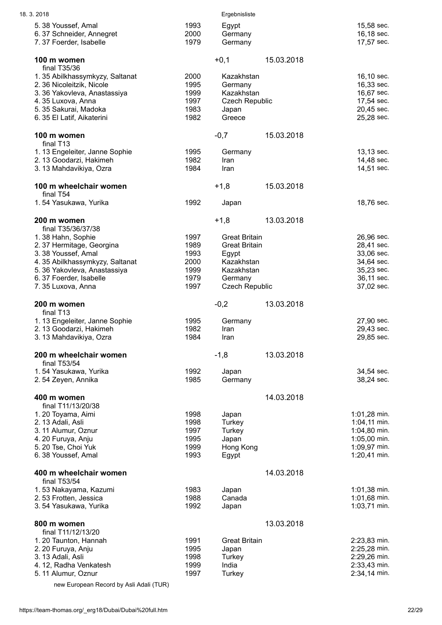| 18.3.2018                                      |              | Ergebnisliste         |            |                              |
|------------------------------------------------|--------------|-----------------------|------------|------------------------------|
| 5.38 Youssef, Amal                             | 1993         | Egypt                 |            | 15,58 sec.                   |
| 6.37 Schneider, Annegret                       | 2000         | Germany               |            | 16,18 sec.                   |
| 7.37 Foerder, Isabelle                         | 1979         | Germany               |            | 17,57 sec.                   |
| 100 m women                                    |              | $+0,1$                | 15.03.2018 |                              |
| final T35/36                                   |              |                       |            |                              |
| 1.35 Abilkhassymkyzy, Saltanat                 | 2000         | Kazakhstan            |            | 16,10 sec.                   |
| 2. 36 Nicoleitzik, Nicole                      | 1995         | Germany               |            | 16,33 sec.                   |
| 3.36 Yakovleva, Anastassiya                    | 1999         | Kazakhstan            |            | 16,67 sec.                   |
| 4.35 Luxova, Anna                              | 1997         | <b>Czech Republic</b> |            | 17,54 sec.                   |
| 5.35 Sakurai, Madoka                           | 1983         | Japan                 |            | 20,45 sec.                   |
| 6.35 El Latif, Aikaterini                      | 1982         | Greece                |            | 25,28 sec.                   |
| 100 m women                                    |              | $-0,7$                | 15.03.2018 |                              |
| final T <sub>13</sub>                          |              |                       |            |                              |
| 1. 13 Engeleiter, Janne Sophie                 | 1995         | Germany               |            | 13,13 sec.                   |
| 2.13 Goodarzi, Hakimeh                         | 1982         | Iran                  |            | 14,48 sec.                   |
| 3.13 Mahdavikiya, Ozra                         | 1984         | Iran                  |            | 14,51 sec.                   |
| 100 m wheelchair women                         |              | $+1,8$                | 15.03.2018 |                              |
| final T54                                      |              |                       |            |                              |
| 1.54 Yasukawa, Yurika                          | 1992         | Japan                 |            | 18,76 sec.                   |
| 200 m women                                    |              | $+1,8$                | 13.03.2018 |                              |
| final T35/36/37/38                             |              |                       |            |                              |
| 1.38 Hahn, Sophie                              | 1997         | <b>Great Britain</b>  |            | 26,96 sec.                   |
| 2.37 Hermitage, Georgina                       | 1989         | <b>Great Britain</b>  |            | 28,41 sec.                   |
| 3.38 Youssef, Amal                             | 1993         | Egypt                 |            | 33,06 sec.                   |
| 4.35 Abilkhassymkyzy, Saltanat                 | 2000         | Kazakhstan            |            | 34,64 sec.                   |
| 5.36 Yakovleva, Anastassiya                    | 1999         | Kazakhstan            |            | 35,23 sec.                   |
| 6.37 Foerder, Isabelle                         | 1979         | Germany               |            | 36,11 sec.                   |
| 7.35 Luxova, Anna                              | 1997         | <b>Czech Republic</b> |            | 37,02 sec.                   |
| 200 m women                                    |              | $-0,2$                | 13.03.2018 |                              |
| final T <sub>13</sub>                          |              |                       |            |                              |
| 1. 13 Engeleiter, Janne Sophie                 | 1995         | Germany               |            | 27,90 sec.                   |
| 2.13 Goodarzi, Hakimeh                         | 1982         | Iran                  |            | 29,43 sec.                   |
| 3.13 Mahdavikiya, Ozra                         | 1984         | Iran                  |            | 29,85 sec.                   |
| 200 m wheelchair women                         |              | $-1,8$                | 13.03.2018 |                              |
| final T53/54                                   |              |                       |            |                              |
| 1.54 Yasukawa, Yurika                          | 1992         | Japan                 |            | 34,54 sec.                   |
| 2.54 Zeyen, Annika                             | 1985         | Germany               |            | 38,24 sec.                   |
| 400 m women                                    |              |                       | 14.03.2018 |                              |
| final T11/13/20/38                             |              |                       |            |                              |
| 1.20 Toyama, Aimi                              | 1998         | Japan                 |            | 1:01,28 min.                 |
| 2. 13 Adali, Asli                              | 1998         | Turkey                |            | 1:04,11 min.                 |
| 3. 11 Alumur, Oznur                            | 1997         | Turkey                |            | 1:04,80 min.                 |
| 4. 20 Furuya, Anju                             | 1995         | Japan                 |            | 1:05,00 min.                 |
| 5. 20 Tse, Choi Yuk                            | 1999<br>1993 | Hong Kong             |            | 1:09,97 min.<br>1:20,41 min. |
| 6.38 Youssef, Amal                             |              | Egypt                 |            |                              |
| 400 m wheelchair women                         |              |                       | 14.03.2018 |                              |
| final T53/54                                   |              |                       |            |                              |
| 1.53 Nakayama, Kazumi<br>2.53 Frotten, Jessica | 1983<br>1988 | Japan<br>Canada       |            | 1:01,38 min.<br>1:01,68 min. |
| 3.54 Yasukawa, Yurika                          | 1992         | Japan                 |            | 1:03,71 min.                 |
|                                                |              |                       |            |                              |
| 800 m women                                    |              |                       | 13.03.2018 |                              |
| final T11/12/13/20                             |              |                       |            |                              |
| 1.20 Taunton, Hannah                           | 1991         | <b>Great Britain</b>  |            | 2:23,83 min.                 |
| 2. 20 Furuya, Anju                             | 1995         | Japan                 |            | 2:25,28 min.                 |
| 3.13 Adali, Asli<br>4. 12, Radha Venkatesh     | 1998<br>1999 | Turkey<br>India       |            | 2:29,26 min.<br>2:33,43 min. |
| 5. 11 Alumur, Oznur                            | 1997         | Turkey                |            | 2:34,14 min.                 |
|                                                |              |                       |            |                              |
| new European Record by Asli Adali (TUR)        |              |                       |            |                              |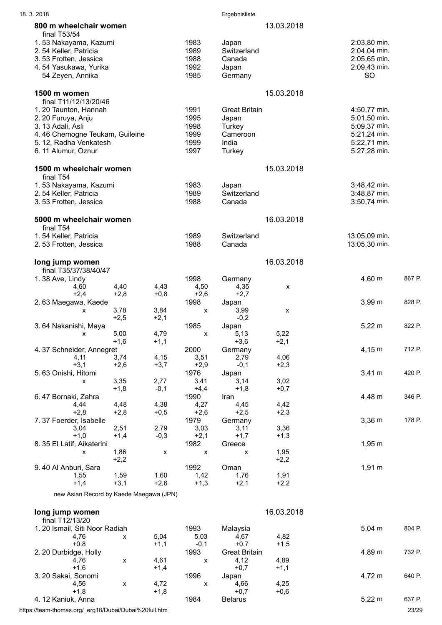| 18.3.2018                                                                                                                                                                 |                    |                |                                              | Ergebnisliste                                                          |                |                                                                                              |        |
|---------------------------------------------------------------------------------------------------------------------------------------------------------------------------|--------------------|----------------|----------------------------------------------|------------------------------------------------------------------------|----------------|----------------------------------------------------------------------------------------------|--------|
| 800 m wheelchair women                                                                                                                                                    |                    |                |                                              |                                                                        | 13.03.2018     |                                                                                              |        |
| final T53/54<br>1.53 Nakayama, Kazumi<br>2.54 Keller, Patricia<br>3.53 Frotten, Jessica<br>4.54 Yasukawa, Yurika<br>54 Zeyen, Annika                                      |                    |                | 1983<br>1989<br>1988<br>1992<br>1985         | Japan<br>Switzerland<br>Canada<br>Japan<br>Germany                     |                | 2:03,80 min.<br>2:04,04 min.<br>2:05,65 min.<br>2:09,43 min.<br><b>SO</b>                    |        |
| 1500 m women                                                                                                                                                              |                    |                |                                              |                                                                        | 15.03.2018     |                                                                                              |        |
| final T11/12/13/20/46<br>1.20 Taunton, Hannah<br>2. 20 Furuya, Anju<br>3.13 Adali, Asli<br>4.46 Chemogne Teukam, Guileine<br>5. 12, Radha Venkatesh<br>6.11 Alumur, Oznur |                    |                | 1991<br>1995<br>1998<br>1999<br>1999<br>1997 | <b>Great Britain</b><br>Japan<br>Turkey<br>Cameroon<br>India<br>Turkey |                | 4:50,77 min.<br>5:01,50 min.<br>5:09,37 min.<br>5:21,24 min.<br>5:22,71 min.<br>5:27,28 min. |        |
| 1500 m wheelchair women                                                                                                                                                   |                    |                |                                              |                                                                        | 15.03.2018     |                                                                                              |        |
| final T54<br>1.53 Nakayama, Kazumi<br>2.54 Keller, Patricia<br>3.53 Frotten, Jessica                                                                                      |                    |                | 1983<br>1989<br>1988                         | Japan<br>Switzerland<br>Canada                                         |                | 3:48,42 min.<br>3:48,87 min.<br>3:50,74 min.                                                 |        |
| 5000 m wheelchair women<br>final T54                                                                                                                                      |                    |                |                                              |                                                                        | 16.03.2018     |                                                                                              |        |
| 1.54 Keller, Patricia<br>2.53 Frotten, Jessica                                                                                                                            |                    |                | 1989<br>1988                                 | Switzerland<br>Canada                                                  |                | 13:05,09 min.<br>13:05,30 min.                                                               |        |
| long jump women                                                                                                                                                           |                    |                |                                              |                                                                        | 16.03.2018     |                                                                                              |        |
| final T35/37/38/40/47<br>1.38 Ave, Lindy<br>4,60                                                                                                                          | 4,40               | 4,43           | 1998<br>4,50                                 | Germany<br>4,35                                                        | X              | $4,60 \; m$                                                                                  | 867 P. |
| $+2,4$<br>2.63 Maegawa, Kaede<br>X                                                                                                                                        | $+2,8$<br>3,78     | $+0,8$<br>3,84 | $+2,6$<br>1998<br>X                          | $+2,7$<br>Japan<br>3,99                                                | x              | 3,99 m                                                                                       | 828 P. |
| 3.64 Nakanishi, Maya                                                                                                                                                      | $+2,5$             | $+2,1$         | 1985                                         | $-0,2$<br>Japan                                                        |                | $5,22 \; m$                                                                                  | 822 P. |
| х                                                                                                                                                                         | 5,00               | 4,79           | X                                            | 5,13                                                                   | 5,22           |                                                                                              |        |
| 4.37 Schneider, Annegret                                                                                                                                                  | $+1,6$             | $+1,1$         | 2000                                         | $+3,6$<br>Germany                                                      | $+2,1$         | $4,15 \; m$                                                                                  | 712 P. |
| 4,11<br>$+3,1$                                                                                                                                                            | 3,74<br>$+2,6$     | 4,15<br>$+3,7$ | 3,51<br>$+2,9$                               | 2,79<br>$-0,1$                                                         | 4,06<br>$+2,3$ |                                                                                              |        |
| 5.63 Onishi, Hitomi                                                                                                                                                       |                    |                | 1976                                         | Japan                                                                  |                | $3,41 \; m$                                                                                  | 420 P. |
| X                                                                                                                                                                         | 3,35<br>$+1,8$     | 2,77<br>$-0,1$ | 3,41<br>$+4,4$                               | 3,14<br>$+1,8$                                                         | 3,02<br>$+0,7$ |                                                                                              |        |
| 6.47 Bornaki, Zahra                                                                                                                                                       |                    |                | 1990                                         | Iran                                                                   |                | 4,48 m                                                                                       | 346 P. |
| 4,44                                                                                                                                                                      | 4,48               | 4,38           | 4,27                                         | 4,45                                                                   | 4,42           |                                                                                              |        |
| $+2,8$<br>7.37 Foerder, Isabelle                                                                                                                                          | $+2,8$             | $+0,5$         | $+2,6$<br>1979                               | $+2,5$<br>Germany                                                      | $+2,3$         | $3,36 \, m$                                                                                  | 178 P. |
| 3,04                                                                                                                                                                      | 2,51               | 2,79           | 3,03                                         | 3,11                                                                   | 3,36           |                                                                                              |        |
| $+1,0$                                                                                                                                                                    | $+1,4$             | $-0,3$         | $+2,1$                                       | $+1,7$                                                                 | $+1,3$         |                                                                                              |        |
| 8. 35 El Latif, Aikaterini<br>X                                                                                                                                           | 1,86               | X              | 1982<br>$\pmb{\mathsf{X}}$                   | Greece<br>X                                                            | 1,95           | $1,95 \; m$                                                                                  |        |
|                                                                                                                                                                           | $+2,2$             |                |                                              |                                                                        | $+2,2$         |                                                                                              |        |
| 9.40 Al Anburi, Sara                                                                                                                                                      |                    |                | 1992                                         | Oman                                                                   |                | $1,91 \; m$                                                                                  |        |
| 1,55                                                                                                                                                                      | 1,59               | 1,60           | 1,42                                         | 1,76                                                                   | 1,91           |                                                                                              |        |
| $+1,4$<br>new Asian Record by Kaede Maegawa (JPN)                                                                                                                         | $+3,1$             | $+2,6$         | $+1,3$                                       | $+2,1$                                                                 | $+2,2$         |                                                                                              |        |
|                                                                                                                                                                           |                    |                |                                              |                                                                        |                |                                                                                              |        |
| long jump women                                                                                                                                                           |                    |                |                                              |                                                                        | 16.03.2018     |                                                                                              |        |
| final T12/13/20<br>1. 20 Ismail, Siti Noor Radiah                                                                                                                         |                    |                | 1993                                         | Malaysia                                                               |                | $5,04 \, m$                                                                                  | 804 P. |
| 4,76                                                                                                                                                                      | X                  | 5,04           | 5,03                                         | 4,67                                                                   | 4,82           |                                                                                              |        |
| $+0,8$                                                                                                                                                                    |                    | $+1,1$         | $-0,1$                                       | $+0,7$                                                                 | $+1,5$         |                                                                                              |        |
| 2. 20 Durbidge, Holly<br>4,76                                                                                                                                             | x                  | 4,61           | 1993<br>$\pmb{\mathsf{X}}$                   | <b>Great Britain</b><br>4,12                                           | 4,89           | 4,89 m                                                                                       | 732 P. |
| $+1,6$                                                                                                                                                                    |                    | $+1,4$         |                                              | $+0,7$                                                                 | $+1,1$         |                                                                                              |        |
| 3. 20 Sakai, Sonomi                                                                                                                                                       |                    |                | 1996                                         | Japan                                                                  |                | 4,72 m                                                                                       | 640 P. |
| 4,56                                                                                                                                                                      | $\pmb{\mathsf{x}}$ | 4,72           | $\pmb{\mathsf{X}}$                           | 4,66                                                                   | 4,25           |                                                                                              |        |
| $+1,8$<br>4. 12 Kaniuk, Anna                                                                                                                                              |                    | $+1,8$         | 1984                                         | $+0,7$<br><b>Belarus</b>                                               | $+0,6$         | $5,22 \; m$                                                                                  | 637 P. |
|                                                                                                                                                                           |                    |                |                                              |                                                                        |                |                                                                                              |        |

https://team-thomas.org/\_erg18/Dubai/Dubai%20full.htm 23/29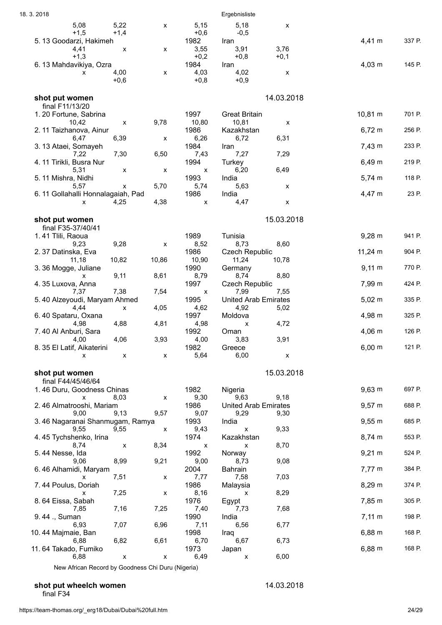| 18.3.2018                                            |       |                        | Ergebnisliste                       |                           |                    |        |
|------------------------------------------------------|-------|------------------------|-------------------------------------|---------------------------|--------------------|--------|
| 5,08<br>5,22<br>$+1,5$<br>$+1,4$                     | X     | 5,15<br>$+0,6$         | 5,18<br>$-0,5$                      | X                         |                    |        |
| 5. 13 Goodarzi, Hakimeh<br>4,41<br>X<br>$+1,3$       | x     | 1982<br>3,55<br>$+0,2$ | Iran<br>3,91<br>$+0,8$              | 3,76<br>$+0,1$            | 4,41 m             | 337 P. |
| 6.13 Mahdavikiya, Ozra<br>4,00<br>X                  | x     | 1984<br>4,03           | Iran<br>4,02                        | $\boldsymbol{\mathsf{x}}$ | $4,03 \; m$        | 145 P. |
| $+0,6$                                               |       | $+0,8$                 | $+0,9$                              |                           |                    |        |
| shot put women<br>final F11/13/20                    |       |                        |                                     | 14.03.2018                |                    |        |
| 1.20 Fortune, Sabrina<br>10,42<br>$\pmb{\mathsf{X}}$ | 9,78  | 1997<br>10,80          | <b>Great Britain</b><br>10,81       | X                         | 10,81 m            | 701 P. |
| 2. 11 Taizhanova, Ainur                              |       | 1986                   | Kazakhstan                          |                           | $6,72 \; m$        | 256 P. |
| 6,39<br>6,47<br>3.13 Ataei, Somayeh                  | х     | 6,26<br>1984           | 6,72<br>Iran                        | 6,31                      | $7,43 \; m$        | 233 P. |
| 7,30<br>7,22<br>4. 11 Tirikli, Busra Nur             | 6,50  | 7,43<br>1994           | 7,27<br>Turkey                      | 7,29                      | 6,49 m             | 219 P. |
| 5,31<br>X<br>5.11 Mishra, Nidhi                      | X     | X<br>1993              | 6,20<br>India                       | 6,49                      | $5,74 \; m$        | 118 P. |
| 5,57<br>х<br>6.11 Gollahalli Honnalagaiah, Pad       | 5,70  | 5,74<br>1986           | 5,63<br>India                       | X                         | 4,47 m             | 23 P.  |
| 4,25<br>X                                            | 4,38  | $\pmb{\mathsf{X}}$     | 4,47                                | $\pmb{\mathsf{X}}$        |                    |        |
| shot put women                                       |       |                        |                                     | 15.03.2018                |                    |        |
| final F35-37/40/41<br>1.41 Tlili, Raoua              |       | 1989                   | Tunisia                             |                           | $9,28 \, \text{m}$ | 941 P. |
| 9,28<br>9,23<br>2.37 Datinska, Eva                   | X     | 8,52<br>1986           | 8,73<br><b>Czech Republic</b>       | 8,60                      | $11,24 \text{ m}$  | 904 P. |
| 10,82<br>11,18<br>3.36 Mogge, Juliane                | 10,86 | 10,90<br>1990          | 11,24<br>Germany                    | 10,78                     | $9,11 \, m$        | 770 P. |
| 9,11<br>х<br>4.35 Luxova, Anna                       | 8,61  | 8,79<br>1997           | 8,74<br><b>Czech Republic</b>       | 8,80                      | 7,99 m             | 424 P. |
| 7,38<br>7,37<br>5.40 Alzeyoudi, Maryam Ahmed         | 7,54  | x<br>1995              | 7,99<br><b>United Arab Emirates</b> | 7,55                      | $5,02 \; m$        | 335 P. |
| 4,44<br>X                                            | 4,05  | 4,62                   | 4,92                                | 5,02                      |                    | 325 P. |
| 6.40 Spataru, Oxana<br>4,88<br>4,98                  | 4,81  | 1997<br>4,98           | Moldova<br>X                        | 4,72                      | 4,98 m             |        |
| 7.40 Al Anburi, Sara<br>4,06<br>4,00                 | 3,93  | 1992<br>4,00           | Oman<br>3,83                        | 3,91                      | $4,06 \, m$        | 126 P. |
| 8. 35 El Latif, Aikaterini<br>X<br>X                 | X     | 1982<br>5,64           | Greece<br>6,00                      | X                         | $6,00 \; m$        | 121 P. |
| shot put women                                       |       |                        |                                     | 15.03.2018                |                    |        |
| final F44/45/46/64<br>1.46 Duru, Goodness Chinas     |       | 1982                   | Nigeria                             |                           | $9,63 \, m$        | 697 P. |
| 8,03<br>x<br>2.46 Almatrooshi, Mariam                | X     | 9,30<br>1986           | 9,63<br><b>United Arab Emirates</b> | 9,18                      | $9,57 \; m$        | 688 P. |
| 9,00<br>9,13                                         | 9,57  | 9,07                   | 9,29                                | 9,30                      |                    |        |
| 3.46 Nagaranai Shanmugam, Ramya<br>9,55<br>9,55      | X     | 1993<br>9,43           | India<br>$\pmb{\mathsf{X}}$         | 9,33                      | $9,55 \, \text{m}$ | 685 P. |
| 4.45 Tychshenko, Irina<br>8,74<br>X                  | 8,34  | 1974<br>х              | Kazakhstan<br>X                     | 8,70                      | $8,74 \, m$        | 553 P. |
| 5.44 Nesse, Ida<br>8,99<br>9,06                      | 9,21  | 1992<br>9,00           | Norway<br>8,73                      | 9,08                      | $9,21 \; m$        | 524 P. |
| 6.46 Alhamidi, Maryam<br>7,51<br>x                   |       | 2004                   | <b>Bahrain</b><br>7,58              | 7,03                      | $7,77 \; m$        | 384 P. |
| 7.44 Poulus, Doriah                                  | x     | 7,77<br>1986           | Malaysia                            |                           | 8,29 m             | 374 P. |
| 7,25<br>X<br>8.64 Eissa, Sabah                       | x     | 8,16<br>1976           | х<br>Egypt                          | 8,29                      | 7,85 m             | 305 P. |
| 7,16<br>7,85<br>9.44 ., Suman                        | 7,25  | 7,40<br>1990           | 7,73<br>India                       | 7,68                      | $7,11 \; m$        | 198 P. |
| 7,07<br>6,93<br>10. 44 Majmaie, Ban                  | 6,96  | 7,11<br>1998           | 6,56<br>Iraq                        | 6,77                      | $6,88 \; m$        | 168 P. |
| 6,88<br>6,82<br>11.64 Takado, Fumiko                 | 6,61  | 6,70<br>1973           | 6,67<br>Japan                       | 6,73                      | $6,88 \; m$        | 168 P. |
| 6,88<br>X                                            | x     | 6,49                   | x                                   | 6,00                      |                    |        |

New African Record by Goodness Chi Duru (Nigeria)

#### shot put wheelch women **14.03.2018**

final F34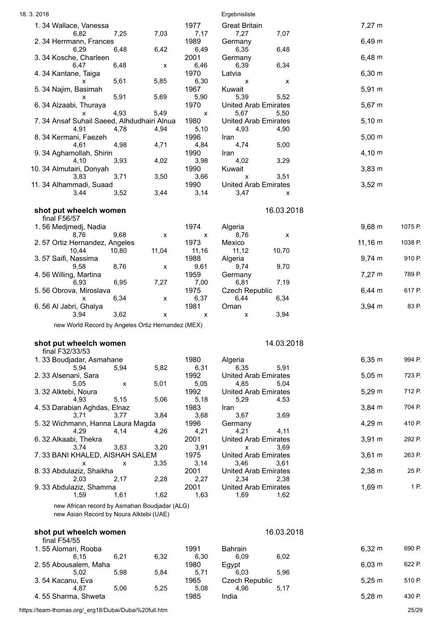| 18.3.2018                                                                                |       |               | Ergebnisliste                               |              |         |
|------------------------------------------------------------------------------------------|-------|---------------|---------------------------------------------|--------------|---------|
| 1.34 Wallace, Vanessa<br>6,82<br>7,25                                                    | 7,03  | 1977<br>7,17  | <b>Great Britain</b><br>7,27<br>7,07        | $7,27 \; m$  |         |
| 2.34 Herrmann, Frances                                                                   |       | 1989          | Germany                                     | $6,49 \; m$  |         |
| 6,29<br>6,48<br>3.34 Kosche, Charleen                                                    | 6,42  | 6,49<br>2001  | 6,35<br>6,48<br>Germany                     | $6,48 \; m$  |         |
| 6,48<br>6,47<br>4.34 Kantane, Taiga                                                      | х     | 6,46<br>1970  | 6,34<br>6,39<br>Latvia                      | $6,30 \; m$  |         |
| 5,61<br>X                                                                                | 5,85  | 6,30          | X<br>X                                      |              |         |
| 5. 34 Najim, Basimah<br>5,91<br>x                                                        | 5,69  | 1967<br>5,90  | Kuwait<br>5,39<br>5,52                      | 5,91 m       |         |
| 6.34 Alzaabi, Thuraya<br>4,93<br>х                                                       | 5,49  | 1970<br>х     | <b>United Arab Emirates</b><br>5,67<br>5,50 | $5,67 \; m$  |         |
| 7.34 Ansaf Suhail Saeed, Alhdudhairi Alnua                                               |       | 1980          | <b>United Arab Emirates</b>                 | $5,10 \; m$  |         |
| 4,91<br>4,78<br>8. 34 Kermani, Faezeh                                                    | 4,94  | 5,10<br>1996  | 4,93<br>4,90<br>Iran                        | $5,00 \; m$  |         |
| 4,98<br>4,61<br>9.34 Aghamollah, Shirin                                                  | 4,71  | 4,84<br>1990  | 4,74<br>5,00<br>Iran                        | $4,10 \; m$  |         |
| 3,93<br>4,10                                                                             | 4,02  | 3,98<br>1990  | 4,02<br>3,29                                | $3,83 \, m$  |         |
| 10. 34 Almutairi, Donyah<br>3,83<br>3,71                                                 | 3,50  | 3,66          | Kuwait<br>3,51<br>X                         |              |         |
| 11. 34 Alhammadi, Suaad<br>3,44<br>3,52                                                  | 3,44  | 1990<br>3,14  | <b>United Arab Emirates</b><br>3,47<br>X    | $3,52 \; m$  |         |
|                                                                                          |       |               |                                             |              |         |
| shot put wheelch women<br>final F56/57                                                   |       |               | 16.03.2018                                  |              |         |
| 1.56 Medjmedj, Nadia<br>8,76<br>9,68                                                     | X     | 1974<br>X     | Algeria<br>8,76<br>X                        | 9,68 m       | 1075 P. |
| 2.57 Ortiz Hernandez, Angeles                                                            |       | 1973          | Mexico                                      | $11,16 \; m$ | 1038 P. |
| 10,80<br>10,44<br>3.57 Saifi, Nassima                                                    | 11,04 | 11,16<br>1988 | 10,70<br>11,12<br>Algeria                   | $9,74 \, m$  | 910 P.  |
| 8,76<br>9,58<br>4.56 Willing, Martina                                                    | x     | 9,61<br>1959  | 9,70<br>9,74<br>Germany                     | $7,27 \; m$  | 789 P.  |
| 6,95<br>6,93                                                                             | 7,27  | 7,00          | 7,19<br>6,81                                |              |         |
| 5.56 Obrova, Miroslava<br>6,34<br>x                                                      | X     | 1975<br>6,37  | <b>Czech Republic</b><br>6,34<br>6,44       | $6,44 \, m$  | 617 P.  |
| 6.56 Al Jabri, Ghalya<br>3,94<br>3,62                                                    | X     | 1981<br>X     | Oman<br>3,94<br>X                           | $3,94 \, m$  | 83 P.   |
| new World Record by Angeles Ortiz Hernandez (MEX)                                        |       |               |                                             |              |         |
| shot put wheelch women                                                                   |       |               | 14.03.2018                                  |              |         |
| final F32/33/53                                                                          |       |               |                                             |              |         |
| 1.33 Boudjadar, Asmahane<br>5,94<br>5,94                                                 | 5,82  | 1980<br>6,31  | Algeria<br>6,35<br>5,91                     | 6,35 m       | 994 P.  |
| 2.33 Alsenani, Sara                                                                      | 5,01  | 1992<br>5,05  | <b>United Arab Emirates</b><br>4,85         | $5,05 \; m$  | 723 P.  |
| 5,05<br>X<br>3.32 Alktebi, Noura                                                         |       | 1992          | 5,04<br><b>United Arab Emirates</b>         | $5,29 \; m$  | 712 P.  |
| 5,15<br>4,93<br>4.53 Darabian Aghdas, Elnaz                                              | 5,06  | 5,18<br>1983  | 5,29<br>4,53<br>Iran                        | 3,84 m       | 704 P.  |
| 3,71<br>3,77                                                                             | 3,84  | 3,68          | 3,67<br>3,69                                | 4,29 m       | 410 P.  |
| 5.32 Wichmann, Hanna Laura Magda<br>4,29<br>4,14                                         | 4,26  | 1996<br>4,21  | Germany<br>4,21<br>4,11                     |              |         |
| 6.32 Alkaabi, Thekra<br>3,83<br>3,74                                                     | 3,20  | 2001<br>3,91  | <b>United Arab Emirates</b><br>3,69<br>X    | $3,91 \; m$  | 292 P.  |
| 7.33 BANI KHALED, AISHAH SALEM<br>X<br>X                                                 | 3,35  | 1975<br>3,14  | <b>United Arab Emirates</b><br>3,46<br>3,61 | $3,61 \; m$  | 263 P.  |
| 8.33 Abdulaziz, Shaikha                                                                  |       | 2001          | <b>United Arab Emirates</b>                 | 2,38 m       | 25 P.   |
| 2,03<br>2,17<br>9.33 Abdulaziz, Shamma                                                   | 2,28  | 2,27<br>2001  | 2,34<br>2,38<br><b>United Arab Emirates</b> | $1,69 \; m$  | 1 P.    |
| 1,61<br>1,59                                                                             | 1,62  | 1,63          | 1,69<br>1,62                                |              |         |
| new African record by Asmahan Boudjadar (ALG)<br>new Asian Record by Noura Alktebi (UAE) |       |               |                                             |              |         |
| shot put wheelch women                                                                   |       |               | 16.03.2018                                  |              |         |
| final F54/55<br>1.55 Alomari, Rooba                                                      |       | 1991          | Bahrain                                     | $6,32 \; m$  | 690 P.  |
| 6,21<br>6,15                                                                             | 6,32  | 6,30          | 6,02<br>6,09                                |              |         |
| 2.55 Abousalem, Maha<br>5,98<br>5,02                                                     | 5,84  | 1980<br>5,71  | Egypt<br>5,96<br>6,03                       | $6,03 \; m$  | 622 P.  |
| 3.54 Kacanu, Eva<br>5,06<br>4,87                                                         | 5,25  | 1965<br>5,08  | <b>Czech Republic</b><br>4,96<br>5,17       | $5,25 \; m$  | 510 P.  |
| 4.55 Sharma, Shweta                                                                      |       | 1985          | India                                       | $5,28 \; m$  | 430 P.  |

https://team-thomas.org/\_erg18/Dubai/Dubai%20full.htm 25/29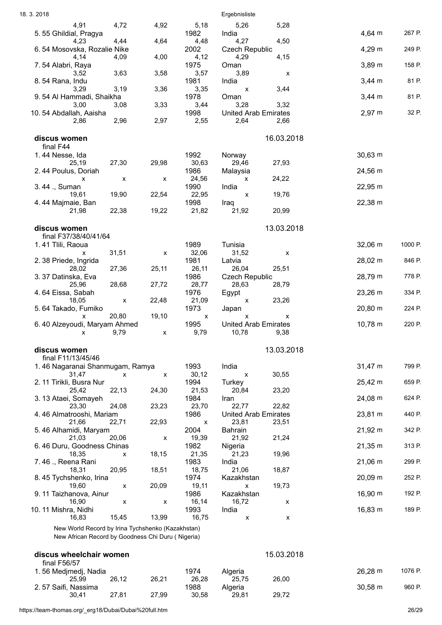| 18.3.2018                                         |                           |       |               | Ergebnisliste                        |            |                     |         |
|---------------------------------------------------|---------------------------|-------|---------------|--------------------------------------|------------|---------------------|---------|
| 4,91                                              | 4,72                      | 4,92  | 5,18          | 5,26                                 | 5,28       |                     |         |
| 5.55 Ghildial, Pragya                             |                           |       | 1982          | India                                |            | 4,64 m              | 267 P.  |
| 4,23<br>6.54 Mosovska, Rozalie Nike               | 4,44                      | 4,64  | 4,48<br>2002  | 4,27<br><b>Czech Republic</b>        | 4,50       | 4,29 m              | 249 P.  |
| 4,14                                              | 4,09                      | 4,00  | 4,12          | 4,29                                 | 4,15       |                     |         |
| 7.54 Alabri, Raya                                 |                           |       | 1975          | Oman                                 |            | 3,89 m              | 158 P.  |
| 3,52                                              | 3,63                      | 3,58  | 3,57<br>1981  | 3,89<br>India                        | х          | $3,44 \, m$         | 81 P.   |
| 8.54 Rana, Indu<br>3,29                           | 3,19                      | 3,36  | 3,35          | $\boldsymbol{\mathsf{x}}$            | 3,44       |                     |         |
| 9.54 Al Hammadi, Shaikha                          |                           |       | 1978          | Oman                                 |            | $3,44 \, m$         | 81 P.   |
| 3,00                                              | 3,08                      | 3,33  | 3,44          | 3,28                                 | 3,32       |                     |         |
| 10.54 Abdallah, Aaisha<br>2,86                    | 2,96                      | 2,97  | 1998<br>2,55  | <b>United Arab Emirates</b><br>2,64  | 2,66       | $2,97 \; m$         | 32 P.   |
|                                                   |                           |       |               |                                      |            |                     |         |
| discus women                                      |                           |       |               |                                      | 16.03.2018 |                     |         |
| final F44                                         |                           |       |               |                                      |            |                     |         |
| 1.44 Nesse, Ida<br>25,19                          | 27,30                     | 29,98 | 1992<br>30,63 | Norway<br>29,46                      | 27,93      | $30,63 \, \text{m}$ |         |
| 2.44 Poulus, Doriah                               |                           |       | 1986          | Malaysia                             |            | 24,56 m             |         |
| x                                                 | X                         | X     | 24,56         | X                                    | 24,22      |                     |         |
| 3.44 ., Suman<br>19.61                            | 19,90                     | 22,54 | 1990<br>22,95 | India<br>X                           | 19,76      | 22,95 m             |         |
| 4.44 Majmaie, Ban                                 |                           |       | 1998          | Iraq                                 |            | 22,38 m             |         |
| 21,98                                             | 22,38                     | 19,22 | 21,82         | 21,92                                | 20,99      |                     |         |
|                                                   |                           |       |               |                                      |            |                     |         |
| discus women<br>final F37/38/40/41/64             |                           |       |               |                                      | 13.03.2018 |                     |         |
| 1.41 Tlili, Raoua                                 |                           |       | 1989          | Tunisia                              |            | $32,06 \, \text{m}$ | 1000 P. |
| X                                                 | 31,51                     | x     | 32,06         | 31,52                                | x          |                     |         |
| 2.38 Priede, Ingrida<br>28,02                     | 27,36                     | 25,11 | 1981<br>26,11 | Latvia<br>26,04                      | 25,51      | 28,02 m             | 846 P.  |
| 3.37 Datinska, Eva                                |                           |       | 1986          | <b>Czech Republic</b>                |            | 28,79 m             | 778 P.  |
| 25,96                                             | 28,68                     | 27,72 | 28,77         | 28,63                                | 28,79      |                     |         |
| 4.64 Eissa, Sabah<br>18,05                        | $\boldsymbol{\mathsf{x}}$ | 22,48 | 1976<br>21,09 | Egypt<br>X                           | 23,26      | 23,26 m             | 334 P.  |
| 5.64 Takado, Fumiko                               |                           |       | 1973          | Japan                                |            | 20,80 m             | 224 P.  |
| $\mathsf{x}$                                      | 20,80                     | 19,10 | X             | X                                    | x          |                     |         |
| 6.40 Alzeyoudi, Maryam Ahmed<br>x                 | 9,79                      | X     | 1995<br>9,79  | <b>United Arab Emirates</b><br>10,78 | 9,38       | $10,78 \text{ m}$   | 220 P.  |
|                                                   |                           |       |               |                                      |            |                     |         |
| discus women                                      |                           |       |               |                                      | 13.03.2018 |                     |         |
| final F11/13/45/46                                |                           |       | 1993          | India                                |            | $31,47 \; m$        | 799 P.  |
| 1.46 Nagaranai Shanmugam, Ramya<br>31,47          | x                         | X     | 30, 12        | X                                    | 30,55      |                     |         |
| 2. 11 Tirikli, Busra Nur                          |                           |       | 1994          | Turkey                               |            | 25,42 m             | 659 P.  |
| 25,42                                             | 22,13                     | 24,30 | 21,53         | 20,84                                | 23,20      |                     |         |
| 3.13 Ataei, Somayeh<br>23,30                      | 24,08                     | 23,23 | 1984<br>23,70 | Iran<br>22,77                        | 22,82      | 24,08 m             | 624 P.  |
| 4.46 Almatrooshi, Mariam                          |                           |       | 1986          | <b>United Arab Emirates</b>          |            | 23,81 m             | 440 P.  |
| 21,66                                             | 22,71                     | 22,93 | X             | 23,81                                | 23,51      |                     |         |
| 5.46 Alhamidi, Maryam<br>21.03                    | 20,06                     | X     | 2004<br>19,39 | Bahrain<br>21,92                     | 21,24      | 21,92 m             | 342 P.  |
| 6.46 Duru, Goodness Chinas                        |                           |       | 1982          | Nigeria                              |            | $21,35 \; m$        | 313 P.  |
| 18,35                                             | X                         | 18,15 | 21,35         | 21,23                                | 19,96      |                     |         |
| 7.46 ., Reena Rani                                |                           |       | 1983          | India                                | 18,87      | $21,06 \; m$        | 299 P.  |
| 18,31<br>8.45 Tychshenko, Irina                   | 20,95                     | 18,51 | 18,75<br>1974 | 21,06<br>Kazakhstan                  |            | $20,09 \, \text{m}$ | 252 P.  |
| 19,60                                             | X                         | 20,09 | 19,11         | X                                    | 19,73      |                     |         |
| 9.11 Taizhanova, Ainur<br>16,90                   | x                         | X     | 1986<br>16,14 | Kazakhstan<br>16,72                  | x          | 16,90 m             | 192 P.  |
| 10.11 Mishra, Nidhi                               |                           |       | 1993          | India                                |            | 16,83 m             | 189 P.  |
| 16,83                                             | 15,45                     | 13,99 | 16,75         | X                                    | X          |                     |         |
| New World Record by Irina Tychshenko (Kazakhstan) |                           |       |               |                                      |            |                     |         |
| New African Record by Goodness Chi Duru (Nigeria) |                           |       |               |                                      |            |                     |         |
| discus wheelchair women                           |                           |       |               |                                      | 15.03.2018 |                     |         |
| final F56/57                                      |                           |       |               |                                      |            |                     |         |
| 1.56 Medjmedj, Nadia                              |                           |       | 1974          | Algeria                              |            | 26,28 m             | 1076 P. |
| 25,99<br>2.57 Saifi, Nassima                      | 26,12                     | 26,21 | 26,28<br>1988 | 25,75<br>Algeria                     | 26,00      | $30,58 \, \text{m}$ | 960 P.  |
| 30,41                                             | 27,81                     | 27,99 | 30,58         | 29,81                                | 29,72      |                     |         |

https://team-thomas.org/\_erg18/Dubai/Dubai%20full.htm 26/29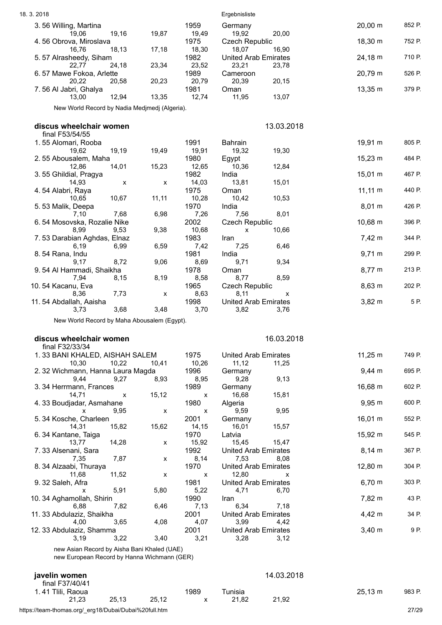| 18.3.2018                                                                                  |        |               | Ergebnisliste                                 |              |        |
|--------------------------------------------------------------------------------------------|--------|---------------|-----------------------------------------------|--------------|--------|
| 3.56 Willing, Martina<br>19,16<br>19,06                                                    | 19,87  | 1959<br>19,49 | Germany<br>20,00                              | 20,00 m      | 852 P. |
| 4.56 Obrova, Miroslava                                                                     |        | 1975          | 19,92<br><b>Czech Republic</b>                | 18,30 m      | 752 P. |
| 16,76<br>18,13<br>5.57 Alrasheedy, Siham                                                   | 17,18  | 18,30<br>1982 | 18,07<br>16,90<br><b>United Arab Emirates</b> | 24,18 m      | 710 P. |
| 24,18<br>22,77                                                                             | 23,34  | 23,52         | 23,21<br>23,78                                |              |        |
| 6.57 Mawe Fokoa, Arlette<br>20.22<br>20,58                                                 | 20,23  | 1989<br>20,79 | Cameroon<br>20,39<br>20,15                    | 20,79 m      | 526 P. |
| 7.56 Al Jabri, Ghalya                                                                      |        | 1981          | Oman                                          | 13,35 m      | 379 P. |
| 12,94<br>13,00<br>New World Record by Nadia Medjmedj (Algeria).                            | 13,35  | 12,74         | 11,95<br>13,07                                |              |        |
|                                                                                            |        |               |                                               |              |        |
| discus wheelchair women<br>final F53/54/55                                                 |        |               | 13.03.2018                                    |              |        |
| 1.55 Alomari, Rooba                                                                        |        | 1991          | Bahrain                                       | 19,91 m      | 805 P. |
| 19,62<br>19,19<br>2.55 Abousalem, Maha                                                     | 19,49  | 19,91<br>1980 | 19,32<br>19,30<br>Egypt                       | 15,23 m      | 484 P. |
| 14,01<br>12,86                                                                             | 15,23  | 12,65         | 10,36<br>12,84                                |              |        |
| 3.55 Ghildial, Pragya<br>14,93<br>X                                                        | x      | 1982<br>14,03 | India<br>13,81<br>15,01                       | 15,01 m      | 467 P. |
| 4.54 Alabri, Raya                                                                          |        | 1975          | Oman                                          | $11,11 \; m$ | 440 P. |
| 10,65<br>10,67<br>5.53 Malik, Deepa                                                        | 11, 11 | 10,28<br>1970 | 10,53<br>10,42<br>India                       | 8,01 m       | 426 P. |
| 7,10<br>7,68                                                                               | 6,98   | 7,26          | 7,56<br>8,01                                  |              |        |
| 6.54 Mosovska, Rozalie Nike<br>9,53<br>8,99                                                | 9,38   | 2002<br>10,68 | <b>Czech Republic</b><br>10,66<br>X           | 10,68 m      | 396 P. |
| 7.53 Darabian Aghdas, Elnaz                                                                |        | 1983          | Iran                                          | 7,42 m       | 344 P. |
| 6,19<br>6,99<br>8.54 Rana, Indu                                                            | 6,59   | 7,42<br>1981  | 7,25<br>6,46<br>India                         | $9,71 \; m$  | 299 P. |
| 9,17<br>8,72                                                                               | 9,06   | 8,69          | 9,71<br>9,34                                  |              |        |
| 9.54 Al Hammadi, Shaikha<br>7,94<br>8,15                                                   | 8,19   | 1978<br>8,58  | Oman<br>8,59<br>8,77                          | 8,77 m       | 213 P. |
| 10.54 Kacanu, Eva                                                                          |        | 1965          | <b>Czech Republic</b>                         | 8,63 m       | 202 P. |
| 7,73<br>8,36<br>11.54 Abdallah, Aaisha                                                     | X      | 8,63<br>1998  | 8,11<br>X<br><b>United Arab Emirates</b>      | $3,82 \, m$  | 5P.    |
|                                                                                            |        |               |                                               |              |        |
| 3,68<br>3,73                                                                               | 3,48   | 3,70          | 3,82<br>3,76                                  |              |        |
| New World Record by Maha Abousalem (Egypt).                                                |        |               |                                               |              |        |
| discus wheelchair women                                                                    |        |               | 16.03.2018                                    |              |        |
| final F32/33/34                                                                            |        |               |                                               |              |        |
| 1.33 BANI KHALED, AISHAH SALEM<br>10,30<br>10,22                                           | 10,41  | 1975<br>10,26 | <b>United Arab Emirates</b><br>11,12<br>11,25 | $11,25 \; m$ | 749 P. |
| 2.32 Wichmann, Hanna Laura Magda                                                           |        | 1996          | Germany                                       | $9,44 \, m$  | 695 P. |
| 9,44<br>9,27<br>3.34 Herrmann, Frances                                                     | 8,93   | 8,95<br>1989  | 9,28<br>9,13<br>Germany                       | 16,68 m      | 602 P. |
| 14,71<br>x                                                                                 | 15,12  | X             | 15,81<br>16,68                                |              |        |
| 4.33 Boudjadar, Asmahane<br>9,95<br>x                                                      | X      | 1980<br>X     | Algeria<br>9,59<br>9,95                       | $9,95 \; m$  | 600 P. |
| 5.34 Kosche, Charleen                                                                      |        | 2001          | Germany                                       | 16,01 m      | 552 P. |
| 14,31<br>15,82<br>6.34 Kantane, Taiga                                                      | 15,62  | 14,15<br>1970 | 16,01<br>15,57<br>Latvia                      | 15,92 m      | 545 P. |
| 14,28<br>13,77                                                                             | X      | 15,92         | 15,45<br>15,47                                |              |        |
| 7.33 Alsenani, Sara<br>7,87<br>7,35                                                        | X      | 1992<br>8,14  | <b>United Arab Emirates</b><br>7,53<br>8,08   | $8,14 \, m$  | 367 P. |
| 8.34 Alzaabi, Thuraya                                                                      |        | 1970          | <b>United Arab Emirates</b>                   | 12,80 m      | 304 P. |
| 11,52<br>11,68<br>9.32 Saleh, Afra                                                         | X      | X<br>1981     | 12,80<br>X<br><b>United Arab Emirates</b>     | $6,70 \; m$  | 303 P. |
| 5,91<br>x                                                                                  | 5,80   | 5,22          | 4,71<br>6,70                                  |              |        |
| 10.34 Aghamollah, Shirin<br>6,88<br>7,82                                                   | 6,46   | 1990<br>7,13  | Iran<br>6,34<br>7,18                          | 7,82 m       | 43 P.  |
| 11. 33 Abdulaziz, Shaikha<br>4,00                                                          |        | 2001          | <b>United Arab Emirates</b>                   | 4,42 m       | 34 P.  |
| 3,65<br>12.33 Abdulaziz, Shamma                                                            | 4,08   | 4,07<br>2001  | 3,99<br>4,42<br><b>United Arab Emirates</b>   | $3,40 \; m$  | 9 P.   |
| 3,19<br>3,22                                                                               | 3,40   | 3,21          | 3,28<br>3,12                                  |              |        |
| new Asian Record by Aisha Bani Khaled (UAE)<br>new European Record by Hanna Wichmann (GER) |        |               |                                               |              |        |
|                                                                                            |        |               |                                               |              |        |
| javelin women<br>final F37/40/41                                                           |        |               | 14.03.2018                                    |              |        |
| 1.41 Tlili, Raoua<br>25,13<br>21,23                                                        | 25,12  | 1989<br>X     | Tunisia<br>21,82<br>21,92                     | $25,13 \; m$ | 983 P. |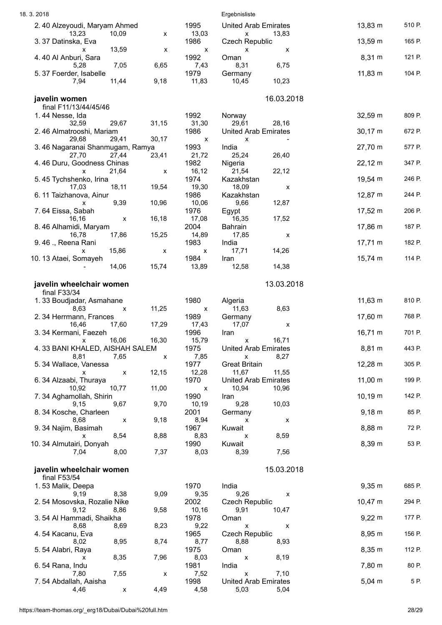| 18.3.2018                                                  |                                   | Ergebnisliste                                 |                   |        |
|------------------------------------------------------------|-----------------------------------|-----------------------------------------------|-------------------|--------|
| 2.40 Alzeyoudi, Maryam Ahmed<br>10,09<br>13,23             | 1995<br>13,03<br>x                | <b>United Arab Emirates</b><br>X<br>13,83     | 13,83 m           | 510 P. |
| 3.37 Datinska, Eva<br>13,59<br>$\mathsf{x}$                | 1986<br>X<br>X                    | <b>Czech Republic</b><br>X<br>х               | $13,59 \; m$      | 165 P. |
| 4.40 Al Anburi, Sara<br>7,05<br>5,28<br>6,65               | 1992<br>7,43                      | Oman<br>8,31<br>6,75                          | 8,31 m            | 121 P. |
| 5.37 Foerder, Isabelle<br>11,44<br>9,18<br>7,94            | 1979<br>11,83                     | Germany<br>10,23<br>10,45                     | 11,83 m           | 104 P. |
| javelin women                                              |                                   | 16.03.2018                                    |                   |        |
| final F11/13/44/45/46<br>1.44 Nesse, Ida                   | 1992                              | Norway                                        | 32,59 m           | 809 P. |
| 32,59<br>29,67<br>31,15<br>2.46 Almatrooshi, Mariam        | 31,30<br>1986                     | 29,61<br>28,16<br>United Arab Emirates        | $30,17 \; m$      | 672 P. |
| 29,68<br>29,41<br>30,17<br>3.46 Nagaranai Shanmugam, Ramya | $\boldsymbol{\mathsf{x}}$<br>1993 | x<br>India                                    | 27,70 m           | 577 P. |
| 27,44<br>23,41<br>27,70<br>4.46 Duru, Goodness Chinas      | 21,72<br>1982                     | 25,24<br>26,40                                | $22,12 \, m$      | 347 P. |
| 21,64<br>X                                                 | 16, 12<br>X                       | Nigeria<br>22,12<br>21,54                     |                   |        |
| 5.45 Tychshenko, Irina<br>18,11<br>19,54<br>17,03          | 1974<br>19,30                     | Kazakhstan<br>18,09<br>X                      | 19,54 m           | 246 P. |
| 6.11 Taizhanova, Ainur<br>9,39<br>10,96<br>x               | 1986<br>10,06                     | Kazakhstan<br>12,87<br>9,66                   | 12,87 m           | 244 P. |
| 7.64 Eissa, Sabah<br>16,18<br>16,16<br>X                   | 1976<br>17,08                     | Egypt<br>16,35<br>17,52                       | $17,52 \; m$      | 206 P. |
| 8.46 Alhamidi, Maryam                                      | 2004                              | Bahrain                                       | 17,86 m           | 187 P. |
| 15,25<br>17,86<br>16,78<br>9.46 ., Reena Rani              | 14,89<br>1983                     | 17,85<br>X<br>India                           | $17,71 \text{ m}$ | 182 P. |
| 15,86<br>x<br>10.13 Ataei, Somayeh                         | X<br>X<br>1984                    | 14,26<br>17,71<br>Iran                        | $15,74 \text{ m}$ | 114 P. |
| 14,06<br>15,74                                             | 13,89                             | 12,58<br>14,38                                |                   |        |
| javelin wheelchair women                                   |                                   | 13.03.2018                                    |                   |        |
| final F33/34<br>1.33 Boudjadar, Asmahane                   | 1980                              | Algeria                                       | $11,63 \; m$      | 810 P. |
| 11,25<br>8,63<br>X<br>2.34 Herrmann, Frances               | X<br>1989                         | 8,63<br>11,63<br>Germany                      | 17,60 m           | 768 P. |
| 17,29<br>16,46<br>17,60<br>3.34 Kermani, Faezeh            | 17,43<br>1996                     | 17,07<br>X<br>Iran                            | 16,71 m           | 701 P. |
| 16,06<br>16,30<br>X                                        | 15,79                             | 16,71<br>X                                    |                   |        |
| 4.33 BANI KHALED, AISHAH SALEM<br>8,81<br>7,65             | 1975<br>7,85<br>X                 | <b>United Arab Emirates</b><br>x<br>8,27      | 8,81 m            | 443 P. |
| 5.34 Wallace, Vanessa<br>12,15<br>$\pmb{\mathsf{x}}$<br>x  | 1977<br>12,28                     | <b>Great Britain</b><br>11,67<br>11,55        | 12,28 m           | 305 P. |
| 6.34 Alzaabi, Thuraya<br>10,77<br>11,00<br>10,92           | 1970<br>X                         | <b>United Arab Emirates</b><br>10,94<br>10,96 | $11,00 \; m$      | 199 P. |
| 7.34 Aghamollah, Shirin                                    | 1990                              | Iran                                          | $10,19 \; m$      | 142 P. |
| 9,67<br>9,70<br>9,15<br>8.34 Kosche, Charleen              | 10,19<br>2001                     | 9,28<br>10,03<br>Germany                      | $9,18 \; m$       | 85 P.  |
| 8,68<br>9,18<br>X<br>9. 34 Najim, Basimah                  | 8,94<br>1967                      | x<br>х<br>Kuwait                              | 8,88 m            | 72 P.  |
| 8,54<br>8,88<br>x<br>10. 34 Almutairi, Donyah              | 8,83<br>1990                      | 8,59<br>X<br>Kuwait                           | 8,39 m            | 53 P.  |
| 8,00<br>7,37<br>7,04                                       | 8,03                              | 7,56<br>8,39                                  |                   |        |
| javelin wheelchair women<br>final F53/54                   |                                   | 15.03.2018                                    |                   |        |
| 1.53 Malik, Deepa<br>9,09                                  | 1970<br>9,35                      | India<br>9,26                                 | $9,35 \; m$       | 685 P. |
| 9,19<br>8,38<br>2.54 Mosovska, Rozalie Nike                | 2002                              | X<br><b>Czech Republic</b>                    | $10,47 \; m$      | 294 P. |
| 9,58<br>9,12<br>8,86<br>3.54 Al Hammadi, Shaikha           | 10,16<br>1978                     | 9,91<br>10,47<br>Oman                         | $9,22 \, m$       | 177 P. |
| 8,68<br>8,23<br>8,69<br>4.54 Kacanu, Eva                   | 9,22<br>1965                      | X<br>X<br><b>Czech Republic</b>               | 8,95 m            | 156 P. |
| 8,95<br>8,74<br>8,02<br>5.54 Alabri, Raya                  | 8,77<br>1975                      | 8,88<br>8,93<br>Oman                          | 8,35 m            | 112 P. |
| 8,35<br>7,96<br>X                                          | 8,03                              | 8,19<br>X                                     |                   |        |
| 6.54 Rana, Indu<br>7,80<br>7,55                            | 1981<br>7,52<br>X                 | India<br>7,10<br>X                            | 7,80 m            | 80 P.  |
| 7.54 Abdallah, Aaisha<br>4,46<br>4,49<br>X                 | 1998<br>4,58                      | <b>United Arab Emirates</b><br>5,03<br>5,04   | $5,04 \, m$       | 5P.    |